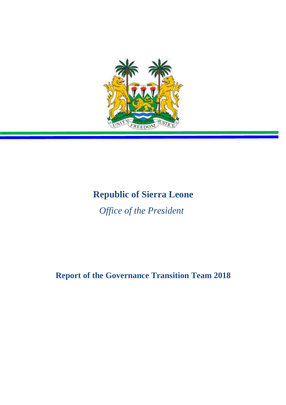

# **Republic of Sierra Leone**

 *Office of the President*

**Report of the Governance Transition Team 2018**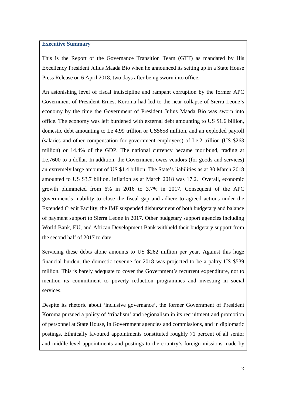## **Executive Summary**

This is the Report of the Governance Transition Team (GTT) as mandated by His Excellency President Julius Maada Bio when he announced its setting up in a State House Press Release on 6 April 2018, two days after being sworn into office.

An astonishing level of fiscal indiscipline and rampant corruption by the former APC Government of President Ernest Koroma had led to the near-collapse of Sierra Leone's economy by the time the Government of President Julius Maada Bio was sworn into office. The economy was left burdened with external debt amounting to US \$1.6 billion, domestic debt amounting to Le 4.99 trillion or US\$658 million, and an exploded payroll (salaries and other compensation for government employees) of Le.2 trillion (US \$263 million) or 14.4% of the GDP. The national currency became moribund, trading at Le.7600 to a dollar. In addition, the Government owes vendors (for goods and services) an extremely large amount of US \$1.4 billion. The State's liabilities as at 30 March 2018 amounted to US \$3.7 billion. Inflation as at March 2018 was 17.2. Overall, economic growth plummeted from 6% in 2016 to 3.7% in 2017. Consequent of the APC government's inability to close the fiscal gap and adhere to agreed actions under the Extended Credit Facility, the IMF suspended disbursement of both budgetary and balance of payment support to Sierra Leone in 2017. Other budgetary support agencies including World Bank, EU, and African Development Bank withheld their budgetary support from the second half of 2017 to date.

Servicing these debts alone amounts to US \$262 million per year. Against this huge financial burden, the domestic revenue for 2018 was projected to be a paltry US \$539 million. This is barely adequate to cover the Government's recurrent expenditure, not to mention its commitment to poverty reduction programmes and investing in social services.

Despite its rhetoric about 'inclusive governance', the former Government of President Koroma pursued a policy of 'tribalism' and regionalism in its recruitment and promotion of personnel at State House, in Government agencies and commissions, and in diplomatic postings. Ethnically favoured appointments constituted roughly 71 percent of all senior and middle-level appointments and postings to the country's foreign missions made by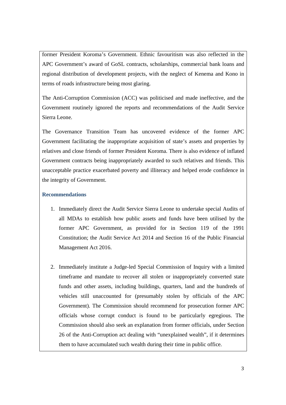former President Koroma's Government. Ethnic favouritism was also reflected in the APC Government's award of GoSL contracts, scholarships, commercial bank loans and regional distribution of development projects, with the neglect of Kenema and Kono in terms of roads infrastructure being most glaring.

The Anti-Corruption Commission (ACC) was politicised and made ineffective, and the Government routinely ignored the reports and recommendations of the Audit Service Sierra Leone.

The Governance Transition Team has uncovered evidence of the former APC Government facilitating the inappropriate acquisition of state's assets and properties by relatives and close friends of former President Koroma. There is also evidence of inflated Government contracts being inappropriately awarded to such relatives and friends. This unacceptable practice exacerbated poverty and illiteracy and helped erode confidence in the integrity of Government.

## **Recommendations**

- 1. Immediately direct the Audit Service Sierra Leone to undertake special Audits of all MDAs to establish how public assets and funds have been utilised by the former APC Government, as provided for in Section 119 of the 1991 Constitution; the Audit Service Act 2014 and Section 16 of the Public Financial Management Act 2016.
- 2. Immediately institute a Judge-led Special Commission of Inquiry with a limited timeframe and mandate to recover all stolen or inappropriately converted state funds and other assets, including buildings, quarters, land and the hundreds of vehicles still unaccounted for (presumably stolen by officials of the APC Government). The Commission should recommend for prosecution former APC officials whose corrupt conduct is found to be particularly egregious. The Commission should also seek an explanation from former officials, under Section 26 of the Anti-Corruption act dealing with "unexplained wealth", if it determines them to have accumulated such wealth during their time in public office.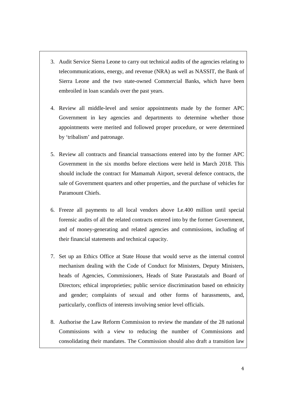- 3. Audit Service Sierra Leone to carry out technical audits of the agencies relating to telecommunications, energy, and revenue (NRA) as well as NASSIT, the Bank of Sierra Leone and the two state-owned Commercial Banks, which have been embroiled in loan scandals over the past years.
- 4. Review all middle-level and senior appointments made by the former APC Government in key agencies and departments to determine whether those appointments were merited and followed proper procedure, or were determined by 'tribalism' and patronage.
- 5. Review all contracts and financial transactions entered into by the former APC Government in the six months before elections were held in March 2018. This should include the contract for Mamamah Airport, several defence contracts, the sale of Government quarters and other properties, and the purchase of vehicles for Paramount Chiefs.
- 6. Freeze all payments to all local vendors above Le.400 million until special forensic audits of all the related contracts entered into by the former Government, and of money-generating and related agencies and commissions, including of their financial statements and technical capacity.
- 7. Set up an Ethics Office at State House that would serve as the internal control mechanism dealing with the Code of Conduct for Ministers, Deputy Ministers, heads of Agencies, Commissioners, Heads of State Parastatals and Board of Directors; ethical improprieties; public service discrimination based on ethnicity and gender; complaints of sexual and other forms of harassments, and, particularly, conflicts of interests involving senior level officials.
- 8. Authorise the Law Reform Commission to review the mandate of the 28 national Commissions with a view to reducing the number of Commissions and consolidating their mandates. The Commission should also draft a transition law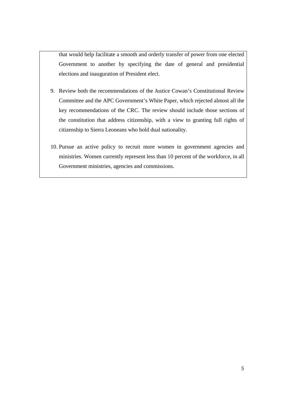that would help facilitate a smooth and orderly transfer of power from one elected Government to another by specifying the date of general and presidential elections and inauguration of President elect.

- 9. Review both the recommendations of the Justice Cowan's Constitutional Review Committee and the APC Government's White Paper, which rejected almost all the key recommendations of the CRC. The review should include those sections of the constitution that address citizenship, with a view to granting full rights of citizenship to Sierra Leoneans who hold dual nationality.
- 10. Pursue an active policy to recruit more women in government agencies and ministries. Women currently represent less than 10 percent of the workforce, in all Government ministries, agencies and commissions.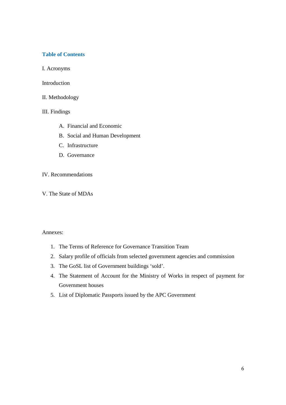## **Table of Contents**

## I. Acronyms

Introduction

## II. Methodology

## III. Findings

- A. Financial and Economic
- B. Social and Human Development
- C. Infrastructure
- D. Governance

## IV. Recommendations

V. The State of MDAs

## Annexes:

- 1. The Terms of Reference for Governance Transition Team
- 2. Salary profile of officials from selected government agencies and commission
- 3. The GoSL list of Government buildings 'sold'.
- 4. The Statement of Account for the Ministry of Works in respect of payment for Government houses
- 5. List of Diplomatic Passports issued by the APC Government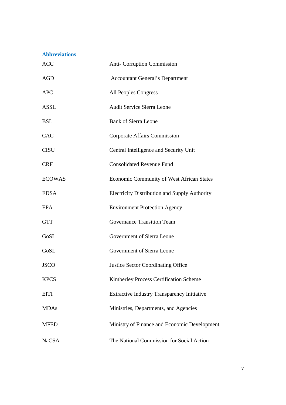## **Abbreviations**

| <b>ACC</b>    | <b>Anti- Corruption Commission</b>                   |  |  |
|---------------|------------------------------------------------------|--|--|
| <b>AGD</b>    | <b>Accountant General's Department</b>               |  |  |
| <b>APC</b>    | All Peoples Congress                                 |  |  |
| <b>ASSL</b>   | <b>Audit Service Sierra Leone</b>                    |  |  |
| <b>BSL</b>    | <b>Bank of Sierra Leone</b>                          |  |  |
| <b>CAC</b>    | Corporate Affairs Commission                         |  |  |
| <b>CISU</b>   | Central Intelligence and Security Unit               |  |  |
| <b>CRF</b>    | <b>Consolidated Revenue Fund</b>                     |  |  |
| <b>ECOWAS</b> | <b>Economic Community of West African States</b>     |  |  |
| <b>EDSA</b>   | <b>Electricity Distribution and Supply Authority</b> |  |  |
| <b>EPA</b>    | <b>Environment Protection Agency</b>                 |  |  |
| <b>GTT</b>    | <b>Governance Transition Team</b>                    |  |  |
| GoSL          | Government of Sierra Leone                           |  |  |
| GoSL          | Government of Sierra Leone                           |  |  |
| <b>JSCO</b>   | <b>Justice Sector Coordinating Office</b>            |  |  |
| <b>KPCS</b>   | Kimberley Process Certification Scheme               |  |  |
| <b>EITI</b>   | <b>Extractive Industry Transparency Initiative</b>   |  |  |
| <b>MDAs</b>   | Ministries, Departments, and Agencies                |  |  |
| <b>MFED</b>   | Ministry of Finance and Economic Development         |  |  |
| <b>NaCSA</b>  | The National Commission for Social Action            |  |  |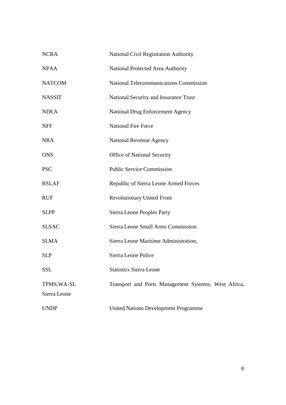| <b>NCRA</b>                 | <b>National Civil Registration Authority</b>         |  |  |  |
|-----------------------------|------------------------------------------------------|--|--|--|
| <b>NPAA</b>                 | National Protected Area Authority                    |  |  |  |
| <b>NATCOM</b>               | <b>National Telecommunications Commission</b>        |  |  |  |
| <b>NASSIT</b>               | National Security and Insurance Trust                |  |  |  |
| <b>NDEA</b>                 | <b>National Drug Enforcement Agency</b>              |  |  |  |
| <b>NFF</b>                  | <b>National Fire Force</b>                           |  |  |  |
| <b>NRA</b>                  | National Revenue Agency                              |  |  |  |
| <b>ONS</b>                  | <b>Office of National Security</b>                   |  |  |  |
| <b>PSC</b>                  | <b>Public Service Commission</b>                     |  |  |  |
| <b>RSLAF</b>                | Republic of Sierra Leone Armed Forces                |  |  |  |
| <b>RUF</b>                  | <b>Revolutionary United Front</b>                    |  |  |  |
| <b>SLPP</b>                 | Sierra Leone Peoples Party                           |  |  |  |
| <b>SLSAC</b>                | Sierra Leone Small Arms Commission                   |  |  |  |
| <b>SLMA</b>                 | Sierra Leone Maritime Administration,                |  |  |  |
| <b>SLP</b>                  | Sierra Leone Police                                  |  |  |  |
| SSL                         | <b>Statistics Sierra Leone</b>                       |  |  |  |
| TPMS, WA-SL<br>Sierra Leone | Transport and Ports Management Systems, West Africa, |  |  |  |
| <b>UNDP</b>                 | <b>United Nations Development Programme</b>          |  |  |  |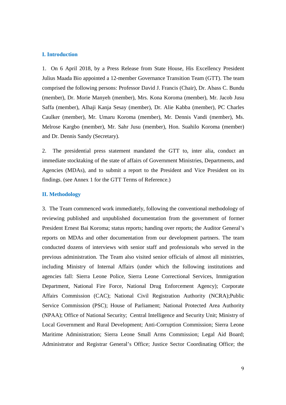## **I. Introduction**

1. On 6 April 2018, by a Press Release from State House, His Excellency President Julius Maada Bio appointed a 12-member Governance Transition Team (GTT). The team comprised the following persons: Professor David J. Francis (Chair), Dr. Abass C. Bundu (member), Dr. Morie Manyeh (member), Mrs. Kona Koroma (member), Mr. Jacob Jusu Saffa (member), Alhaji Kanja Sesay (member), Dr. Alie Kabba (member), PC Charles Caulker (member), Mr. Umaru Koroma (member), Mr. Dennis Vandi (member), Ms. Melrose Kargbo (member), Mr. Sahr Jusu (member), Hon. Suahilo Koroma (member) and Dr. Dennis Sandy (Secretary).

2. The presidential press statement mandated the GTT to, inter alia, conduct an immediate stocktaking of the state of affairs of Government Ministries, Departments, and Agencies (MDAs), and to submit a report to the President and Vice President on its findings. (see Annex 1 for the GTT Terms of Reference.)

#### **II. Methodology**

3. The Team commenced work immediately, following the conventional methodology of reviewing published and unpublished documentation from the government of former President Ernest Bai Koroma; status reports; handing over reports; the Auditor General's reports on MDAs and other documentation from our development partners. The team conducted dozens of interviews with senior staff and professionals who served in the previous administration. The Team also visited senior officials of almost all ministries, including Ministry of Internal Affairs (under which the following institutions and agencies fall: Sierra Leone Police, Sierra Leone Correctional Services, Immigration Department, National Fire Force, National Drug Enforcement Agency); Corporate Affairs Commission (CAC); National Civil Registration Authority (NCRA);Public Service Commission (PSC); House of Parliament; National Protected Area Authority (NPAA); Office of National Security; Central Intelligence and Security Unit; Ministry of Local Government and Rural Development; Anti-Corruption Commission; Sierra Leone Maritime Administration; Sierra Leone Small Arms Commission; Legal Aid Board; Administrator and Registrar General's Office; Justice Sector Coordinating Office; the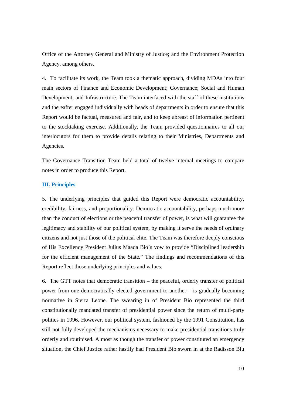Office of the Attorney General and Ministry of Justice; and the Environment Protection Agency, among others.

4. To facilitate its work, the Team took a thematic approach, dividing MDAs into four main sectors of Finance and Economic Development; Governance; Social and Human Development; and Infrastructure. The Team interfaced with the staff of these institutions and thereafter engaged individually with heads of departments in order to ensure that this Report would be factual, measured and fair, and to keep abreast of information pertinent to the stocktaking exercise. Additionally, the Team provided questionnaires to all our interlocutors for them to provide details relating to their Ministries, Departments and Agencies.

The Governance Transition Team held a total of twelve internal meetings to compare notes in order to produce this Report.

## **III. Principles**

5. The underlying principles that guided this Report were democratic accountability, credibility, fairness, and proportionality. Democratic accountability, perhaps much more than the conduct of elections or the peaceful transfer of power, is what will guarantee the legitimacy and stability of our political system, by making it serve the needs of ordinary citizens and not just those of the political elite. The Team was therefore deeply conscious of His Excellency President Julius Maada Bio's vow to provide "Disciplined leadership for the efficient management of the State." The findings and recommendations of this Report reflect those underlying principles and values.

6. The GTT notes that democratic transition – the peaceful, orderly transfer of political power from one democratically elected government to another – is gradually becoming normative in Sierra Leone. The swearing in of President Bio represented the third constitutionally mandated transfer of presidential power since the return of multi-party politics in 1996. However, our political system, fashioned by the 1991 Constitution, has still not fully developed the mechanisms necessary to make presidential transitions truly orderly and routinised. Almost as though the transfer of power constituted an emergency situation, the Chief Justice rather hastily had President Bio sworn in at the Radisson Blu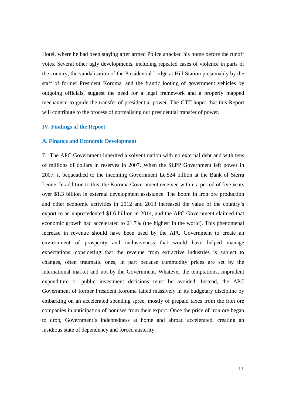Hotel, where he had been staying after armed Police attacked his home before the runoff votes. Several other ugly developments, including repeated cases of violence in parts of the country, the vandalisation of the Presidential Lodge at Hill Station presumably by the staff of former President Koroma, and the frantic looting of government vehicles by outgoing officials, suggest the need for a legal framework and a properly mapped mechanism to guide the transfer of presidential power. The GTT hopes that this Report will contribute to the process of normalising our presidential transfer of power.

#### **IV. Findings of the Report**

#### **A. Finance and Economic Development**

7. The APC Government inherited a solvent nation with no external debt and with tens of millions of dollars in reserves in 2007. When the SLPP Government left power in 2007, it bequeathed to the incoming Government Le.524 billion at the Bank of Sierra Leone. In addition to this, the Koroma Government received within a period of five years over \$1.3 billion in external development assistance. The boom in iron ore production and other economic activities in 2012 and 2013 increased the value of the country's export to an unprecedented \$1.6 billion in 2014, and the APC Government claimed that economic growth had accelerated to 21.7% (the highest in the world). This phenomenal increase in revenue should have been used by the APC Government to create an environment of prosperity and inclusiveness that would have helped manage expectations, considering that the revenue from extractive industries is subject to changes, often traumatic ones, in part because commodity prices are set by the international market and not by the Government. Whatever the temptations, imprudent expenditure or public investment decisions must be avoided. Instead, the APC Government of former President Koroma failed massively in its budgetary discipline by embarking on an accelerated spending spree, mostly of prepaid taxes from the iron ore companies in anticipation of bonuses from their export. Once the price of iron ore began to drop, Government's indebtedness at home and abroad accelerated, creating an insidious state of dependency and forced austerity.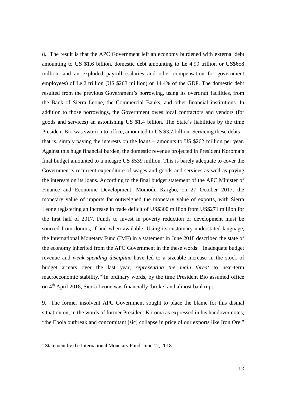8. The result is that the APC Government left an economy burdened with external debt amounting to US \$1.6 billion, domestic debt amounting to Le 4.99 trillion or US\$658 million, and an exploded payroll (salaries and other compensation for government employees) of Le.2 trillion (US \$263 million) or 14.4% of the GDP. The domestic debt resulted from the previous Government's borrowing, using its overdraft facilities, from the Bank of Sierra Leone, the Commercial Banks, and other financial institutions. In addition to those borrowings, the Government owes local contractors and vendors (for goods and services) an astonishing US \$1.4 billion. The State's liabilities by the time President Bio was sworn into office, amounted to US \$3.7 billion. Servicing these debts – that is, simply paying the interests on the loans – amounts to US \$262 million per year. Against this huge financial burden, the domestic revenue projected in President Koroma's final budget amounted to a meagre US \$539 million. This is barely adequate to cover the Government's recurrent expenditure of wages and goods and services as well as paying the interests on its loans. According to the final budget statement of the APC Minister of Finance and Economic Development, Momodu Kargbo, on 27 October 2017, the monetary value of imports far outweighed the monetary value of exports, with Sierra Leone registering an increase in trade deficit of US\$300 million from US\$271 million for the first half of 2017. Funds to invest in poverty reduction or development must be sourced from donors, if and when available. Using its customary understated language, the International Monetary Fund (IMF) in a statement in June 2018 described the state of the economy inherited from the APC Government in the these words: "Inadequate budget revenue and *weak spending discipline* have led to a sizeable increase in the stock of budget arrears over the last year, *representing the main threat* to near-term macroeconomic stability."<sup>1</sup>In ordinary words, by the time President Bio assumed office on 4<sup>th</sup> April 2018, Sierra Leone was financially 'broke' and almost bankrupt.

9. The former insolvent APC Government sought to place the blame for this dismal situation on, in the words of former President Koroma as expressed in his handover notes, "the Ebola outbreak and concomitant [sic] collapse in price of our exports like Iron Ore."

1

<sup>&</sup>lt;sup>1</sup> Statement by the International Monetary Fund, June 12, 2018.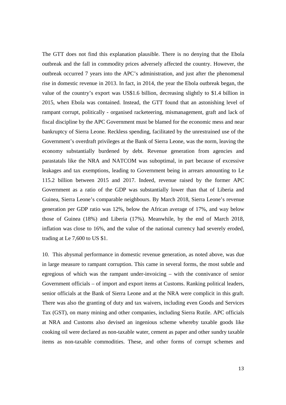The GTT does not find this explanation plausible. There is no denying that the Ebola outbreak and the fall in commodity prices adversely affected the country. However, the outbreak occurred 7 years into the APC's administration, and just after the phenomenal rise in domestic revenue in 2013. In fact, in 2014, the year the Ebola outbreak began, the value of the country's export was US\$1.6 billion, decreasing slightly to \$1.4 billion in 2015, when Ebola was contained. Instead, the GTT found that an astonishing level of rampant corrupt, politically - organised racketeering, mismanagement, graft and lack of fiscal discipline by the APC Government must be blamed for the economic mess and near bankruptcy of Sierra Leone. Reckless spending, facilitated by the unrestrained use of the Government's overdraft privileges at the Bank of Sierra Leone, was the norm, leaving the economy substantially burdened by debt. Revenue generation from agencies and parastatals like the NRA and NATCOM was suboptimal, in part because of excessive leakages and tax exemptions, leading to Government being in arrears amounting to Le 115.2 billion between 2015 and 2017. Indeed, revenue raised by the former APC Government as a ratio of the GDP was substantially lower than that of Liberia and Guinea, Sierra Leone's comparable neighbours. By March 2018, Sierra Leone's revenue generation per GDP ratio was 12%, below the African average of 17%, and way below those of Guinea (18%) and Liberia (17%). Meanwhile, by the end of March 2018, inflation was close to 16%, and the value of the national currency had severely eroded, trading at Le 7,600 to US \$1.

10. This abysmal performance in domestic revenue generation, as noted above, was due in large measure to rampant corruption. This came in several forms, the most subtle and egregious of which was the rampant under-invoicing – with the connivance of senior Government officials – of import and export items at Customs. Ranking political leaders, senior officials at the Bank of Sierra Leone and at the NRA were complicit in this graft. There was also the granting of duty and tax waivers, including even Goods and Services Tax (GST), on many mining and other companies, including Sierra Rutile. APC officials at NRA and Customs also devised an ingenious scheme whereby taxable goods like cooking oil were declared as non-taxable water, cement as paper and other sundry taxable items as non-taxable commodities. These, and other forms of corrupt schemes and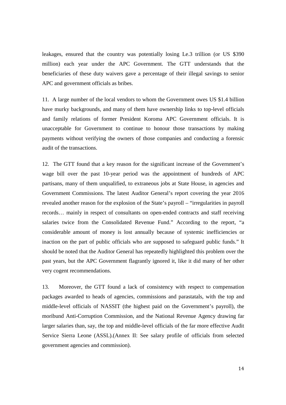leakages, ensured that the country was potentially losing Le.3 trillion (or US \$390 million) each year under the APC Government. The GTT understands that the beneficiaries of these duty waivers gave a percentage of their illegal savings to senior APC and government officials as bribes.

11. A large number of the local vendors to whom the Government owes US \$1.4 billion have murky backgrounds, and many of them have ownership links to top-level officials and family relations of former President Koroma APC Government officials. It is unacceptable for Government to continue to honour those transactions by making payments without verifying the owners of those companies and conducting a forensic audit of the transactions.

12. The GTT found that a key reason for the significant increase of the Government's wage bill over the past 10-year period was the appointment of hundreds of APC partisans, many of them unqualified, to extraneous jobs at State House, in agencies and Government Commissions. The latest Auditor General's report covering the year 2016 revealed another reason for the explosion of the State's payroll – "irregularities in payroll records… mainly in respect of consultants on open-ended contracts and staff receiving salaries twice from the Consolidated Revenue Fund." According to the report, "a considerable amount of money is lost annually because of systemic inefficiencies or inaction on the part of public officials who are supposed to safeguard public funds." It should be noted that the Auditor General has repeatedly highlighted this problem over the past years, but the APC Government flagrantly ignored it, like it did many of her other very cogent recommendations.

13. Moreover, the GTT found a lack of consistency with respect to compensation packages awarded to heads of agencies, commissions and parastatals, with the top and middle-level officials of NASSIT (the highest paid on the Government's payroll), the moribund Anti-Corruption Commission, and the National Revenue Agency drawing far larger salaries than, say, the top and middle-level officials of the far more effective Audit Service Sierra Leone (ASSL).(Annex II: See salary profile of officials from selected government agencies and commission).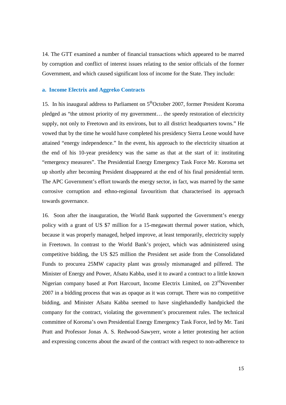14. The GTT examined a number of financial transactions which appeared to be marred by corruption and conflict of interest issues relating to the senior officials of the former Government, and which caused significant loss of income for the State. They include:

## **a. Income Electrix and Aggreko Contracts**

15. In his inaugural address to Parliament on  $5<sup>th</sup>$ October 2007, former President Koroma pledged as "the utmost priority of my government… the speedy restoration of electricity supply, not only to Freetown and its environs, but to all district headquarters towns." He vowed that by the time he would have completed his presidency Sierra Leone would have attained "energy independence." In the event, his approach to the electricity situation at the end of his 10-year presidency was the same as that at the start of it: instituting "emergency measures". The Presidential Energy Emergency Task Force Mr. Koroma set up shortly after becoming President disappeared at the end of his final presidential term. The APC Government's effort towards the energy sector, in fact, was marred by the same corrosive corruption and ethno-regional favouritism that characterised its approach towards governance.

16. Soon after the inauguration, the World Bank supported the Government's energy policy with a grant of US \$7 million for a 15-megawatt thermal power station, which, because it was properly managed, helped improve, at least temporarily, electricity supply in Freetown. In contrast to the World Bank's project, which was administered using competitive bidding, the US \$25 million the President set aside from the Consolidated Funds to procurea 25MW capacity plant was grossly mismanaged and pilfered. The Minister of Energy and Power, Afsatu Kabba, used it to award a contract to a little known Nigerian company based at Port Harcourt, Income Electrix Limited, on 23<sup>rd</sup>November 2007 in a bidding process that was as opaque as it was corrupt. There was no competitive bidding, and Minister Afsatu Kabba seemed to have singlehandedly handpicked the company for the contract, violating the government's procurement rules. The technical committee of Koroma's own Presidential Energy Emergency Task Force, led by Mr. Tani Pratt and Professor Jonas A. S. Redwood-Sawyerr, wrote a letter protesting her action and expressing concerns about the award of the contract with respect to non-adherence to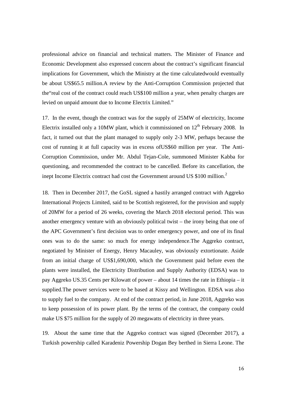professional advice on financial and technical matters. The Minister of Finance and Economic Development also expressed concern about the contract's significant financial implications for Government, which the Ministry at the time calculatedwould eventually be about US\$65.5 million.A review by the Anti-Corruption Commission projected that the"real cost of the contract could reach US\$100 million a year, when penalty charges are levied on unpaid amount due to Income Electrix Limited."

17. In the event, though the contract was for the supply of 25MW of electricity, Income Electrix installed only a 10MW plant, which it commissioned on  $12<sup>th</sup>$  February 2008. In fact, it turned out that the plant managed to supply only 2-3 MW, perhaps because the cost of running it at full capacity was in excess ofUS\$60 million per year. The Anti-Corruption Commission, under Mr. Abdul Tejan-Cole, summoned Minister Kabba for questioning, and recommended the contract to be cancelled. Before its cancellation, the inept Income Electrix contract had cost the Government around US \$100 million.<sup>2</sup>

18. Then in December 2017, the GoSL signed a hastily arranged contract with Aggreko International Projects Limited, said to be Scottish registered, for the provision and supply of 20MW for a period of 26 weeks, covering the March 2018 electoral period. This was another emergency venture with an obviously political twist – the irony being that one of the APC Government's first decision was to order emergency power, and one of its final ones was to do the same: so much for energy independence.The Aggreko contract, negotiated by Minister of Energy, Henry Macauley, was obviously extortionate. Aside from an initial charge of US\$1,690,000, which the Government paid before even the plants were installed, the Electricity Distribution and Supply Authority (EDSA) was to pay Aggreko US.35 Cents per Kilowatt of power – about 14 times the rate in Ethiopia – it supplied.The power services were to be based at Kissy and Wellington. EDSA was also to supply fuel to the company. At end of the contract period, in June 2018, Aggreko was to keep possession of its power plant. By the terms of the contract, the company could make US \$75 million for the supply of 20 megawatts of electricity in three years.

19. About the same time that the Aggreko contract was signed (December 2017), a Turkish powership called Karadeniz Powership Dogan Bey berthed in Sierra Leone. The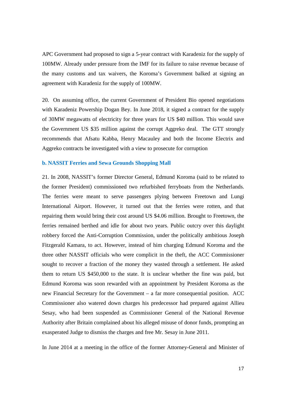APC Government had proposed to sign a 5-year contract with Karadeniz for the supply of 100MW. Already under pressure from the IMF for its failure to raise revenue because of the many customs and tax waivers, the Koroma's Government balked at signing an agreement with Karadeniz for the supply of 100MW.

20. On assuming office, the current Government of President Bio opened negotiations with Karadeniz Powership Dogan Bey. In June 2018, it signed a contract for the supply of 30MW megawatts of electricity for three years for US \$40 million. This would save the Government US \$35 million against the corrupt Aggreko deal. The GTT strongly recommends that Afsatu Kabba, Henry Macauley and both the Income Electrix and Aggreko contracts be investigated with a view to prosecute for corruption

#### **b. NASSIT Ferries and Sewa Grounds Shopping Mall**

21. In 2008, NASSIT's former Director General, Edmund Koroma (said to be related to the former President) commissioned two refurbished ferryboats from the Netherlands. The ferries were meant to serve passengers plying between Freetown and Lungi International Airport. However, it turned out that the ferries were rotten, and that repairing them would bring their cost around US \$4.06 million. Brought to Freetown, the ferries remained berthed and idle for about two years. Public outcry over this daylight robbery forced the Anti-Corruption Commission, under the politically ambitious Joseph Fitzgerald Kamara, to act. However, instead of him charging Edmund Koroma and the three other NASSIT officials who were complicit in the theft, the ACC Commissioner sought to recover a fraction of the money they wasted through a settlement. He asked them to return US \$450,000 to the state. It is unclear whether the fine was paid, but Edmund Koroma was soon rewarded with an appointment by President Koroma as the new Financial Secretary for the Government – a far more consequential position. ACC Commissioner also watered down charges his predecessor had prepared against Allieu Sesay, who had been suspended as Commissioner General of the National Revenue Authority after Britain complained about his alleged misuse of donor funds, prompting an exasperated Judge to dismiss the charges and free Mr. Sesay in June 2011.

In June 2014 at a meeting in the office of the former Attorney-General and Minister of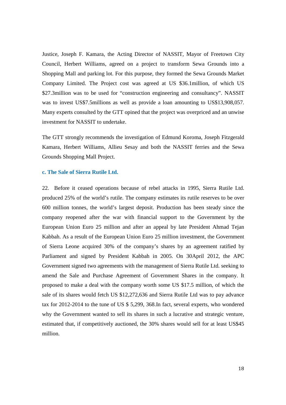Justice, Joseph F. Kamara, the Acting Director of NASSIT, Mayor of Freetown City Council, Herbert Williams, agreed on a project to transform Sewa Grounds into a Shopping Mall and parking lot. For this purpose, they formed the Sewa Grounds Market Company Limited. The Project cost was agreed at US \$36.1million, of which US \$27.3million was to be used for "construction engineering and consultancy". NASSIT was to invest US\$7.5millions as well as provide a loan amounting to US\$13,908,057. Many experts consulted by the GTT opined that the project was overpriced and an unwise investment for NASSIT to undertake.

The GTT strongly recommends the investigation of Edmund Koroma, Joseph Fitzgerald Kamara, Herbert Williams, Allieu Sesay and both the NASSIT ferries and the Sewa Grounds Shopping Mall Project.

## **c. The Sale of Sierra Rutile Ltd.**

22. Before it ceased operations because of rebel attacks in 1995, Sierra Rutile Ltd. produced 25% of the world's rutile. The company estimates its rutile reserves to be over 600 million tonnes, the world's largest deposit. Production has been steady since the company reopened after the war with financial support to the Government by the European Union Euro 25 million and after an appeal by late President Ahmad Tejan Kabbah. As a result of the European Union Euro 25 million investment, the Government of Sierra Leone acquired 30% of the company's shares by an agreement ratified by Parliament and signed by President Kabbah in 2005. On 30April 2012, the APC Government signed two agreements with the management of Sierra Rutile Ltd. seeking to amend the Sale and Purchase Agreement of Government Shares in the company. It proposed to make a deal with the company worth some US \$17.5 million, of which the sale of its shares would fetch US \$12,272,636 and Sierra Rutile Ltd was to pay advance tax for 2012-2014 to the tune of US \$ 5,299, 368.In fact, several experts, who wondered why the Government wanted to sell its shares in such a lucrative and strategic venture, estimated that, if competitively auctioned, the 30% shares would sell for at least US\$45 million.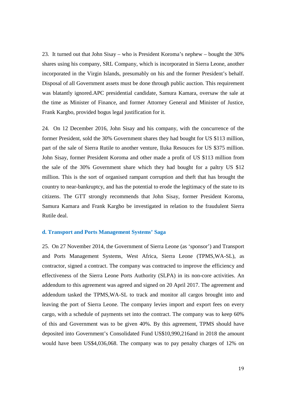23. It turned out that John Sisay – who is President Koroma's nephew – bought the 30% shares using his company, SRL Company, which is incorporated in Sierra Leone, another incorporated in the Virgin Islands, presumably on his and the former President's behalf. Disposal of all Government assets must be done through public auction. This requirement was blatantly ignored.APC presidential candidate, Samura Kamara, oversaw the sale at the time as Minister of Finance, and former Attorney General and Minister of Justice, Frank Kargbo, provided bogus legal justification for it.

24. On 12 December 2016, John Sisay and his company, with the concurrence of the former President, sold the 30% Government shares they had bought for US \$113 million, part of the sale of Sierra Rutile to another venture, Iluka Resouces for US \$375 million. John Sisay, former President Koroma and other made a profit of US \$113 million from the sale of the 30% Government share which they had bought for a paltry US \$12 million. This is the sort of organised rampant corruption and theft that has brought the country to near-bankruptcy, and has the potential to erode the legitimacy of the state to its citizens. The GTT strongly recommends that John Sisay, former President Koroma, Samura Kamara and Frank Kargbo be investigated in relation to the fraudulent Sierra Rutile deal.

## **d. Transport and Ports Management Systems' Saga**

25. On 27 November 2014, the Government of Sierra Leone (as 'sponsor') and Transport and Ports Management Systems, West Africa, Sierra Leone (TPMS,WA-SL), as contractor, signed a contract. The company was contracted to improve the efficiency and effectiveness of the Sierra Leone Ports Authority (SLPA) in its non-core activities. An addendum to this agreement was agreed and signed on 20 April 2017. The agreement and addendum tasked the TPMS,WA-SL to track and monitor all cargos brought into and leaving the port of Sierra Leone. The company levies import and export fees on every cargo, with a schedule of payments set into the contract. The company was to keep 60% of this and Government was to be given 40%. By this agreement, TPMS should have deposited into Government's Consolidated Fund US\$10,990,216and in 2018 the amount would have been US\$4,036,068. The company was to pay penalty charges of 12% on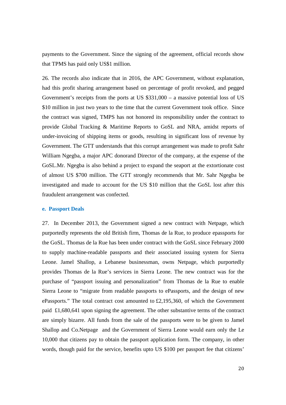payments to the Government. Since the signing of the agreement, official records show that TPMS has paid only US\$1 million.

26. The records also indicate that in 2016, the APC Government, without explanation, had this profit sharing arrangement based on percentage of profit revoked, and pegged Government's receipts from the ports at US \$331,000 – a massive potential loss of US \$10 million in just two years to the time that the current Government took office. Since the contract was signed, TMPS has not honored its responsibility under the contract to provide Global Tracking & Maritime Reports to GoSL and NRA, amidst reports of under-invoicing of shipping items or goods, resulting in significant loss of revenue by Government. The GTT understands that this corrupt arrangement was made to profit Sahr William Ngegba, a major APC donorand Director of the company, at the expense of the GoSL.Mr. Ngegba is also behind a project to expand the seaport at the extortionate cost of almost US \$700 million. The GTT strongly recommends that Mr. Sahr Ngegba be investigated and made to account for the US \$10 million that the GoSL lost after this fraudulent arrangement was confected.

#### **e. Passport Deals**

27. In December 2013, the Government signed a new contract with Netpage, which purportedly represents the old British firm, Thomas de la Rue, to produce epassports for the GoSL. Thomas de la Rue has been under contract with the GoSL since February 2000 to supply machine-readable passports and their associated issuing system for Sierra Leone. Jamel Shallop, a Lebanese businessman, owns Netpage, which purportedly provides Thomas de la Rue's services in Sierra Leone. The new contract was for the purchase of "passport issuing and personalization" from Thomas de la Rue to enable Sierra Leone to "migrate from readable passports to ePassports, and the design of new ePassports." The total contract cost amounted to £2,195,360, of which the Government paid £1,680,641 upon signing the agreement. The other substantive terms of the contract are simply bizarre. All funds from the sale of the passports were to be given to Jamel Shallop and Co.Netpage and the Government of Sierra Leone would earn only the Le 10,000 that citizens pay to obtain the passport application form. The company, in other words, though paid for the service, benefits upto US \$100 per passport fee that citizens'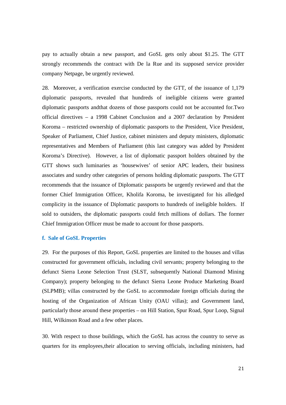pay to actually obtain a new passport, and GoSL gets only about \$1.25. The GTT strongly recommends the contract with De la Rue and its supposed service provider company Netpage, be urgently reviewed.

28. Moreover, a verification exercise conducted by the GTT, of the issuance of 1,179 diplomatic passports, revealed that hundreds of ineligible citizens were granted diplomatic passports andthat dozens of those passports could not be accounted for.Two official directives – a 1998 Cabinet Conclusion and a 2007 declaration by President Koroma – restricted ownership of diplomatic passports to the President, Vice President, Speaker of Parliament, Chief Justice, cabinet ministers and deputy ministers, diplomatic representatives and Members of Parliament (this last category was added by President Koroma's Directive). However, a list of diplomatic passport holders obtained by the GTT shows such luminaries as 'housewives' of senior APC leaders, their business associates and sundry other categories of persons holding diplomatic passports. The GTT recommends that the issuance of Diplomatic passports be urgently reviewed and that the former Chief Immigration Officer, Kholifa Koroma, be investigated for his alledged complicity in the issuance of Diplomatic passports to hundreds of ineligible holders. If sold to outsiders, the diplomatic passports could fetch millions of dollars. The former Chief Immigration Officer must be made to account for those passports.

## **f. Sale of GoSL Properties**

29. For the purposes of this Report, GoSL properties are limited to the houses and villas constructed for government officials, including civil servants; property belonging to the defunct Sierra Leone Selection Trust (SLST, subsequently National Diamond Mining Company); property belonging to the defunct Sierra Leone Produce Marketing Board (SLPMB); villas constructed by the GoSL to accommodate foreign officials during the hosting of the Organization of African Unity (OAU villas); and Government land, particularly those around these properties – on Hill Station, Spur Road, Spur Loop, Signal Hill, Wilkinson Road and a few other places.

30. With respect to those buildings, which the GoSL has across the country to serve as quarters for its employees,their allocation to serving officials, including ministers, had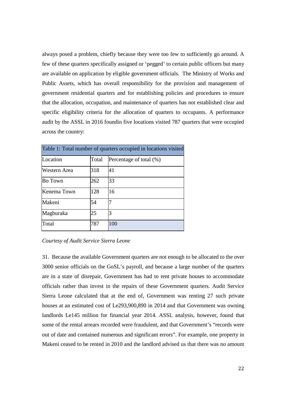always posed a problem, chiefly because they were too few to sufficiently go around. A few of these quarters specifically assigned or 'pegged' to certain public officers but many are available on application by eligible government officials. The Ministry of Works and Public Assets, which has overall responsibility for the provision and management of government residential quarters and for establishing policies and procedures to ensure that the allocation, occupation, and maintenance of quarters has not established clear and specific eligibility criteria for the allocation of quarters to occupants. A performance audit by the ASSL in 2016 foundin five locations visited 787 quarters that were occupied across the country:

| Table 1: Total number of quarters occupied in locations visited |       |                            |  |  |  |
|-----------------------------------------------------------------|-------|----------------------------|--|--|--|
| Location                                                        | Total | Percentage of total $(\%)$ |  |  |  |
| Western Area                                                    | 318   | 41                         |  |  |  |
| Bo Town                                                         | 262   | 33                         |  |  |  |
| Kenema Town                                                     | 128   | 16                         |  |  |  |
| Makeni                                                          | 54    |                            |  |  |  |
| Magburaka                                                       | 25    | 3                          |  |  |  |
| Total                                                           | 787   | 100                        |  |  |  |



31. Because the available Government quarters are not enough to be allocated to the over 3000 senior officials on the GoSL's payroll, and because a large number of the quarters are in a state of disrepair, Government has had to rent private houses to accommodate officials rather than invest in the repairs of these Government quarters. Audit Service Sierra Leone calculated that at the end of, Government was renting 27 such private houses at an estimated cost of Le293,900,890 in 2014 and that Government was owning landlords Le145 million for financial year 2014. ASSL analysis, however, found that some of the rental arrears recorded were fraudulent, and that Government's "records were out of date and contained numerous and significant errors". For example, one property in Makeni ceased to be rented in 2010 and the landlord advised us that there was no amount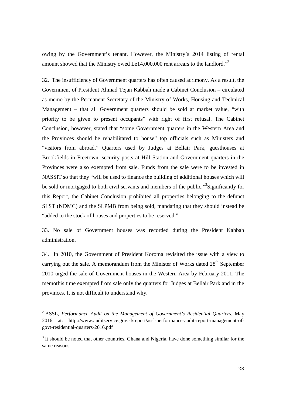owing by the Government's tenant. However, the Ministry's 2014 listing of rental amount showed that the Ministry owed Le14,000,000 rent arrears to the landlord."<sup>2</sup>

32. The insufficiency of Government quarters has often caused acrimony. As a result, the Government of President Ahmad Tejan Kabbah made a Cabinet Conclusion – circulated as memo by the Permanent Secretary of the Ministry of Works, Housing and Technical Management – that all Government quarters should be sold at market value, "with priority to be given to present occupants" with right of first refusal. The Cabinet Conclusion, however, stated that "some Government quarters in the Western Area and the Provinces should be rehabilitated to house" top officials such as Ministers and "visitors from abroad." Quarters used by Judges at Bellair Park, guesthouses at Brookfields in Freetown, security posts at Hill Station and Government quarters in the Provinces were also exempted from sale. Funds from the sale were to be invested in NASSIT so that they "will be used to finance the building of additional houses which will be sold or mortgaged to both civil servants and members of the public."<sup>3</sup>Significantly for this Report, the Cabinet Conclusion prohibited all properties belonging to the defunct SLST (NDMC) and the SLPMB from being sold, mandating that they should instead be "added to the stock of houses and properties to be reserved."

33. No sale of Government houses was recorded during the President Kabbah administration.

34. In 2010, the Government of President Koroma revisited the issue with a view to carrying out the sale. A memorandum from the Minister of Works dated  $28<sup>th</sup>$  September 2010 urged the sale of Government houses in the Western Area by February 2011. The memothis time exempted from sale only the quarters for Judges at Bellair Park and in the provinces. It is not difficult to understand why.

1

<sup>2</sup> ASSL, *Performance Audit on the Management of Government's Residential Quarters*, May 2016 at: http://www.auditservice.gov.sl/report/assl-performance-audit-report-management-ofgovt-residential-quarters-2016.pdf

<sup>&</sup>lt;sup>3</sup> It should be noted that other countries, Ghana and Nigeria, have done something similar for the same reasons.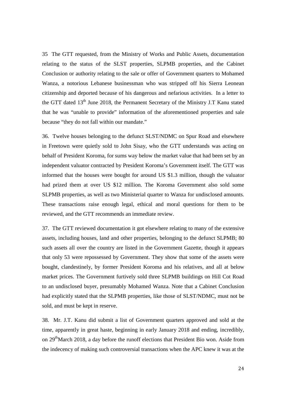35 The GTT requested, from the Ministry of Works and Public Assets, documentation relating to the status of the SLST properties, SLPMB properties, and the Cabinet Conclusion or authority relating to the sale or offer of Government quarters to Mohamed Wanza, a notorious Lebanese businessman who was stripped off his Sierra Leonean citizenship and deported because of his dangerous and nefarious activities. In a letter to the GTT dated 13<sup>th</sup> June 2018, the Permanent Secretary of the Ministry J.T Kanu stated that he was "unable to provide" information of the aforementioned properties and sale because "they do not fall within our mandate."

36. Twelve houses belonging to the defunct SLST/NDMC on Spur Road and elsewhere in Freetown were quietly sold to John Sisay, who the GTT understands was acting on behalf of President Koroma, for sums way below the market value that had been set by an independent valuator contracted by President Koroma's Government itself. The GTT was informed that the houses were bought for around US \$1.3 million, though the valuator had prized them at over US \$12 million. The Koroma Government also sold some SLPMB properties, as well as two Ministerial quarter to Wanza for undisclosed amounts. These transactions raise enough legal, ethical and moral questions for them to be reviewed, and the GTT recommends an immediate review.

37. The GTT reviewed documentation it got elsewhere relating to many of the extensive assets, including houses, land and other properties, belonging to the defunct SLPMB; 80 such assets all over the country are listed in the Government Gazette, though it appears that only 53 were repossessed by Government. They show that some of the assets were bought, clandestinely, by former President Koroma and his relatives, and all at below market prices. The Government furtively sold three SLPMB buildings on Hill Cot Road to an undisclosed buyer, presumably Mohamed Wanza. Note that a Cabinet Conclusion had explicitly stated that the SLPMB properties, like those of SLST/NDMC, must not be sold, and must be kept in reserve.

38. Mr. J.T. Kanu did submit a list of Government quarters approved and sold at the time, apparently in great haste, beginning in early January 2018 and ending, incredibly, on 29<sup>th</sup>March 2018, a day before the runoff elections that President Bio won. Aside from the indecency of making such controversial transactions when the APC knew it was at the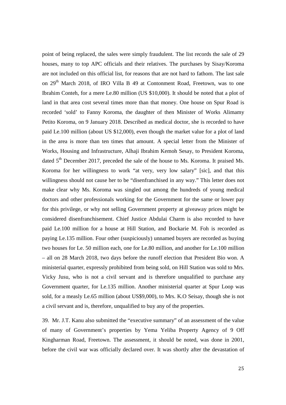point of being replaced, the sales were simply fraudulent. The list records the sale of 29 houses, many to top APC officials and their relatives. The purchases by Sisay/Koroma are not included on this official list, for reasons that are not hard to fathom. The last sale on 29<sup>th</sup> March 2018, of IRO Villa B 49 at Contonment Road, Freetown, was to one Ibrahim Conteh, for a mere Le.80 million (US \$10,000). It should be noted that a plot of land in that area cost several times more than that money. One house on Spur Road is recorded 'sold' to Fanny Koroma, the daughter of then Minister of Works Alimamy Petito Koroma, on 9 January 2018. Described as medical doctor, she is recorded to have paid Le.100 million (about US \$12,000), even though the market value for a plot of land in the area is more than ten times that amount. A special letter from the Minister of Works, Housing and Infrastructure, Alhaji Ibrahim Kemoh Sesay, to President Koroma, dated  $5<sup>th</sup>$  December 2017, preceded the sale of the house to Ms. Koroma. It praised Ms. Koroma for her willingness to work "at very, very low salary" [sic], and that this willingness should not cause her to be "disenfranchised in any way." This letter does not make clear why Ms. Koroma was singled out among the hundreds of young medical doctors and other professionals working for the Government for the same or lower pay for this privilege, or why not selling Government property at giveaway prices might be considered disenfranchisement. Chief Justice Abdulai Charm is also recorded to have paid Le.100 million for a house at Hill Station, and Bockarie M. Foh is recorded as paying Le.135 million. Four other (suspiciously) unnamed buyers are recorded as buying two houses for Le. 50 million each, one for Le.80 million, and another for Le.100 million – all on 28 March 2018, two days before the runoff election that President Bio won. A ministerial quarter, expressly prohibited from being sold, on Hill Station was sold to Mrs. Vicky Jusu, who is not a civil servant and is therefore unqualified to purchase any Government quarter, for Le.135 million. Another ministerial quarter at Spur Loop was sold, for a measly Le.65 million (about US\$9,000), to Mrs. K.O Seisay, though she is not a civil servant and is, therefore, unqualified to buy any of the properties.

39. Mr. J.T. Kanu also submitted the "executive summary" of an assessment of the value of many of Government's properties by Yema Yeliba Property Agency of 9 Off Kingharman Road, Freetown. The assessment, it should be noted, was done in 2001, before the civil war was officially declared over. It was shortly after the devastation of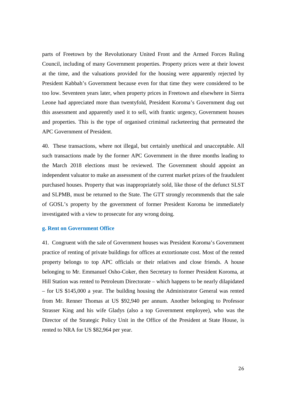parts of Freetown by the Revolutionary United Front and the Armed Forces Ruling Council, including of many Government properties. Property prices were at their lowest at the time, and the valuations provided for the housing were apparently rejected by President Kabbah's Government because even for that time they were considered to be too low. Seventeen years later, when property prices in Freetown and elsewhere in Sierra Leone had appreciated more than twentyfold, President Koroma's Government dug out this assessment and apparently used it to sell, with frantic urgency, Government houses and properties. This is the type of organised crimimal racketeering that permeated the APC Government of President.

40. These transactions, where not illegal, but certainly unethical and unacceptable. All such transactions made by the former APC Government in the three months leading to the March 2018 elections must be reviewed. The Government should appoint an independent valuator to make an assessment of the current market prizes of the fraudulent purchased houses. Property that was inappropriately sold, like those of the defunct SLST and SLPMB, must be returned to the State. The GTT strongly recommends that the sale of GOSL's property by the government of former President Koroma be immediately investigated with a view to prosecute for any wrong doing.

#### **g. Rent on Government Office**

41. Congruent with the sale of Government houses was President Koroma's Government practice of renting of private buildings for offices at extortionate cost. Most of the rented property belongs to top APC officials or their relatives and close friends. A house belonging to Mr. Emmanuel Osho-Coker, then Secretary to former President Koroma, at Hill Station was rented to Petroleum Directorate – which happens to be nearly dilapidated – for US \$145,000 a year. The building housing the Administrator General was rented from Mr. Renner Thomas at US \$92,940 per annum. Another belonging to Professor Strasser King and his wife Gladys (also a top Government employee), who was the Director of the Strategic Policy Unit in the Office of the President at State House, is rented to NRA for US \$82,964 per year.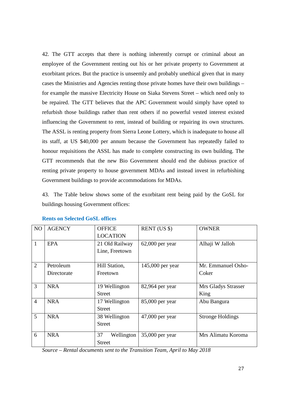42. The GTT accepts that there is nothing inherently corrupt or criminal about an employee of the Government renting out his or her private property to Government at exorbitant prices. But the practice is unseemly and probably unethical given that in many cases the Ministries and Agencies renting those private homes have their own buildings – for example the massive Electricity House on Siaka Stevens Street – which need only to be repaired. The GTT believes that the APC Government would simply have opted to refurbish those buildings rather than rent others if no powerful vested interest existed influencing the Government to rent, instead of building or repairing its own structures. The ASSL is renting property from Sierra Leone Lottery, which is inadequate to house all its staff, at US \$40,000 per annum because the Government has repeatedly failed to honour requisitions the ASSL has made to complete constructing its own building. The GTT recommends that the new Bio Government should end the dubious practice of renting private property to house government MDAs and instead invest in refurbishing Government buildings to provide accommodations for MDAs.

43. The Table below shows some of the exorbitant rent being paid by the GoSL for buildings housing Government offices:

| N <sub>O</sub> | <b>AGENCY</b> | <b>OFFICE</b>    | RENT (US \$)     | <b>OWNER</b>            |
|----------------|---------------|------------------|------------------|-------------------------|
|                |               | <b>LOCATION</b>  |                  |                         |
| 1              | <b>EPA</b>    | 21 Old Railway   | 62,000 per year  | Alhaji W Jalloh         |
|                |               | Line, Freetown   |                  |                         |
|                |               |                  |                  |                         |
| $\overline{2}$ | Petroleum     | Hill Station,    | 145,000 per year | Mr. Emmanuel Osho-      |
|                | Directorate   | Freetown         |                  | Coker                   |
|                |               |                  |                  |                         |
| 3              | <b>NRA</b>    | 19 Wellington    | 82,964 per year  | Mrs Gladys Strasser     |
|                |               | <b>Street</b>    |                  | King                    |
| $\overline{4}$ | <b>NRA</b>    | 17 Wellington    | 85,000 per year  | Abu Bangura             |
|                |               | <b>Street</b>    |                  |                         |
| 5              | <b>NRA</b>    | 38 Wellington    | 47,000 per year  | <b>Stronge Holdings</b> |
|                |               | <b>Street</b>    |                  |                         |
|                |               |                  |                  |                         |
| 6              | <b>NRA</b>    | 37<br>Wellington | 35,000 per year  | Mrs Alimatu Koroma      |
|                |               | <b>Street</b>    |                  |                         |

## **Rents on Selected GoSL offices**

*Source – Rental documents sent to the Transition Team, April to May 2018*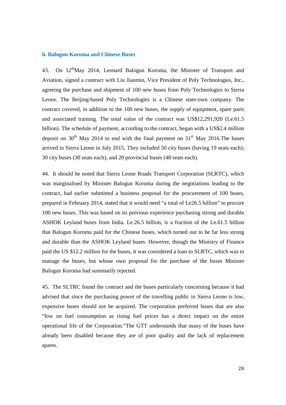## **h. Balogun Koroma and Chinese Buses**

43. On 12<sup>th</sup>May 2014, Leonard Balogun Koroma, the Minister of Transport and Aviation, signed a contract with Liu Jianmin, Vice President of Poly Technologies, Inc., agreeing the purchase and shipment of 100 new buses from Poly Technologies to Sierra Leone. The Beijing-based Poly Technologies is a Chinese state-own company. The contract covered, in addition to the 100 new buses, the supply of equipment, spare parts and associated training. The total value of the contract was US\$12,291,920 (Le.61.5 billion). The schedule of payment, according to the contract, began with a US\$2.4 million deposit on  $30<sup>th</sup>$  May 2014 to end with the final payment on  $31<sup>st</sup>$  May 2016. The buses arrived in Sierra Leone in July 2015. They included 50 city buses (having 19 seats each); 30 city buses (30 seats each), and 20 provincial buses (48 seats each).

44. It should be noted that Sierra Leone Roads Transport Corporation (SLRTC), which was marginalised by Minister Balogun Koroma during the negotiations leading to the contract, had earlier submitted a business proposal for the procurement of 100 buses, prepared in February 2014, stated that it would need "a total of Le26.5 billion" to procure 100 new buses. This was based on its previous experience purchasing strong and durable ASHOK Leyland buses from India. Le.26.5 billion, is a fraction of the Le.61.5 billion that Balogun Koroma paid for the Chinese buses, which turned out to be far less strong and durable than the ASHOK Leyland buses. However, though the Ministry of Finance paid the US \$12.2 million for the buses, it was considered a loan to SLRTC, which was to manage the buses, but whose own proposal for the purchase of the buses Minister Balogun Koroma had summarily rejected.

45. The SLTRC found the contract and the buses particularly concerning because it had advised that since the purchasing power of the travelling public in Sierra Leone is low, expensive buses should not be acquired. The corporation preferred buses that are also "low on fuel consumption as rising fuel prices has a direct impact on the entire operational life of the Corporation."The GTT understands that many of the buses have already been disabled because they are of poor quality and the lack of replacement spares.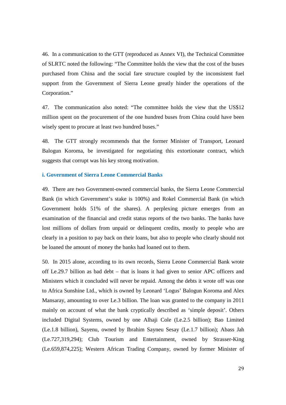46. In a communication to the GTT (reproduced as Annex VI), the Technical Committee of SLRTC noted the following: "The Committee holds the view that the cost of the buses purchased from China and the social fare structure coupled by the inconsistent fuel support from the Government of Sierra Leone greatly hinder the operations of the Corporation."

47. The communication also noted: "The committee holds the view that the US\$12 million spent on the procurement of the one hundred buses from China could have been wisely spent to procure at least two hundred buses."

48. The GTT strongly recommends that the former Minister of Transport, Leonard Balogun Koroma, be investigated for negotiating this extortionate contract, which suggests that corrupt was his key strong motivation.

## **i. Government of Sierra Leone Commercial Banks**

49. There are two Government-owned commercial banks, the Sierra Leone Commercial Bank (in which Government's stake is 100%) and Rokel Commercial Bank (in which Government holds 51% of the shares). A perplexing picture emerges from an examination of the financial and credit status reports of the two banks. The banks have lost millions of dollars from unpaid or delinquent credits, mostly to people who are clearly in a position to pay back on their loans, but also to people who clearly should not be loaned the amount of money the banks had loaned out to them.

50. In 2015 alone, according to its own records, Sierra Leone Commercial Bank wrote off Le.29.7 billion as bad debt – that is loans it had given to senior APC officers and Ministers which it concluded will never be repaid. Among the debts it wrote off was one to Africa Sunshine Ltd., which is owned by Leonard 'Logus' Balogun Koroma and Alex Mansaray, amounting to over Le.3 billion. The loan was granted to the company in 2011 mainly on account of what the bank cryptically described as 'simple deposit'. Others included Digital Systems, owned by one Alhaji Cole (Le.2.5 billion); Bao Limited (Le.1.8 billion), Sayenu, owned by Ibrahim Sayneu Sesay (Le.1.7 billion); Abass Jah (Le.727,319,294); Club Tourism and Entertainment, owned by Strasser-King (Le.659,874,225); Western African Trading Company, owned by former Minister of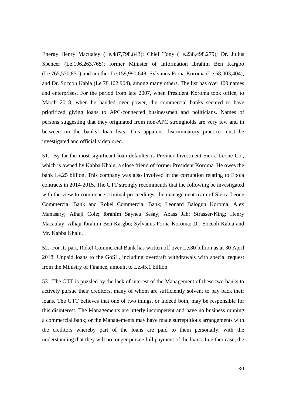Energy Henry Macualey (Le.487,798,843); Chief Tony (Le.238,498,279); Dr. Julius Spencer (Le.106,263,765); former Minister of Information Ibrahim Ben Kargbo (Le.765,570,851) and another Le.159,990,648; Sylvanus Forna Koroma (Le.68,003,404); and Dr. Soccoh Kabia (Le.78,102,904), among many others. The list has over 100 names and enterprises. For the period from late 2007, when President Koroma took office, to March 2018, when he handed over power, the commercial banks seemed to have prioritized giving loans to APC-connected businessmen and politicians. Names of persons suggesting that they originated from non-APC strongholds are very few and in between on the banks' loan lists. This apparent discriminatory practice must be investigated and officially deplored.

51. By far the most significant loan defaulter is Premier Investment Sierra Leone Co., which is owned by Kabba Khalu, a close friend of former President Koroma. He owes the bank Le.25 billion. This company was also involved in the corruption relating to Ebola contracts in 2014-2015. The GTT strongly recommends that the following be investigated with the view to commence criminal proceedings: the management team of Sierra Leone Commercial Bank and Rokel Commercial Bank; Leonard Balogun Koroma; Alex Manasary; Alhaji Cole; Ibrahim Sayneu Sesay; Abass Jah; Strasser-King; Henry Macaulay; Alhaji Ibrahim Ben Kargbo; Sylvanus Forna Koroma; Dr. Soccoh Kabia and Mr. Kabba Khalu.

52. For its part, Rokel Commercial Bank has written off over Le.80 billion as at 30 April 2018. Unpaid loans to the GoSL, including overdraft withdrawals with special request from the Ministry of Finance, amount to Le.45.1 billion.

53. The GTT is puzzled by the lack of interest of the Management of these two banks to actively pursue their creditors, many of whom are sufficiently solvent to pay back their loans. The GTT believes that one of two things, or indeed both, may be responsible for this disinterest. The Managements are utterly incompetent and have no business running a commercial bank; or the Managements may have made surreptitious arrangements with the creditors whereby part of the loans are paid to them personally, with the understanding that they will no longer pursue full payment of the loans. In either case, the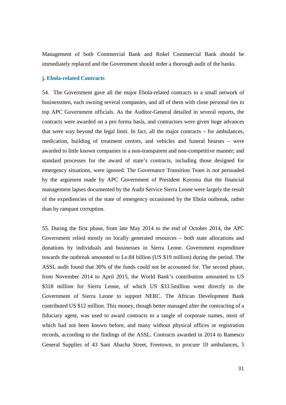Management of both Commercial Bank and Rokel Commercial Bank should be immediately replaced and the Government should order a thorough audit of the banks.

#### **j. Ebola-related Contracts**

54. The Government gave all the major Ebola-related contracts to a small network of businessmen, each owning several companies, and all of them with close personal ties to top APC Government officials. As the Auditor-General detailed in several reports, the contracts were awarded on a pro forma basis, and contractors were given huge advances that were way beyond the legal limit. In fact, all the major contracts – for ambulances, medication, building of treatment centres, and vehicles and funeral hearses – were awarded to little known companies in a non-transparent and non-competitive manner; and standard processes for the award of state's contracts, including those designed for emergency situations, were ignored. The Governance Transition Team is not persuaded by the argument made by APC Government of President Koroma that the financial management lapses documented by the Audit Service Sierra Leone were largely the result of the expediencies of the state of emergency occasioned by the Ebola outbreak, rather than by rampant corruption.

55. During the first phase, from late May 2014 to the end of October 2014, the APC Government relied mostly on locally generated resources – both state allocations and donations by individuals and businesses in Sierra Leone. Government expenditure towards the outbreak amounted to Le.84 billion (US \$19 million) during the period. The ASSL audit found that 30% of the funds could not be accounted for. The second phase, from November 2014 to April 2015, the World Bank's contribution amounted to US \$318 million for Sierra Leone, of which US \$33.5million went directly to the Government of Sierra Leone to support NERC. The African Development Bank contributed US \$12 million. This money, though better managed after the contracting of a fiduciary agent, was used to award contracts to a tangle of corporate names, most of which had not been known before, and many without physical offices or registration records, according to the findings of the ASSL. Contracts awarded in 2014 to Ramesco General Supplies of 43 Sani Abacha Street, Freetown, to procure 10 ambulances, 5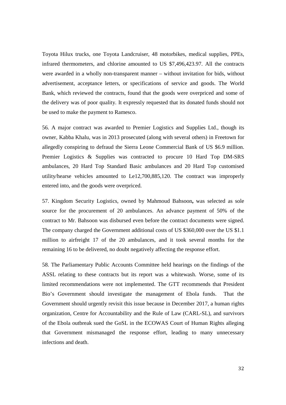Toyota Hilux trucks, one Toyota Landcruiser, 48 motorbikes, medical supplies, PPEs, infrared thermometers, and chlorine amounted to US \$7,496,423.97. All the contracts were awarded in a wholly non-transparent manner – without invitation for bids, without advertisement, acceptance letters, or specifications of service and goods. The World Bank, which reviewed the contracts, found that the goods were overpriced and some of the delivery was of poor quality. It expressly requested that its donated funds should not be used to make the payment to Ramesco.

56. A major contract was awarded to Premier Logistics and Supplies Ltd., though its owner, Kabba Khalu, was in 2013 prosecuted (along with several others) in Freetown for allegedly conspiring to defraud the Sierra Leone Commercial Bank of US \$6.9 million. Premier Logistics & Supplies was contracted to procure 10 Hard Top DM-SRS ambulances, 20 Hard Top Standard Basic ambulances and 20 Hard Top customised utility/hearse vehicles amounted to Le12,700,885,120. The contract was improperly entered into, and the goods were overpriced.

57. Kingdom Security Logistics, owned by Mahmoud Bahsoon**,** was selected as sole source for the procurement of 20 ambulances. An advance payment of 50% of the contract to Mr. Bahsoon was disbursed even before the contract documents were signed. The company charged the Government additional costs of US \$360,000 over the US \$1.1 million to airfreight 17 of the 20 ambulances, and it took several months for the remaining 16 to be delivered, no doubt negatively affecting the response effort.

58. The Parliamentary Public Accounts Committee held hearings on the findings of the ASSL relating to these contracts but its report was a whitewash. Worse, some of its limited recommendations were not implemented. The GTT recommends that President Bio's Government should investigate the management of Ebola funds. That the Government should urgently revisit this issue because in December 2017, a human rights organization, Centre for Accountability and the Rule of Law (CARL-SL), and survivors of the Ebola outbreak sued the GoSL in the ECOWAS Court of Human Rights alleging that Government mismanaged the response effort, leading to many unnecessary infections and death.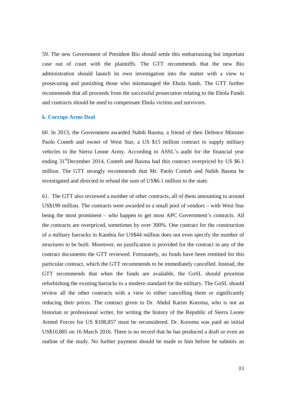59. The new Government of President Bio should settle this embarrassing but important case out of court with the plaintiffs. The GTT recommends that the new Bio administration should launch its own investigation into the matter with a view to prosecuting and punishing those who mismanaged the Ebola funds. The GTT further recommends that all proceeds from the successful prosecution relating to the Ebola Funds and contracts should be used to compensate Ebola victims and survivors.

#### **k. Corrupt Arms Deal**

60. In 2013, the Government awarded Nabih Basma, a friend of then Defence Minister Paolo Conteh and owner of West Star, a US \$15 million contract to supply military vehicles to the Sierra Leone Army. According to ASSL's audit for the financial year ending  $31^{\text{st}}$ December 2014, Conteh and Basma had this contract overpriced by US \$6.1 million. The GTT strongly recommends that Mr. Paolo Conteh and Nabih Basma be investigated and directed to refund the sum of US\$6.1 million to the state.

61. The GTT also reviewed a number of other contracts, all of them amounting to around US\$190 million. The contracts were awarded to a small pool of vendors – with West Star being the most prominent – who happen to get most APC Government's contracts. All the contracts are overpriced, sometimes by over 300%. One contract for the construction of a military barracks in Kambia for US\$44 million does not even specify the number of structures to be built. Moreover, no justification is provided for the contract in any of the contract documents the GTT reviewed. Fortunately, no funds have been remitted for this particular contract, which the GTT recommends to be immediately cancelled. Instead, the GTT recommends that when the funds are available, the GoSL should prioritise refurbishing the existing barracks to a modern standard for the military. The GoSL should review all the other contracts with a view to either cancelling them or significantly reducing their prices. The contract given to Dr. Abdul Karim Koroma, who is not an historian or professional writer, for writing the history of the Republic of Sierra Leone Armed Forces for US \$108,857 must be reconsidered. Dr. Koroma was paid an initial US\$10,885 on 16 March 2016. There is no record that he has produced a draft or even an outline of the study. No further payment should be made to him before he submits an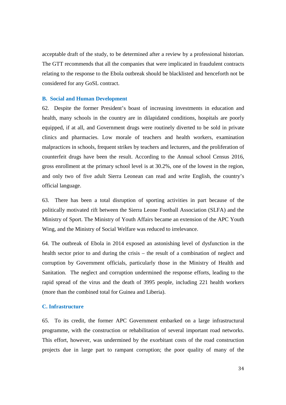acceptable draft of the study, to be determined after a review by a professional historian. The GTT recommends that all the companies that were implicated in fraudulent contracts relating to the response to the Ebola outbreak should be blacklisted and henceforth not be considered for any GoSL contract.

## **B. Social and Human Development**

62. Despite the former President's boast of increasing investments in education and health, many schools in the country are in dilapidated conditions, hospitals are poorly equipped, if at all, and Government drugs were routinely diverted to be sold in private clinics and pharmacies. Low morale of teachers and health workers, examination malpractices in schools, frequent strikes by teachers and lecturers, and the proliferation of counterfeit drugs have been the result. According to the Annual school Census 2016, gross enrollment at the primary school level is at 30.2%, one of the lowest in the region, and only two of five adult Sierra Leonean can read and write English, the country's official language.

63. There has been a total disruption of sporting activities in part because of the politically motivated rift between the Sierra Leone Football Association (SLFA) and the Ministry of Sport. The Ministry of Youth Affairs became an extension of the APC Youth Wing, and the Ministry of Social Welfare was reduced to irrelevance.

64. The outbreak of Ebola in 2014 exposed an astonishing level of dysfunction in the health sector prior to and during the crisis – the result of a combination of neglect and corruption by Government officials, particularly those in the Ministry of Health and Sanitation. The neglect and corruption undermined the response efforts, leading to the rapid spread of the virus and the death of 3995 people, including 221 health workers (more than the combined total for Guinea and Liberia).

#### **C. Infrastructure**

65. To its credit, the former APC Government embarked on a large infrastructural programme, with the construction or rehabilitation of several important road networks. This effort, however, was undermined by the exorbitant costs of the road construction projects due in large part to rampant corruption; the poor quality of many of the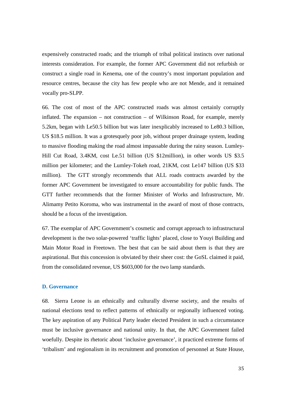expensively constructed roads; and the triumph of tribal political instincts over national interests consideration. For example, the former APC Government did not refurbish or construct a single road in Kenema, one of the country's most important population and resource centres, because the city has few people who are not Mende, and it remained vocally pro-SLPP.

66. The cost of most of the APC constructed roads was almost certainly corruptly inflated. The expansion – not construction – of Wilkinson Road, for example, merely 5.2km, began with Le50.5 billion but was later inexplicably increased to Le80.3 billion, US \$18.5 million. It was a grotesquely poor job, without proper drainage system, leading to massive flooding making the road almost impassable during the rainy season. Lumley-Hill Cut Road, 3.4KM, cost Le.51 billion (US \$12million), in other words US \$3.5 million per kilometer; and the Lumley-Tokeh road, 21KM, cost Le147 billion (US \$33 million). The GTT strongly recommends that ALL roads contracts awarded by the former APC Government be investigated to ensure accountability for public funds. The GTT further recommends that the former Minister of Works and Infrastructure, Mr. Alimamy Petito Koroma, who was instrumental in the award of most of those contracts, should be a focus of the investigation.

67. The exemplar of APC Government's cosmetic and corrupt approach to infrastructural development is the two solar-powered 'traffic lights' placed, close to Youyi Building and Main Motor Road in Freetown. The best that can be said about them is that they are aspirational. But this concession is obviated by their sheer cost: the GoSL claimed it paid, from the consolidated revenue, US \$603,000 for the two lamp standards.

## **D. Governance**

68. Sierra Leone is an ethnically and culturally diverse society, and the results of national elections tend to reflect patterns of ethnically or regionally influenced voting. The key aspiration of any Political Party leader elected President in such a circumstance must be inclusive governance and national unity. In that, the APC Government failed woefully. Despite its rhetoric about 'inclusive governance', it practiced extreme forms of 'tribalism' and regionalism in its recruitment and promotion of personnel at State House,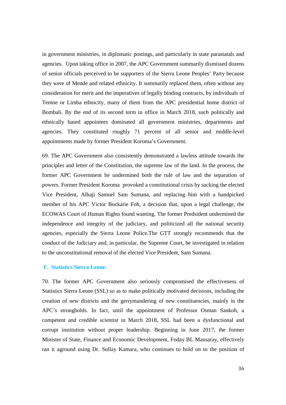in government ministries, in diplomatic postings, and particularly in state parastatals and agencies. Upon taking office in 2007, the APC Government summarily dismissed dozens of senior officials perceived to be supporters of the Sierra Leone Peoples' Party because they were of Mende and related ethnicity. It summarily replaced them, often without any consideration for merit and the imperatives of legally binding contracts, by individuals of Temne or Limba ethnicity, many of them from the APC presidential home district of Bombali. By the end of its second term in office in March 2018, such politically and ethnically based appointees dominated all government ministries, departments and agencies. They constituted roughly 71 percent of all senior and middle-level appointments made by former President Koroma's Government.

69. The APC Government also consistently demonstrated a lawless attitude towards the principles and letter of the Constitution, the supreme law of the land. In the process, the former APC Government he undermined both the rule of law and the separation of powers. Former President Koroma provoked a constitutional crisis by sacking the elected Vice President, Alhaji Samuel Sam Sumana, and replacing him with a handpicked member of his APC Victor Bockarie Foh, a decision that, upon a legal challenge, the ECOWAS Court of Human Rights found wanting. The former Predsident undermined the independence and integrity of the judiciary, and politicized all the national security agencies, especially the Sierra Leone Police.The GTT strongly recommends that the conduct of the Judiciary and, in particular, the Supreme Court, be investigated in relation to the unconstitutional removal of the elected Vice President, Sam Sumana.

## **F. Statistics Sierra Leone:**

70. The former APC Government also seriously compromised the effectiveness of Statistics Sierra Leone (SSL) so as to make politically motivated decisions, including the creation of new districts and the gerrymandering of new constituencies, mainly in the APC's strongholds. In fact, until the appointment of Professor Osman Sankoh, a competent and credible scientist in March 2018, SSL had been a dysfunctional and corrupt institution without proper leadership. Beginning in June 2017, the former Minister of State, Finance and Economic Development, Foday BL Mansaray, effectively ran it aground using Dr. Sullay Kamara, who continues to hold on to the position of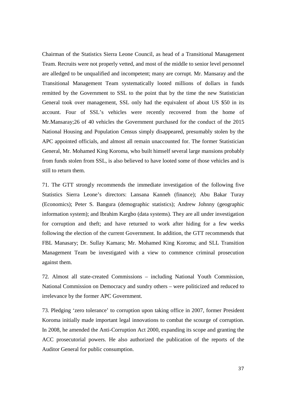Chairman of the Statistics Sierra Leone Council, as head of a Transitional Management Team. Recruits were not properly vetted, and most of the middle to senior level personnel are alledged to be unqualified and incompetent; many are corrupt. Mr. Mansaray and the Transitional Management Team systematically looted millions of dollars in funds remitted by the Government to SSL to the point that by the time the new Statistician General took over management, SSL only had the equivalent of about US \$50 in its account. Four of SSL's vehicles were recently recovered from the home of Mr.Mansaray;26 of 40 vehicles the Government purchased for the conduct of the 2015 National Housing and Population Census simply disappeared, presumably stolen by the APC appointed officials, and almost all remain unaccounted for. The former Statistician General, Mr. Mohamed King Koroma, who built himself several large mansions probably from funds stolen from SSL, is also believed to have looted some of those vehicles and is still to return them.

71. The GTT strongly recommends the immediate investigation of the following five Statistics Sierra Leone's directors: Lansana Kanneh (finance); Abu Bakar Turay (Economics); Peter S. Bangura (demographic statistics); Andrew Johnny (geographic information system); and Ibrahim Kargbo (data systems). They are all under investigation for corruption and theft; and have returned to work after hiding for a few weeks following the election of the current Government. In addition, the GTT recommends that FBL Manasary; Dr. Sullay Kamara; Mr. Mohamed King Koroma; and SLL Transition Management Team be investigated with a view to commence criminal prosecution against them.

72. Almost all state-created Commissions – including National Youth Commission, National Commission on Democracy and sundry others – were politicized and reduced to irrelevance by the former APC Government.

73. Pledging 'zero tolerance' to corruption upon taking office in 2007, former President Koroma initially made important legal innovations to combat the scourge of corruption. In 2008, he amended the Anti-Corruption Act 2000, expanding its scope and granting the ACC prosecutorial powers. He also authorized the publication of the reports of the Auditor General for public consumption.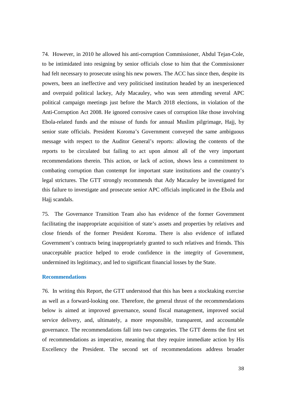74. However, in 2010 he allowed his anti-corruption Commissioner, Abdul Tejan-Cole, to be intimidated into resigning by senior officials close to him that the Commissioner had felt necessary to prosecute using his new powers. The ACC has since then, despite its powers, been an ineffective and very politicised institution headed by an inexperienced and overpaid political lackey, Ady Macauley, who was seen attending several APC political campaign meetings just before the March 2018 elections, in violation of the Anti-Corruption Act 2008. He ignored corrosive cases of corruption like those involving Ebola-related funds and the misuse of funds for annual Muslim pilgrimage, Hajj, by senior state officials. President Koroma's Government conveyed the same ambiguous message with respect to the Auditor General's reports: allowing the contents of the reports to be circulated but failing to act upon almost all of the very important recommendations therein. This action, or lack of action, shows less a commitment to combating corruption than contempt for important state institutions and the country's legal strictures. The GTT strongly recommends that Ady Macauley be investigated for this failure to investigate and prosecute senior APC officials implicated in the Ebola and Haji scandals.

75. The Governance Transition Team also has evidence of the former Government facilitating the inappropriate acquisition of state's assets and properties by relatives and close friends of the former President Koroma. There is also evidence of inflated Government's contracts being inappropriately granted to such relatives and friends. This unacceptable practice helped to erode confidence in the integrity of Government, undermined its legitimacy, and led to significant financial losses by the State.

### **Recommendations**

76. In writing this Report, the GTT understood that this has been a stocktaking exercise as well as a forward-looking one. Therefore, the general thrust of the recommendations below is aimed at improved governance, sound fiscal management, improved social service delivery, and, ultimately, a more responsible, transparent, and accountable governance. The recommendations fall into two categories. The GTT deems the first set of recommendations as imperative, meaning that they require immediate action by His Excellency the President. The second set of recommendations address broader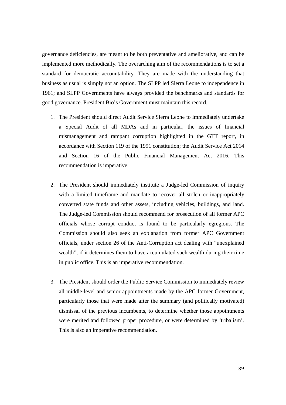governance deficiencies, are meant to be both preventative and ameliorative, and can be implemented more methodically. The overarching aim of the recommendations is to set a standard for democratic accountability. They are made with the understanding that business as usual is simply not an option. The SLPP led Sierra Leone to independence in 1961; and SLPP Governments have always provided the benchmarks and standards for good governance. President Bio's Government must maintain this record.

- 1. The President should direct Audit Service Sierra Leone to immediately undertake a Special Audit of all MDAs and in particular, the issues of financial mismanagement and rampant corruption highlighted in the GTT report, in accordance with Section 119 of the 1991 constitution; the Audit Service Act 2014 and Section 16 of the Public Financial Management Act 2016. This recommendation is imperative.
- 2. The President should immediately institute a Judge-led Commission of inquiry with a limited timeframe and mandate to recover all stolen or inappropriately converted state funds and other assets, including vehicles, buildings, and land. The Judge-led Commission should recommend for prosecution of all former APC officials whose corrupt conduct is found to be particularly egregious. The Commission should also seek an explanation from former APC Government officials, under section 26 of the Anti-Corruption act dealing with "unexplained wealth", if it determines them to have accumulated such wealth during their time in public office. This is an imperative recommendation.
- 3. The President should order the Public Service Commission to immediately review all middle-level and senior appointments made by the APC former Government, particularly those that were made after the summary (and politically motivated) dismissal of the previous incumbents, to determine whether those appointments were merited and followed proper procedure, or were determined by 'tribalism'. This is also an imperative recommendation.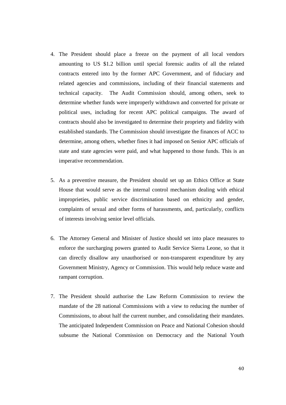- 4. The President should place a freeze on the payment of all local vendors amounting to US \$1.2 billion until special forensic audits of all the related contracts entered into by the former APC Government, and of fiduciary and related agencies and commissions, including of their financial statements and technical capacity. The Audit Commission should, among others, seek to determine whether funds were improperly withdrawn and converted for private or political uses, including for recent APC political campaigns. The award of contracts should also be investigated to determine their propriety and fidelity with established standards. The Commission should investigate the finances of ACC to determine, among others, whether fines it had imposed on Senior APC officials of state and state agencies were paid, and what happened to those funds. This is an imperative recommendation.
- 5. As a preventive measure, the President should set up an Ethics Office at State House that would serve as the internal control mechanism dealing with ethical improprieties, public service discrimination based on ethnicity and gender, complaints of sexual and other forms of harassments, and, particularly, conflicts of interests involving senior level officials.
- 6. The Attorney General and Minister of Justice should set into place measures to enforce the surcharging powers granted to Audit Service Sierra Leone, so that it can directly disallow any unauthorised or non-transparent expenditure by any Government Ministry, Agency or Commission. This would help reduce waste and rampant corruption.
- 7. The President should authorise the Law Reform Commission to review the mandate of the 28 national Commissions with a view to reducing the number of Commissions, to about half the current number, and consolidating their mandates. The anticipated Independent Commission on Peace and National Cohesion should subsume the National Commission on Democracy and the National Youth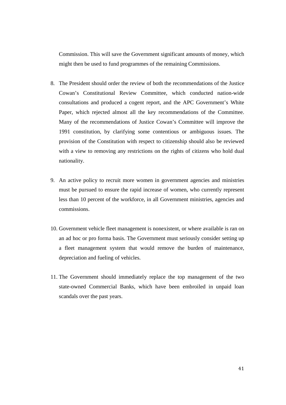Commission. This will save the Government significant amounts of money, which might then be used to fund programmes of the remaining Commissions.

- 8. The President should order the review of both the recommendations of the Justice Cowan's Constitutional Review Committee, which conducted nation-wide consultations and produced a cogent report, and the APC Government's White Paper, which rejected almost all the key recommendations of the Committee. Many of the recommendations of Justice Cowan's Committee will improve the 1991 constitution, by clarifying some contentious or ambiguous issues. The provision of the Constitution with respect to citizenship should also be reviewed with a view to removing any restrictions on the rights of citizens who hold dual nationality.
- 9. An active policy to recruit more women in government agencies and ministries must be pursued to ensure the rapid increase of women, who currently represent less than 10 percent of the workforce, in all Government ministries, agencies and commissions.
- 10. Government vehicle fleet management is nonexistent, or where available is ran on an ad hoc or pro forma basis. The Government must seriously consider setting up a fleet management system that would remove the burden of maintenance, depreciation and fueling of vehicles.
- 11. The Government should immediately replace the top management of the two state-owned Commercial Banks, which have been embroiled in unpaid loan scandals over the past years.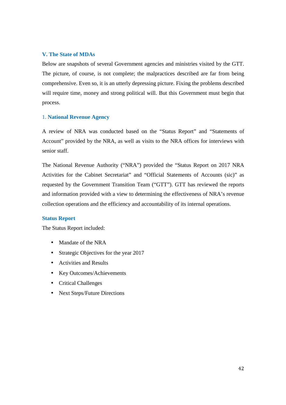## **V. The State of MDAs**

Below are snapshots of several Government agencies and ministries visited by the GTT. The picture, of course, is not complete; the malpractices described are far from being comprehensive. Even so, it is an utterly depressing picture. Fixing the problems described will require time, money and strong political will. But this Government must begin that process.

## 1. **National Revenue Agency**

A review of NRA was conducted based on the "Status Report" and "Statements of Account" provided by the NRA, as well as visits to the NRA offices for interviews with senior staff.

The National Revenue Authority ("NRA") provided the "Status Report on 2017 NRA Activities for the Cabinet Secretariat" and "Official Statements of Accounts (sic)" as requested by the Government Transition Team ("GTT"). GTT has reviewed the reports and information provided with a view to determining the effectiveness of NRA's revenue collection operations and the efficiency and accountability of its internal operations.

## **Status Report**

The Status Report included:

- Mandate of the NRA
- Strategic Objectives for the year 2017
- Activities and Results
- Key Outcomes/Achievements
- Critical Challenges
- Next Steps/Future Directions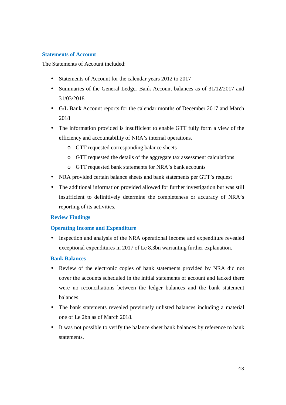## **Statements of Account**

The Statements of Account included:

- Statements of Account for the calendar years 2012 to 2017
- Summaries of the General Ledger Bank Account balances as of 31/12/2017 and 31/03/2018
- G/L Bank Account reports for the calendar months of December 2017 and March 2018
- The information provided is insufficient to enable GTT fully form a view of the efficiency and accountability of NRA's internal operations.
	- o GTT requested corresponding balance sheets
	- o GTT requested the details of the aggregate tax assessment calculations
	- o GTT requested bank statements for NRA's bank accounts
- NRA provided certain balance sheets and bank statements per GTT's request
- The additional information provided allowed for further investigation but was still insufficient to definitively determine the completeness or accuracy of NRA's reporting of its activities.

# **Review Findings**

## **Operating Income and Expenditure**

Inspection and analysis of the NRA operational income and expenditure revealed exceptional expenditures in 2017 of Le 8.3bn warranting further explanation.

## **Bank Balances**

- Review of the electronic copies of bank statements provided by NRA did not cover the accounts scheduled in the initial statements of account and lacked there were no reconciliations between the ledger balances and the bank statement balances.
- The bank statements revealed previously unlisted balances including a material one of Le 2bn as of March 2018.
- It was not possible to verify the balance sheet bank balances by reference to bank statements.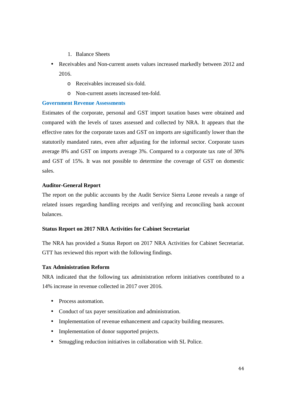- 1. Balance Sheets
- Receivables and Non-current assets values increased markedly between 2012 and 2016.
	- o Receivables increased six-fold.
	- o Non-current assets increased ten-fold.

### **Government Revenue Assessments**

Estimates of the corporate, personal and GST import taxation bases were obtained and compared with the levels of taxes assessed and collected by NRA. It appears that the effective rates for the corporate taxes and GST on imports are significantly lower than the statutorily mandated rates, even after adjusting for the informal sector. Corporate taxes average 8% and GST on imports average 3%. Compared to a corporate tax rate of 30% and GST of 15%. It was not possible to determine the coverage of GST on domestic sales.

### **Auditor-General Report**

The report on the public accounts by the Audit Service Sierra Leone reveals a range of related issues regarding handling receipts and verifying and reconciling bank account balances.

### **Status Report on 2017 NRA Activities for Cabinet Secretariat**

The NRA has provided a Status Report on 2017 NRA Activities for Cabinet Secretariat. GTT has reviewed this report with the following findings.

### **Tax Administration Reform**

NRA indicated that the following tax administration reform initiatives contributed to a 14% increase in revenue collected in 2017 over 2016.

- Process automation.
- Conduct of tax payer sensitization and administration.
- Implementation of revenue enhancement and capacity building measures.
- Implementation of donor supported projects.
- Smuggling reduction initiatives in collaboration with SL Police.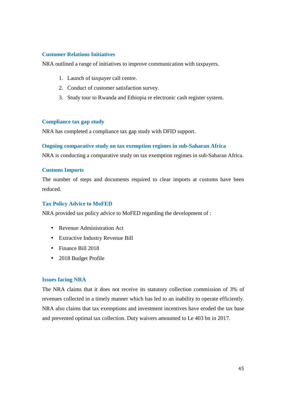## **Customer Relations Initiatives**

NRA outlined a range of initiatives to improve communication with taxpayers.

- 1. Launch of taxpayer call centre.
- 2. Conduct of customer satisfaction survey.
- 3. Study tour to Rwanda and Ethiopia re electronic cash register system.

### **Compliance tax gap study**

NRA has completed a compliance tax gap study with DFID support.

### **Ongoing comparative study on tax exemption regimes in sub-Saharan Africa**

NRA is conducting a comparative study on tax exemption regimes in sub-Saharan Africa.

### **Customs Imports**

The number of steps and documents required to clear imports at customs have been reduced.

## **Tax Policy Advice to MoFED**

NRA provided tax policy advice to MoFED regarding the development of :

- Revenue Administration Act
- Extractive Industry Revenue Bill
- Finance Bill 2018
- 2018 Budget Profile

### **Issues facing NRA**

The NRA claims that it does not receive its statutory collection commission of 3% of revenues collected in a timely manner which has led to an inability to operate efficiently. NRA also claims that tax exemptions and investment incentives have eroded the tax base and prevented optimal tax collection. Duty waivers amounted to Le 403 bn in 2017.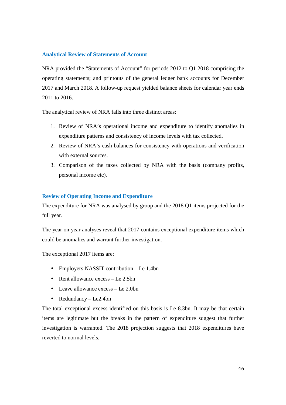## **Analytical Review of Statements of Account**

NRA provided the "Statements of Account" for periods 2012 to Q1 2018 comprising the operating statements; and printouts of the general ledger bank accounts for December 2017 and March 2018. A follow-up request yielded balance sheets for calendar year ends 2011 to 2016.

The analytical review of NRA falls into three distinct areas:

- 1. Review of NRA's operational income and expenditure to identify anomalies in expenditure patterns and consistency of income levels with tax collected.
- 2. Review of NRA's cash balances for consistency with operations and verification with external sources.
- 3. Comparison of the taxes collected by NRA with the basis (company profits, personal income etc).

## **Review of Operating Income and Expenditure**

The expenditure for NRA was analysed by group and the 2018 Q1 items projected for the full year.

The year on year analyses reveal that 2017 contains exceptional expenditure items which could be anomalies and warrant further investigation.

The exceptional 2017 items are:

- Employers NASSIT contribution Le 1.4bn
- Rent allowance excess Le 2.5bn
- Leave allowance excess Le 2.0bn
- Redundancy Le2.4bn

The total exceptional excess identified on this basis is Le 8.3bn. It may be that certain items are legitimate but the breaks in the pattern of expenditure suggest that further investigation is warranted. The 2018 projection suggests that 2018 expenditures have reverted to normal levels.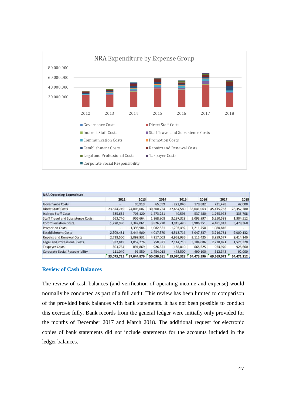

| <b>NRA Operating Expenditure</b>          |            |            |            |            |            |            |             |
|-------------------------------------------|------------|------------|------------|------------|------------|------------|-------------|
|                                           | 2012       | 2013       | 2014       | 2015       | 2016       | 2017       | 2018        |
| <b>Governance Costs</b>                   |            | 93,919     | 65,399     | 222,040    | 179,882    | 231,478    | 42,000      |
| <b>Direct Staff Costs</b>                 | 23,874,749 | 24,006,602 | 30,300,254 | 37,654,580 | 35,041,063 | 45,415,783 | 28,357,280  |
| <b>Indirect Staff Costs</b>               | 385,652    | 706,120    | 1,473,251  | 40,596     | 537,480    | 1,765,973  | 335,708     |
| <b>Staff Travel and Subsistence Costs</b> | 663,740    | 906,664    | 1,868,908  | 3,297,328  | 3,093,997  | 5,350,588  | 1,304,512   |
| <b>Communication Costs</b>                | 1,770,980  | 2,347,061  | 3,826,720  | 3,915,420  | 3,986,351  | 4,481,943  | 3,478,360   |
| <b>Promotion Costs</b>                    |            | 1,398,984  | 1,082,521  | 1,703,492  | 1,211,750  | 1,080,816  |             |
| <b>Establishment Costs</b>                | 2,309,481  | 2,444,900  | 4,017,370  | 4,513,716  | 3,047,837  | 3,716,781  | 9,000,132   |
| <b>Repairs and Renewal Costs</b>          | 2,718,500  | 3,099,931  | 4,317,003  | 4,963,936  | 3,115,425  | 3,859,577  | 9,414,140   |
| Legal and Professional Costs              | 937,849    | 1,057,276  | 758,821    | 2,114,710  | 3,104,086  | 2,228,821  | 1,521,320   |
| <b>Taxpayer Costs</b>                     | 303,734    | 891,869    | 926,321    | 166,010    | 665,625    | 924,970    | 925,660     |
| Corporate Social Responsibility           | 111,040    | 91,550     | 1,454,013  | 478,500    | 490,100    | 512,343    | 92,000      |
|                                           | 33,075,725 | 37,044,876 | 50,090,581 | 59,070,328 | 54,473,596 | 69,569,073 | 54,471,112. |

### **Review of Cash Balances**

The review of cash balances (and verification of operating income and expense) would normally be conducted as part of a full audit. This review has been limited to comparison of the provided bank balances with bank statements. It has not been possible to conduct this exercise fully. Bank records from the general ledger were initially only provided for the months of December 2017 and March 2018. The additional request for electronic copies of bank statements did not include statements for the accounts included in the ledger balances.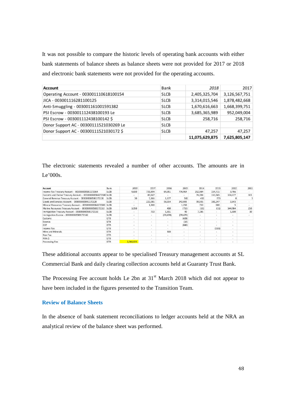It was not possible to compare the historic levels of operating bank accounts with either bank statements of balance sheets as balance sheets were not provided for 2017 or 2018 and electronic bank statements were not provided for the operating accounts.

| Account                                 | Bank | 2018           | 2017          |
|-----------------------------------------|------|----------------|---------------|
| Operating Account - 003001110618100154  | SLCB | 2,405,325,704  | 3,126,567,751 |
| JICA - 003001116281100125               | SLCB | 3,314,015,546  | 1,878,482,668 |
| Anti-Smuggling - 003001161001591382     | SLCB | 1,670,616,663  | 1,668,399,751 |
| PSI Escrow - 003001112438100193 Le      | SLCB | 3,685,365,989  | 952,049,004   |
| PSI Escrow - 003001112438100142 \$      | SLCB | 258,716        | 258,716       |
| Donor Support AC - 00300111521030269 Le | SLCB |                |               |
| Donor Support AC - 00300111521030172 \$ | SLCB | 47.257         | 47,257        |
|                                         |      | 11,075,629,875 | 7,625,805,147 |

The electronic statements revealed a number of other accounts. The amounts are in Le'000s.

| Account                                                       | <b>Bank</b> | 2018      | 2017    | 2016      | 2015      | 2014    | 2013    | 2012    | 2011 |
|---------------------------------------------------------------|-------------|-----------|---------|-----------|-----------|---------|---------|---------|------|
| Income Tax Treasury Account - 003000000581172164              | <b>SLCB</b> | 4,830     | 731,894 | 64,351    | 776,964   | 252,984 | 154,711 | 3,766   |      |
| Customs and Excise Treasury Account - 003000000584172180 SLCB |             | $\sim$    | 87.647  |           | $\sim$    | 74.394  | 110.345 | 124,177 | 303  |
| General Revenue Treasury Account - 003000000586172126         | <b>SLCB</b> | 30        | 5,166   | 1,177     | 582       | 432     | 773     |         |      |
| Goods and Services Account - 003000000841172128               | <b>SLCB</b> | $\sim$    | 222,981 | 58,154    | 242.095   | 99.935  | 181.247 | 2.643   |      |
| Mineral Resources Treasury Account - 003000000584172180 SLCB  |             | $\sim$    | 1,300   |           | 1,250     | 750     | 600     |         |      |
| Marine Resources Treasury Account - 003000000583172110        | <b>SLCB</b> | 3,050     |         | 410       | (755)     | (11)    | (11)    | 144,984 | 250  |
| Immigration Treasury Account - 003000000585172153             | <b>SLCB</b> | $\sim$    | 732     | 1,311     | 40        | 7,185   | $\sim$  | 1,500   | 10   |
| Immigration Escrow - 003000000589172142                       | <b>SLCB</b> | $\sim$    | $\sim$  | (39, 470) | (39, 470) | $\sim$  | $\sim$  | $\sim$  |      |
| Customs                                                       | GTB         | $\sim$    |         |           | (608)     | $\sim$  | $\sim$  | $\sim$  |      |
| Ecowas                                                        | GTB         | $\sim$    | $\sim$  | $\sim$    | (15)      | $\sim$  | $\sim$  | $\sim$  |      |
| GST                                                           | GTB         | $\sim$    |         | $\sim$    | (840)     | $\sim$  | $\sim$  | $\sim$  |      |
| Income Tax                                                    | GTB         | $\sim$    |         |           | $\sim$    | $\sim$  | (335)   | $\sim$  |      |
| Mine and Minerals                                             | GTB         | $\sim$    |         | 300       | $\sim$    | $\sim$  | $\sim$  | $\sim$  |      |
| Non-Tax                                                       | GTB         | $\sim$    | $\sim$  | $\sim$    | $\sim$    | $\sim$  | $\sim$  | $\sim$  |      |
| NRA S                                                         | GTB         | $\sim$    |         |           | $\sim$    | $\sim$  | $\sim$  | $\sim$  |      |
| Processing Fee                                                | GTB         | 2.060.635 |         |           | $\sim$    | $\sim$  | $\sim$  | $\sim$  |      |

These additional accounts appear to be specialised Treasury management accounts at SL Commercial Bank and daily clearing collection accounts held at Guaranty Trust Bank.

The Processing Fee account holds Le 2bn at  $31<sup>st</sup>$  March 2018 which did not appear to have been included in the figures presented to the Transition Team.

### **Review of Balance Sheets**

In the absence of bank statement reconciliations to ledger accounts held at the NRA an analytical review of the balance sheet was performed.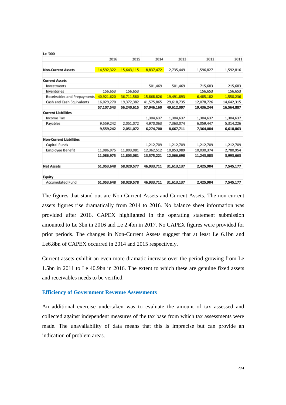| Le '000                        |            |            |            |            |            |            |
|--------------------------------|------------|------------|------------|------------|------------|------------|
|                                | 2016       | 2015       | 2014       | 2013       | 2012       | 2011       |
|                                |            |            |            |            |            |            |
| <b>Non-Current Assets</b>      | 14,592,322 | 15,643,115 | 8,837,472  | 2,735,449  | 1,596,827  | 1,592,816  |
| <b>Current Assets</b>          |            |            |            |            |            |            |
| Investments                    |            |            | 501,469    | 501,469    | 715,683    | 215,683    |
| Inventories                    | 156,653    | 156,653    |            |            | 156,653    | 156,653    |
| Receivables and Prepayments    | 40,921,620 | 36,711,580 | 15,868,826 | 19,491,893 | 6,485,182  | 1,550,236  |
| Cash and Cash Equivalents      | 16,029,270 | 19,372,382 | 41,575,865 | 29,618,735 | 12,078,726 | 14,642,315 |
|                                | 57,107,543 | 56,240,615 | 57,946,160 | 49,612,097 | 19,436,244 | 16,564,887 |
| <b>Current Liabilities</b>     |            |            |            |            |            |            |
| Income Tax                     |            |            | 1,304,637  | 1,304,637  | 1,304,637  | 1,304,637  |
| Payables                       | 9,559,242  | 2,051,072  | 4,970,063  | 7,363,074  | 6,059,447  | 5,314,226  |
|                                | 9,559,242  | 2,051,072  | 6,274,700  | 8,667,711  | 7,364,084  | 6,618,863  |
| <b>Non-Current Liabilities</b> |            |            |            |            |            |            |
| Capital Funds                  |            |            | 1,212,709  | 1,212,709  | 1,212,709  | 1,212,709  |
| Employee Benefit               | 11,086,975 | 11,803,081 | 12,362,512 | 10,853,989 | 10,030,374 | 2,780,954  |
|                                | 11,086,975 | 11,803,081 | 13,575,221 | 12,066,698 | 11,243,083 | 3,993,663  |
| <b>Net Assets</b>              | 51,053,648 | 58,029,577 | 46,933,711 | 31,613,137 | 2,425,904  | 7,545,177  |
|                                |            |            |            |            |            |            |
| Equity                         |            |            |            |            |            |            |
| <b>Accumulated Fund</b>        | 51,053,648 | 58,029,578 | 46,933,711 | 31,613,137 | 2,425,904  | 7,545,177  |

The figures that stand out are Non-Current Assets and Current Assets. The non-current assets figures rise dramatically from 2014 to 2016. No balance sheet information was provided after 2016. CAPEX highlighted in the operating statement submission amounted to Le 3bn in 2016 and Le 2.4bn in 2017. No CAPEX figures were provided for prior periods. The changes in Non-Current Assets suggest that at least Le 6.1bn and Le6.8bn of CAPEX occurred in 2014 and 2015 respectively.

Current assets exhibit an even more dramatic increase over the period growing from Le 1.5bn in 2011 to Le 40.9bn in 2016. The extent to which these are genuine fixed assets and receivables needs to be verified.

### **Efficiency of Government Revenue Assessments**

An additional exercise undertaken was to evaluate the amount of tax assessed and collected against independent measures of the tax base from which tax assessments were made. The unavailability of data means that this is imprecise but can provide an indication of problem areas.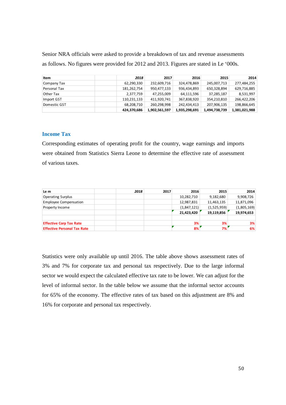Senior NRA officials were asked to provide a breakdown of tax and revenue assessments as follows. No figures were provided for 2012 and 2013. Figures are stated in Le '000s.

| Item         | 2018        | 2017          | 2016          | 2015          | 2014          |
|--------------|-------------|---------------|---------------|---------------|---------------|
| Company Tax  | 62.290.330  | 232,609,716   | 324,478,869   | 245,007,713   | 277,484,255   |
| Personal Tax | 181,262,754 | 950,477,133   | 936,434,893   | 650,328,894   | 629,716,885   |
| Other Tax    | 2,377,759   | 47.255.009    | 64.111.596    | 37,285,187    | 8,531,997     |
| Import GST   | 110.231.133 | 411.920.741   | 367,838,920   | 354,210,810   | 266,422,206   |
| Domestic GST | 68,208,710  | 260,298,998   | 242,434,413   | 207,906,135   | 198,866,645   |
|              | 424.370.686 | 1,902,561,597 | 1,935,298,691 | 1,494,738,739 | 1,381,021,988 |

### **Income Tax**

Corresponding estimates of operating profit for the country, wage earnings and imports were obtained from Statistics Sierra Leone to determine the effective rate of assessment of various taxes.

| Le m                               | 2018 | 2017 | 2016        | 2015        | 2014        |
|------------------------------------|------|------|-------------|-------------|-------------|
| <b>Operating Surplus</b>           |      |      | 10,282,710  | 9,182,680   | 9,908,726   |
| <b>Employee Compensation</b>       |      |      | 12,987,831  | 11,463,135  | 11,871,096  |
| Property Income                    |      |      | (1,847,121) | (1,525,959) | (1,805,169) |
|                                    |      |      | 21,423,420  | 19,119,856  | 19,974,653  |
|                                    |      |      |             |             |             |
| <b>Effective Corp Tax Rate</b>     |      |      | 3%          | 3%          | 3%          |
| <b>Effective Personal Tax Rate</b> |      |      | 8%          | 7%          | 6%          |

Statistics were only available up until 2016. The table above shows assessment rates of 3% and 7% for corporate tax and personal tax respectively. Due to the large informal sector we would expect the calculated effective tax rate to be lower. We can adjust for the level of informal sector. In the table below we assume that the informal sector accounts for 65% of the economy. The effective rates of tax based on this adjustment are 8% and 16% for corporate and personal tax respectively.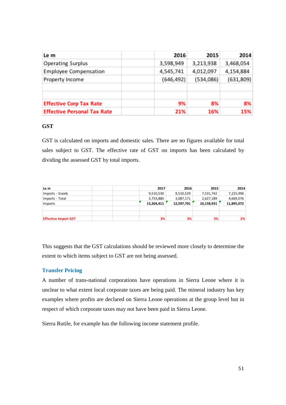| Le m                               | 2016       | 2015      | 2014      |
|------------------------------------|------------|-----------|-----------|
| <b>Operating Surplus</b>           | 3,598,949  | 3,213,938 | 3,468,054 |
| Employee Compensation              | 4,545,741  | 4,012,097 | 4,154,884 |
| Property Income                    | (646, 492) | (534,086) | (631,809) |
|                                    |            |           |           |
|                                    |            |           |           |
| <b>Effective Corp Tax Rate</b>     | 9%         | 8%        | 8%        |
| <b>Effective Personal Tax Rate</b> | 21%        | 16%       | 15%       |

## **GST**

GST is calculated on imports and domestic sales. There are no figures available for total sales subject to GST. The effective rate of GST on imports has been calculated by dividing the assessed GST by total imports.

| Le m                        | 2017       | 2016       | 2015       | 2014       |
|-----------------------------|------------|------------|------------|------------|
| Imports - Goods             | 9,510,530  | 9,510,529  | 7,531,742  | 7,225,996  |
| Imports - Total             | 3,753,880  | 3,087,171  | 2,627,189  | 4,669,076  |
| Imports                     | 13,264,411 | 12,597,701 | 10,158,931 | 11,895,072 |
|                             |            |            |            |            |
|                             |            |            |            |            |
| <b>Effective Import GST</b> | 3%         | 3%         | 3%         | 2%         |

This suggests that the GST calculations should be reviewed more closely to determine the extent to which items subject to GST are not being assessed.

### **Transfer Pricing**

A number of trans-national corporations have operations in Sierra Leone where it is unclear to what extent local corporate taxes are being paid. The mineral industry has key examples where profits are declared on Sierra Leone operations at the group level but in respect of which corporate taxes may not have been paid in Sierra Leone.

Sierra Rutile, for example has the following income statement profile.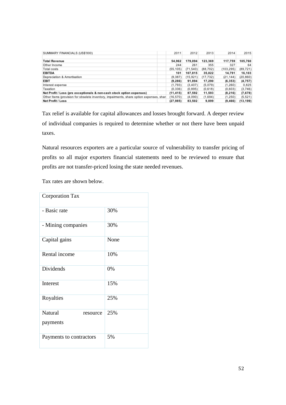| SUMMARY FINANCIALS (US\$'000)                                                            | 2011      | 2012      | 2013      | 2014      | 2015      |
|------------------------------------------------------------------------------------------|-----------|-----------|-----------|-----------|-----------|
|                                                                                          |           |           |           |           |           |
| <b>Total Revenue</b>                                                                     | 54,962    | 179,094   | 123,369   | 117,759   | 105,760   |
| Other Income                                                                             | 244       | 261       | 355       | 327       | 64        |
| Total costs                                                                              | (55.105)  | (71.540)  | (88.702)  | (103.295) | (89, 721) |
| <b>EBITDA</b>                                                                            | 101       | 107.815   | 35,022    | 14,791    | 16,103    |
| Depreciation & Amortisation                                                              | (9.387)   | (15, 921) | (17, 732) | (21, 144) | (20, 860) |
| <b>EBIT</b>                                                                              | (9, 286)  | 91,894    | 17,290    | (6, 353)  | (4, 757)  |
| Interest expense                                                                         | (1.793)   | (3, 407)  | (5,079)   | (1,260)   | 0.825     |
| Taxation                                                                                 | (0, 336)  | (0.895)   | (0.618)   | (0,603)   | (3,746)   |
| Net Profit / Loss (pre exceptionals & non-cash stock option expenses)                    | (11, 415) | 87.592    | 11,593    | (8, 216)  | (7, 678)  |
| Other Items (provision for obselete inventory, impairments, share option expenses, shar) | (16.570)  | (4,090)   | (1,694)   | (1,250)   | (5.521)   |
| Net Profit / Loss                                                                        | (27, 985) | 83,502    | 9,899     | (9, 466)  | (13, 199) |

Tax relief is available for capital allowances and losses brought forward. A deeper review of individual companies is required to determine whether or not there have been unpaid taxes.

Natural resources exporters are a particular source of vulnerability to transfer pricing of profits so all major exporters financial statements need to be reviewed to ensure that profits are not transfer-priced losing the state needed revenues.

Tax rates are shown below.

| <b>Corporation Tax</b>                 |      |
|----------------------------------------|------|
| - Basic rate                           | 30%  |
| - Mining companies                     | 30%  |
| Capital gains                          | None |
| Rental income                          | 10%  |
| <b>Dividends</b>                       | 0%   |
| Interest                               | 15%  |
| Royalties                              | 25%  |
| <b>Natural</b><br>resource<br>payments | 25%  |
| Payments to contractors                | 5%   |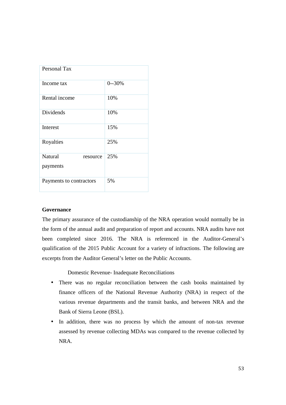| Personal Tax                           |           |
|----------------------------------------|-----------|
| Income tax                             | $0 - 30%$ |
| Rental income                          | 10%       |
| Dividends                              | 10%       |
| <b>Interest</b>                        | 15%       |
| Royalties                              | 25%       |
| <b>Natural</b><br>resource<br>payments | 25%       |
| Payments to contractors                | 5%        |

## **Governance**

The primary assurance of the custodianship of the NRA operation would normally be in the form of the annual audit and preparation of report and accounts. NRA audits have not been completed since 2016. The NRA is referenced in the Auditor-General's qualification of the 2015 Public Account for a variety of infractions. The following are excerpts from the Auditor General's letter on the Public Accounts.

Domestic Revenue- Inadequate Reconciliations

- There was no regular reconciliation between the cash books maintained by finance officers of the National Revenue Authority (NRA) in respect of the various revenue departments and the transit banks, and between NRA and the Bank of Sierra Leone (BSL).
- In addition, there was no process by which the amount of non-tax revenue assessed by revenue collecting MDAs was compared to the revenue collected by NRA.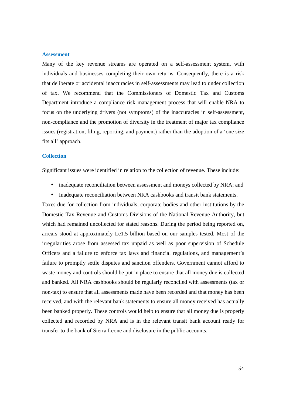#### **Assessment**

Many of the key revenue streams are operated on a self-assessment system, with individuals and businesses completing their own returns. Consequently, there is a risk that deliberate or accidental inaccuracies in self-assessments may lead to under collection of tax. We recommend that the Commissioners of Domestic Tax and Customs Department introduce a compliance risk management process that will enable NRA to focus on the underlying drivers (not symptoms) of the inaccuracies in self-assessment, non-compliance and the promotion of diversity in the treatment of major tax compliance issues (registration, filing, reporting, and payment) rather than the adoption of a 'one size fits all' approach.

### **Collection**

Significant issues were identified in relation to the collection of revenue. These include:

- inadequate reconciliation between assessment and moneys collected by NRA; and
- Inadequate reconciliation between NRA cashbooks and transit bank statements.

Taxes due for collection from individuals, corporate bodies and other institutions by the Domestic Tax Revenue and Customs Divisions of the National Revenue Authority, but which had remained uncollected for stated reasons. During the period being reported on, arrears stood at approximately Le1.5 billion based on our samples tested. Most of the irregularities arose from assessed tax unpaid as well as poor supervision of Schedule Officers and a failure to enforce tax laws and financial regulations, and management's failure to promptly settle disputes and sanction offenders. Government cannot afford to waste money and controls should be put in place to ensure that all money due is collected and banked. All NRA cashbooks should be regularly reconciled with assessments (tax or non-tax) to ensure that all assessments made have been recorded and that money has been received, and with the relevant bank statements to ensure all money received has actually been banked properly. These controls would help to ensure that all money due is properly collected and recorded by NRA and is in the relevant transit bank account ready for transfer to the bank of Sierra Leone and disclosure in the public accounts.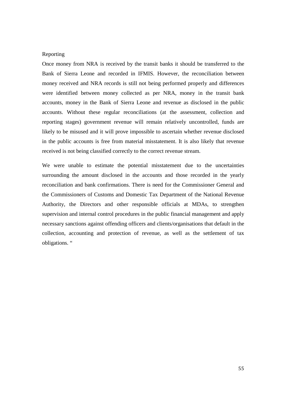### Reporting

Once money from NRA is received by the transit banks it should be transferred to the Bank of Sierra Leone and recorded in IFMIS. However, the reconciliation between money received and NRA records is still not being performed properly and differences were identified between money collected as per NRA, money in the transit bank accounts, money in the Bank of Sierra Leone and revenue as disclosed in the public accounts. Without these regular reconciliations (at the assessment, collection and reporting stages) government revenue will remain relatively uncontrolled, funds are likely to be misused and it will prove impossible to ascertain whether revenue disclosed in the public accounts is free from material misstatement. It is also likely that revenue received is not being classified correctly to the correct revenue stream.

We were unable to estimate the potential misstatement due to the uncertainties surrounding the amount disclosed in the accounts and those recorded in the yearly reconciliation and bank confirmations. There is need for the Commissioner General and the Commissioners of Customs and Domestic Tax Department of the National Revenue Authority, the Directors and other responsible officials at MDAs, to strengthen supervision and internal control procedures in the public financial management and apply necessary sanctions against offending officers and clients/organisations that default in the collection, accounting and protection of revenue, as well as the settlement of tax obligations. "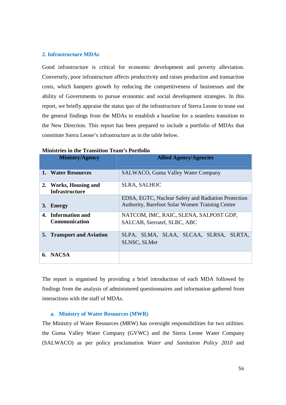### **2. Infrastructure MDAs**

Good infrastructure is critical for economic development and poverty alleviation. Conversely, poor infrastructure affects productivity and raises production and transaction costs, which hampers growth by reducing the competitiveness of businesses and the ability of Governments to pursue economic and social development strategies. In this report, we briefly appraise the status quo of the infrastructure of Sierra Leone to tease out the general findings from the MDAs to establish a baseline for a seamless transition to the New Direction. This report has been prepared to include a portfolio of MDAs that constitute Sierra Leone's infrastructure as in the table below.

|    | <b>Ministry/Agency</b>                         | <b>Allied Agency/Agencies</b>                                                                                 |
|----|------------------------------------------------|---------------------------------------------------------------------------------------------------------------|
|    | 1. Water Resources                             | <b>SALWACO, Guma Valley Water Company</b>                                                                     |
|    | 2. Works, Housing and<br><b>Infrastructure</b> | <b>SLRA, SALHOC</b>                                                                                           |
| 3. | <b>Energy</b>                                  | EDSA, EGTC, Nuclear Safety and Radiation Protection<br><b>Authority, Barefoot Solar Women Training Centre</b> |
|    | 4. Information and<br><b>Communication</b>     | NATCOM, IMC, RAIC, SLENA, SALPOST GDP,<br>SALCAB, Sierratel, SLBC, ABC                                        |
|    | <b>5.</b> Transport and Aviation               | SLPA, SLMA, SLAA, SLCAA, SLRSA,<br>SLRTA,<br><b>SLNSC, SLMet</b>                                              |
|    | 6. NACSA                                       |                                                                                                               |

### **Ministries in the Transition Team's Portfolio**

The report is organised by providing a brief introduction of each MDA followed by findings from the analysis of administered questionnaires and information gathered from interactions with the staff of MDAs.

### **a. Ministry of Water Resources (MWR)**

The Ministry of Water Resources (MRW) has oversight responsibilities for two utilities: the Guma Valley Water Company (GVWC) and the Sierra Leone Water Company (SALWACO) as per policy proclamation *Water and Sanitation Policy 2010* and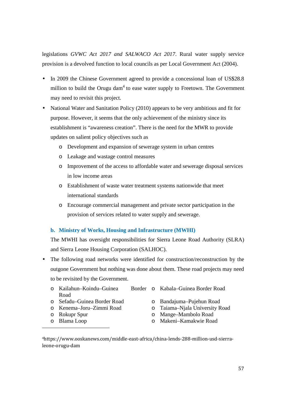legislations *GVWC Act 2017 and SALWACO Act 2017*. Rural water supply service provision is a devolved function to local councils as per Local Government Act (2004).

- In 2009 the Chinese Government agreed to provide a concessional loan of US\$28.8 million to build the Orugu dam<sup>4</sup> to ease water supply to Freetown. The Government may need to revisit this project.
- National Water and Sanitation Policy (2010) appears to be very ambitious and fit for purpose. However, it seems that the only achievement of the ministry since its establishment is "awareness creation". There is the need for the MWR to provide updates on salient policy objectives such as
	- o Development and expansion of sewerage system in urban centres
	- o Leakage and wastage control measures
	- o Improvement of the access to affordable water and sewerage disposal services in low income areas
	- o Establishment of waste water treatment systems nationwide that meet international standards
	- o Encourage commercial management and private sector participation in the provision of services related to water supply and sewerage.

## **b. Ministry of Works, Housing and Infrastructure (MWHI)**

The MWHI has oversight responsibilities for Sierra Leone Road Authority (SLRA) and Sierra Leone Housing Corporation (SALHOC).

- The following road networks were identified for construction/reconstruction by the outgone Government but nothing was done about them. These road projects may need to be revisited by the Government.
	- o Kailahun–Koindu–Guinea Road Border o Kabala–Guinea Border Road
	- o Sefadu–Guinea Border Road o Bandajuma–Pujehun Road
	-
	-
	-

1

- 
- o Kenema–Joru–Zimmi Road o Taiama–Njala University Road
- o Rokupr Spur o Mange–Mambolo Road
- o Blama Loop o Makeni–Kamakwie Road

4https://www.ooskanews.com/middle-east-africa/china-lends-288-million-usd-sierraleone-orugu-dam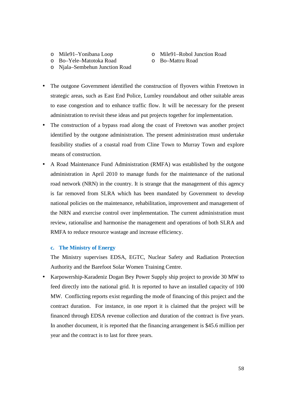- 
- o Mile91–Yonibana Loop o Mile91–Robol Junction Road
- o Bo–Yele–Matotoka Road o Bo–Mattru Road
- o Njala–Sembehun Junction Road
- 
- The outgone Government identified the construction of flyovers within Freetown in strategic areas, such as East End Police, Lumley roundabout and other suitable areas to ease congestion and to enhance traffic flow. It will be necessary for the present administration to revisit these ideas and put projects together for implementation.
- The construction of a bypass road along the coast of Freetown was another project identified by the outgone administration. The present administration must undertake feasibility studies of a coastal road from Cline Town to Murray Town and explore means of construction.
- A Road Maintenance Fund Administration (RMFA) was established by the outgone administration in April 2010 to manage funds for the maintenance of the national road network (NRN) in the country. It is strange that the management of this agency is far removed from SLRA which has been mandated by Government to develop national policies on the maintenance, rehabilitation, improvement and management of the NRN and exercise control over implementation. The current administration must review, rationalise and harmonise the management and operations of both SLRA and RMFA to reduce resource wastage and increase efficiency.

### **c. The Ministry of Energy**

The Ministry supervises EDSA, EGTC, Nuclear Safety and Radiation Protection Authority and the Barefoot Solar Women Training Centre.

• Karpowership-Karadeniz Dogan Bey Power Supply ship project to provide 30 MW to feed directly into the national grid. It is reported to have an installed capacity of 100 MW. Conflicting reports exist regarding the mode of financing of this project and the contract duration. For instance, in one report it is claimed that the project will be financed through EDSA revenue collection and duration of the contract is five years. In another document, it is reported that the financing arrangement is \$45.6 million per year and the contract is to last for three years.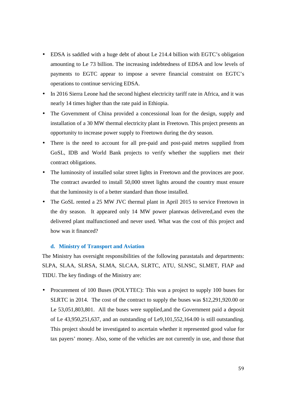- EDSA is saddled with a huge debt of about Le 214.4 billion with EGTC's obligation amounting to Le 73 billion. The increasing indebtedness of EDSA and low levels of payments to EGTC appear to impose a severe financial constraint on EGTC's operations to continue servicing EDSA.
- In 2016 Sierra Leone had the second highest electricity tariff rate in Africa, and it was nearly 14 times higher than the rate paid in Ethiopia.
- The Government of China provided a concessional loan for the design, supply and installation of a 30 MW thermal electricity plant in Freetown. This project presents an opportunity to increase power supply to Freetown during the dry season.
- There is the need to account for all pre-paid and post-paid metres supplied from GoSL, IDB and World Bank projects to verify whether the suppliers met their contract obligations.
- The luminosity of installed solar street lights in Freetown and the provinces are poor. The contract awarded to install 50,000 street lights around the country must ensure that the luminosity is of a better standard than those installed.
- The GoSL rented a 25 MW JVC thermal plant in April 2015 to service Freetown in the dry season. It appeared only 14 MW power plantwas delivered,and even the delivered plant malfunctioned and never used. What was the cost of this project and how was it financed?

### **d. Ministry of Transport and Aviation**

The Ministry has oversight responsibilities of the following parastatals and departments: SLPA, SLAA, SLRSA, SLMA, SLCAA, SLRTC, ATU, SLNSC, SLMET, FIAP and TIDU. The key findings of the Ministry are:

• Procurement of 100 Buses (POLYTEC): This was a project to supply 100 buses for SLRTC in 2014. The cost of the contract to supply the buses was \$12,291,920.00 or Le 53,051,803,801. All the buses were supplied,and the Government paid a deposit of Le 43,950,251,637, and an outstanding of Le9,101,552,164.00 is still outstanding. This project should be investigated to ascertain whether it represented good value for tax payers' money. Also, some of the vehicles are not currently in use, and those that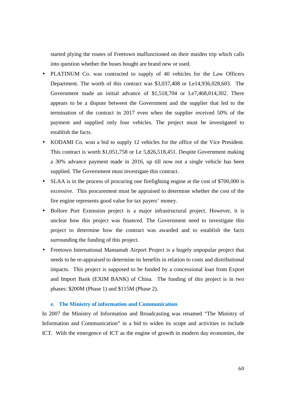started plying the routes of Freetown malfunctioned on their maiden trip which calls into question whether the buses bought are brand new or used.

- PLATINUM Co. was contracted to supply of 40 vehicles for the Law Officers Department. The worth of this contract was \$3,037,408 or Le14,936,028,603. The Government made an initial advance of \$1,518,704 or Le7,468,014,302. There appears to be a dispute between the Government and the supplier that led to the termination of the contract in 2017 even when the supplier received 50% of the payment and supplied only four vehicles. The project must be investigated to establish the facts.
- KODAMI Co. won a bid to supply 12 vehicles for the office of the Vice President. This contract is worth \$1,051,758 or Le 5,826,518,451. Despite Government making a 30% advance payment made in 2016, up till now not a single vehicle has been supplied. The Government must investigate this contract.
- SLAA is in the process of procuring one firefighting engine at the cost of \$700,000 is excessive. This procurement must be appraised to determine whether the cost of the fire engine represents good value for tax payers' money.
- Bollore Port Extension project is a major infrastructural project. However, it is unclear how this project was financed. The Government need to investigate this project to determine how the contract was awarded and to establish the facts surrounding the funding of this project.
- Freetown International Mamamah Airport Project is a hugely unpopular project that needs to be re-appraised to determine its benefits in relation to costs and distributional impacts. This project is supposed to be funded by a concessional loan from Export and Import Bank (EXIM BANK) of China. The funding of this project is in two phases: \$200M (Phase 1) and \$115M (Phase 2).

### **e. The Ministry of information and Communication**

In 2007 the Ministry of Information and Broadcasting was renamed "The Ministry of Information and Communication" in a bid to widen its scope and activities to include ICT. With the emergence of ICT as the engine of growth in modern day economies, the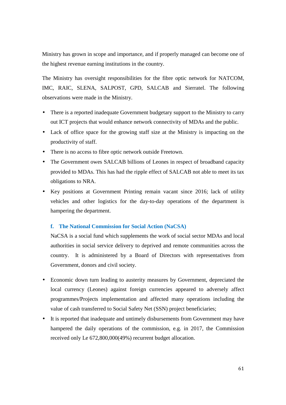Ministry has grown in scope and importance, and if properly managed can become one of the highest revenue earning institutions in the country.

The Ministry has oversight responsibilities for the fibre optic network for NATCOM, IMC, RAIC, SLENA, SALPOST, GPD, SALCAB and Sierratel. The following observations were made in the Ministry.

- There is a reported inadequate Government budgetary support to the Ministry to carry out ICT projects that would enhance network connectivity of MDAs and the public.
- Lack of office space for the growing staff size at the Ministry is impacting on the productivity of staff.
- There is no access to fibre optic network outside Freetown.
- The Government owes SALCAB billions of Leones in respect of broadband capacity provided to MDAs. This has had the ripple effect of SALCAB not able to meet its tax obligations to NRA.
- Key positions at Government Printing remain vacant since 2016; lack of utility vehicles and other logistics for the day-to-day operations of the department is hampering the department.

## **f. The National Commission for Social Action (NaCSA)**

NaCSA is a social fund which supplements the work of social sector MDAs and local authorities in social service delivery to deprived and remote communities across the country. It is administered by a Board of Directors with representatives from Government, donors and civil society.

- Economic down turn leading to austerity measures by Government, depreciated the local currency (Leones) against foreign currencies appeared to adversely affect programmes/Projects implementation and affected many operations including the value of cash transferred to Social Safety Net (SSN) project beneficiaries;
- It is reported that inadequate and untimely disbursements from Government may have hampered the daily operations of the commission, e.g. in 2017, the Commission received only Le 672,800,000(49%) recurrent budget allocation.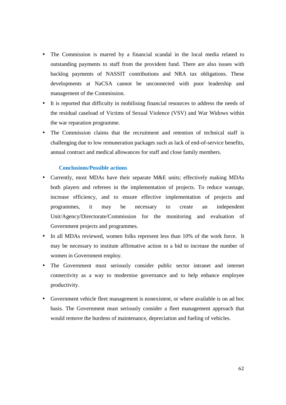- The Commission is marred by a financial scandal in the local media related to outstanding payments to staff from the provident fund. There are also issues with backlog payments of NASSIT contributions and NRA tax obligations. These developments at NaCSA cannot be unconnected with poor leadership and management of the Commission.
- It is reported that difficulty in mobilising financial resources to address the needs of the residual caseload of Victims of Sexual Violence (VSV) and War Widows within the war reparation programme.
- The Commission claims that the recruitment and retention of technical staff is challenging due to low remuneration packages such as lack of end-of-service benefits, annual contract and medical allowances for staff and close family members.

### **Conclusions/Possible actions**

- Currently, most MDAs have their separate M&E units; effectively making MDAs both players and referees in the implementation of projects. To reduce wastage, increase efficiency, and to ensure effective implementation of projects and programmes, it may be necessary to create an independent Unit/Agency/Directorate/Commission for the monitoring and evaluation of Government projects and programmes.
- In all MDAs reviewed, women folks represent less than 10% of the work force. It may be necessary to institute affirmative action in a bid to increase the number of women in Government employ.
- The Government must seriously consider public sector intranet and internet connectivity as a way to modernise governance and to help enhance employee productivity.
- Government vehicle fleet management is nonexistent, or where available is on ad hoc basis. The Government must seriously consider a fleet management approach that would remove the burdens of maintenance, depreciation and fueling of vehicles.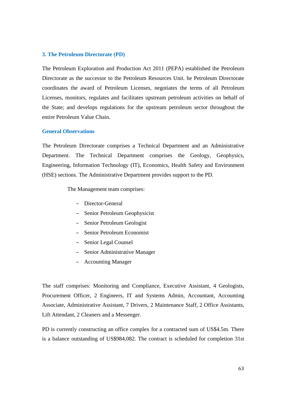### **3. The Petroleum Directorate (PD)**

The Petroleum Exploration and Production Act 2011 (PEPA) established the Petroleum Directorate as the successor to the Petroleum Resources Unit. he Petroleum Directorate coordinates the award of Petroleum Licenses, negotiates the terms of all Petroleum Licenses, monitors, regulates and facilitates upstream petroleum activities on behalf of the State; and develops regulations for the upstream petroleum sector throughout the entire Petroleum Value Chain.

### **General Observations**

The Petroleum Directorate comprises a Technical Department and an Administrative Department. The Technical Department comprises the Geology, Geophysics, Engineering, Information Technology (IT), Economics, Health Safety and Environment (HSE) sections. The Administrative Department provides support to the PD.

The Management team comprises:

- Director-General
- Senior Petroleum Geophysicist
- Senior Petroleum Geologist
- Senior Petroleum Economist
- Senior Legal Counsel
- Senior Administrative Manager
- Accounting Manager

The staff comprises: Monitoring and Compliance, Executive Assistant, 4 Geologists, Procurement Officer, 2 Engineers, IT and Systems Admin, Accountant, Accounting Associate, Administrative Assistant, 7 Drivers, 2 Maintenance Staff, 2 Office Assistants, Lift Attendant, 2 Cleaners and a Messenger.

PD is currently constructing an office complex for a contracted sum of US\$4.5m. There is a balance outstanding of US\$984,082. The contract is scheduled for completion 31st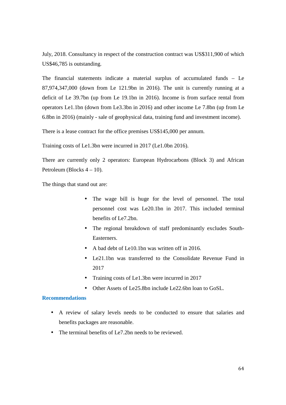July, 2018. Consultancy in respect of the construction contract was US\$311,900 of which US\$46,785 is outstanding.

The financial statements indicate a material surplus of accumulated funds – Le 87,974,347,000 (down from Le 121.9bn in 2016). The unit is currently running at a deficit of Le 39.7bn (up from Le 19.1bn in 2016). Income is from surface rental from operators Le1.1bn (down from Le3.3bn in 2016) and other income Le 7.8bn (up from Le 6.8bn in 2016) (mainly - sale of geophysical data, training fund and investment income).

There is a lease contract for the office premises US\$145,000 per annum.

Training costs of Le1.3bn were incurred in 2017 (Le1.0bn 2016).

There are currently only 2 operators: European Hydrocarbons (Block 3) and African Petroleum (Blocks 4 – 10).

The things that stand out are:

- The wage bill is huge for the level of personnel. The total personnel cost was Le20.1bn in 2017. This included terminal benefits of Le7.2bn.
- The regional breakdown of staff predominantly excludes South-Easterners.
- A bad debt of Le10.1bn was written off in 2016.
- Le21.1bn was transferred to the Consolidate Revenue Fund in 2017
- Training costs of Le1.3bn were incurred in 2017
- Other Assets of Le25.8bn include Le22.6bn loan to GoSL.

### **Recommendations**

- A review of salary levels needs to be conducted to ensure that salaries and benefits packages are reasonable.
- The terminal benefits of Le7.2bn needs to be reviewed.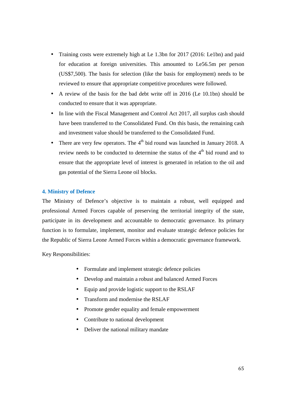- Training costs were extremely high at Le 1.3bn for 2017 (2016: Le1bn) and paid for education at foreign universities. This amounted to Le56.5m per person (US\$7,500). The basis for selection (like the basis for employment) needs to be reviewed to ensure that appropriate competitive procedures were followed.
- A review of the basis for the bad debt write off in 2016 (Le 10.1bn) should be conducted to ensure that it was appropriate.
- In line with the Fiscal Management and Control Act 2017, all surplus cash should have been transferred to the Consolidated Fund. On this basis, the remaining cash and investment value should be transferred to the Consolidated Fund.
- There are very few operators. The  $4<sup>th</sup>$  bid round was launched in January 2018. A review needs to be conducted to determine the status of the 4<sup>th</sup> bid round and to ensure that the appropriate level of interest is generated in relation to the oil and gas potential of the Sierra Leone oil blocks.

### **4. Ministry of Defence**

The Ministry of Defence's objective is to maintain a robust, well equipped and professional Armed Forces capable of preserving the territorial integrity of the state, participate in its development and accountable to democratic governance. Its primary function is to formulate, implement, monitor and evaluate strategic defence policies for the Republic of Sierra Leone Armed Forces within a democratic governance framework.

Key Responsibilities:

- Formulate and implement strategic defence policies
- Develop and maintain a robust and balanced Armed Forces
- Equip and provide logistic support to the RSLAF
- Transform and modernise the RSLAF
- Promote gender equality and female empowerment
- Contribute to national development
- Deliver the national military mandate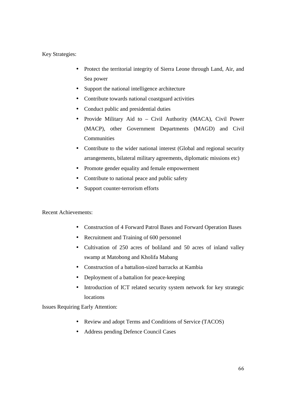Key Strategies:

- Protect the territorial integrity of Sierra Leone through Land, Air, and Sea power
- Support the national intelligence architecture
- Contribute towards national coastguard activities
- Conduct public and presidential duties
- Provide Military Aid to Civil Authority (MACA), Civil Power (MACP), other Government Departments (MAGD) and Civil **Communities**
- Contribute to the wider national interest (Global and regional security arrangements, bilateral military agreements, diplomatic missions etc)
- Promote gender equality and female empowerment
- Contribute to national peace and public safety
- Support counter-terrorism efforts

Recent Achievements:

- Construction of 4 Forward Patrol Bases and Forward Operation Bases
- Recruitment and Training of 600 personnel
- Cultivation of 250 acres of boliland and 50 acres of inland valley swamp at Matobong and Kholifa Mabang
- Construction of a battalion-sized barracks at Kambia
- Deployment of a battalion for peace-keeping
- Introduction of ICT related security system network for key strategic locations

Issues Requiring Early Attention:

- Review and adopt Terms and Conditions of Service (TACOS)
- Address pending Defence Council Cases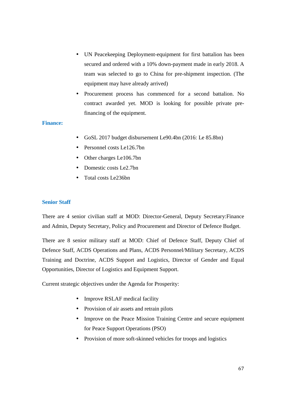- UN Peacekeeping Deployment-equipment for first battalion has been secured and ordered with a 10% down-payment made in early 2018. A team was selected to go to China for pre-shipment inspection. (The equipment may have already arrived)
- Procurement process has commenced for a second battalion. No contract awarded yet. MOD is looking for possible private prefinancing of the equipment.

## **Finance:**

- GoSL 2017 budget disbursement Le90.4bn (2016: Le 85.8bn)
- Personnel costs Le126.7bn
- Other charges Le106.7bn
- Domestic costs Le2.7bn
- Total costs Le236bn

## **Senior Staff**

There are 4 senior civilian staff at MOD: Director-General, Deputy Secretary:Finance and Admin, Deputy Secretary, Policy and Procurement and Director of Defence Budget.

There are 8 senior military staff at MOD: Chief of Defence Staff, Deputy Chief of Defence Staff, ACDS Operations and Plans, ACDS Personnel/Military Secretary, ACDS Training and Doctrine, ACDS Support and Logistics, Director of Gender and Equal Opportunities, Director of Logistics and Equipment Support.

Current strategic objectives under the Agenda for Prosperity:

- Improve RSLAF medical facility
- Provision of air assets and retrain pilots
- Improve on the Peace Mission Training Centre and secure equipment for Peace Support Operations (PSO)
- Provision of more soft-skinned vehicles for troops and logistics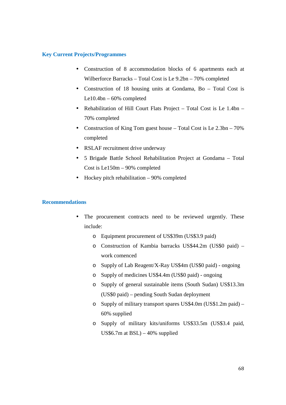### **Key Current Projects/Programmes**

- Construction of 8 accommodation blocks of 6 apartments each at Wilberforce Barracks – Total Cost is Le 9.2bn – 70% completed
- Construction of 18 housing units at Gondama, Bo Total Cost is Le10.4bn – 60% completed
- Rehabilitation of Hill Court Flats Project Total Cost is Le 1.4bn 70% completed
- Construction of King Tom guest house Total Cost is Le 2.3bn 70% completed
- RSLAF recruitment drive underway
- 5 Brigade Battle School Rehabilitation Project at Gondama Total Cost is Le150m – 90% completed
- Hockey pitch rehabilitation 90% completed

### **Recommendations**

- The procurement contracts need to be reviewed urgently. These include:
	- o Equipment procurement of US\$39m (US\$3.9 paid)
	- o Construction of Kambia barracks US\$44.2m (US\$0 paid) work comenced
	- o Supply of Lab Reagent/X-Ray US\$4m (US\$0 paid) ongoing
	- o Supply of medicines US\$4.4m (US\$0 paid) ongoing
	- o Supply of general sustainable items (South Sudan) US\$13.3m (US\$0 paid) – pending South Sudan deployment
	- o Supply of military transport spares US\$4.0m (US\$1.2m paid) 60% supplied
	- o Supply of military kits/uniforms US\$33.5m (US\$3.4 paid, US\$6.7m at  $BSL - 40\%$  supplied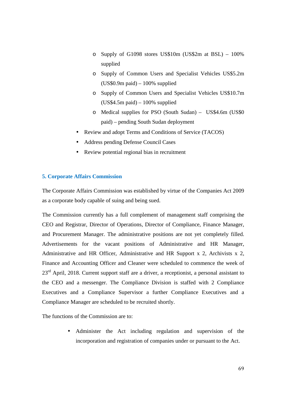- o Supply of G1098 stores US\$10m (US\$2m at BSL) 100% supplied
- o Supply of Common Users and Specialist Vehicles US\$5.2m (US\$0.9m paid) – 100% supplied
- o Supply of Common Users and Specialist Vehicles US\$10.7m  $(US$4.5m$  paid)  $-100\%$  supplied
- o Medical supplies for PSO (South Sudan) US\$4.6m (US\$0 paid) – pending South Sudan deployment
- Review and adopt Terms and Conditions of Service (TACOS)
- Address pending Defense Council Cases
- Review potential regional bias in recruitment

## **5. Corporate Affairs Commission**

The Corporate Affairs Commission was established by virtue of the Companies Act 2009 as a corporate body capable of suing and being sued.

The Commission currently has a full complement of management staff comprising the CEO and Registrar, Director of Operations, Director of Compliance, Finance Manager, and Procurement Manager. The administrative positions are not yet completely filled. Advertisements for the vacant positions of Administrative and HR Manager, Administrative and HR Officer, Administrative and HR Support x 2, Archivists x 2, Finance and Accounting Officer and Cleaner were scheduled to commence the week of 23<sup>rd</sup> April, 2018. Current support staff are a driver, a receptionist, a personal assistant to the CEO and a messenger. The Compliance Division is staffed with 2 Compliance Executives and a Compliance Supervisor a further Compliance Executives and a Compliance Manager are scheduled to be recruited shortly.

The functions of the Commission are to:

• Administer the Act including regulation and supervision of the incorporation and registration of companies under or pursuant to the Act.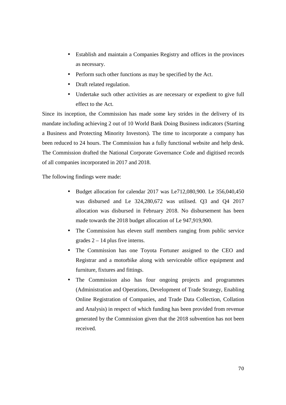- Establish and maintain a Companies Registry and offices in the provinces as necessary.
- Perform such other functions as may be specified by the Act.
- Draft related regulation.
- Undertake such other activities as are necessary or expedient to give full effect to the Act.

Since its inception, the Commission has made some key strides in the delivery of its mandate including achieving 2 out of 10 World Bank Doing Business indicators (Starting a Business and Protecting Minority Investors). The time to incorporate a company has been reduced to 24 hours. The Commission has a fully functional website and help desk. The Commission drafted the National Corporate Governance Code and digitised records of all companies incorporated in 2017 and 2018.

The following findings were made:

- Budget allocation for calendar 2017 was Le712,080,900. Le 356,040,450 was disbursed and Le 324,280,672 was utilised. Q3 and Q4 2017 allocation was disbursed in February 2018. No disbursement has been made towards the 2018 budget allocation of Le 947,919,900.
- The Commission has eleven staff members ranging from public service grades  $2 - 14$  plus five interns.
- The Commission has one Toyota Fortuner assigned to the CEO and Registrar and a motorbike along with serviceable office equipment and furniture, fixtures and fittings.
- The Commission also has four ongoing projects and programmes (Administration and Operations, Development of Trade Strategy, Enabling Online Registration of Companies, and Trade Data Collection, Collation and Analysis) in respect of which funding has been provided from revenue generated by the Commission given that the 2018 subvention has not been received.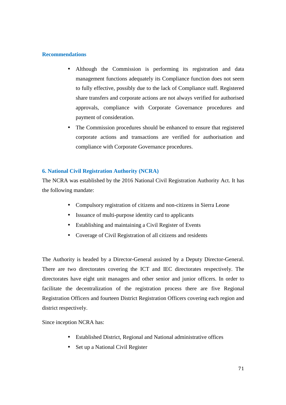## **Recommendations**

- Although the Commission is performing its registration and data management functions adequately its Compliance function does not seem to fully effective, possibly due to the lack of Compliance staff. Registered share transfers and corporate actions are not always verified for authorised approvals, compliance with Corporate Governance procedures and payment of consideration.
- The Commission procedures should be enhanced to ensure that registered corporate actions and transactions are verified for authorisation and compliance with Corporate Governance procedures.

## **6. National Civil Registration Authority (NCRA)**

The NCRA was established by the 2016 National Civil Registration Authority Act. It has the following mandate:

- Compulsory registration of citizens and non-citizens in Sierra Leone
- Issuance of multi-purpose identity card to applicants
- Establishing and maintaining a Civil Register of Events
- Coverage of Civil Registration of all citizens and residents

The Authority is headed by a Director-General assisted by a Deputy Director-General. There are two directorates covering the ICT and IEC directorates respectively. The directorates have eight unit managers and other senior and junior officers. In order to facilitate the decentralization of the registration process there are five Regional Registration Officers and fourteen District Registration Officers covering each region and district respectively.

Since inception NCRA has:

- Established District, Regional and National administrative offices
- Set up a National Civil Register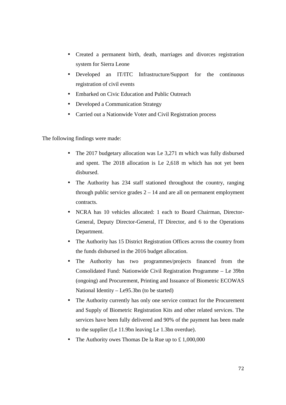- Created a permanent birth, death, marriages and divorces registration system for Sierra Leone
- Developed an IT/ITC Infrastructure/Support for the continuous registration of civil events
- Embarked on Civic Education and Public Outreach
- Developed a Communication Strategy
- Carried out a Nationwide Voter and Civil Registration process

The following findings were made:

- The 2017 budgetary allocation was Le 3,271 m which was fully disbursed and spent. The 2018 allocation is Le 2,618 m which has not yet been disbursed.
- The Authority has 234 staff stationed throughout the country, ranging through public service grades  $2 - 14$  and are all on permanent employment contracts.
- NCRA has 10 vehicles allocated: 1 each to Board Chairman, Director-General, Deputy Director-General, IT Director, and 6 to the Operations Department.
- The Authority has 15 District Registration Offices across the country from the funds disbursed in the 2016 budget allocation.
- The Authority has two programmes/projects financed from the Consolidated Fund: Nationwide Civil Registration Programme – Le 39bn (ongoing) and Procurement, Printing and Issuance of Biometric ECOWAS National Identity – Le95.3bn (to be started)
- The Authority currently has only one service contract for the Procurement and Supply of Biometric Registration Kits and other related services. The services have been fully delivered and 90% of the payment has been made to the supplier (Le 11.9bn leaving Le 1.3bn overdue).
- The Authority owes Thomas De la Rue up to  $\text{\pounds}$  1,000,000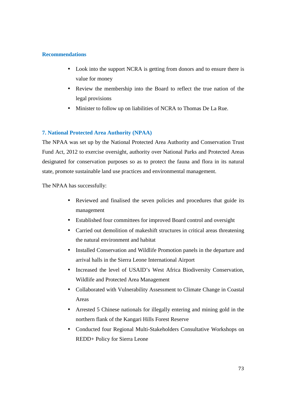- Look into the support NCRA is getting from donors and to ensure there is value for money
- Review the membership into the Board to reflect the true nation of the legal provisions
- Minister to follow up on liabilities of NCRA to Thomas De La Rue.

# **7. National Protected Area Authority (NPAA)**

The NPAA was set up by the National Protected Area Authority and Conservation Trust Fund Act, 2012 to exercise oversight, authority over National Parks and Protected Areas designated for conservation purposes so as to protect the fauna and flora in its natural state, promote sustainable land use practices and environmental management.

The NPAA has successfully:

- Reviewed and finalised the seven policies and procedures that guide its management
- Established four committees for improved Board control and oversight
- Carried out demolition of makeshift structures in critical areas threatening the natural environment and habitat
- Installed Conservation and Wildlife Promotion panels in the departure and arrival halls in the Sierra Leone International Airport
- Increased the level of USAID's West Africa Biodiversity Conservation, Wildlife and Protected Area Management
- Collaborated with Vulnerability Assessment to Climate Change in Coastal Areas
- Arrested 5 Chinese nationals for illegally entering and mining gold in the northern flank of the Kangari Hills Forest Reserve
- Conducted four Regional Multi-Stakeholders Consultative Workshops on REDD+ Policy for Sierra Leone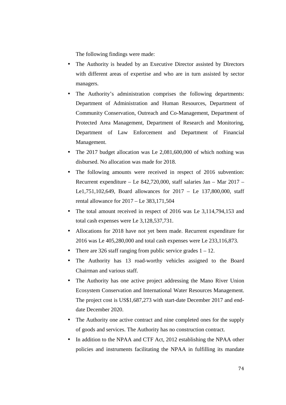The following findings were made:

- The Authority is headed by an Executive Director assisted by Directors with different areas of expertise and who are in turn assisted by sector managers.
- The Authority's administration comprises the following departments: Department of Administration and Human Resources, Department of Community Conservation, Outreach and Co-Management, Department of Protected Area Management, Department of Research and Monitoring, Department of Law Enforcement and Department of Financial Management.
- The 2017 budget allocation was Le 2,081,600,000 of which nothing was disbursed. No allocation was made for 2018.
- The following amounts were received in respect of 2016 subvention: Recurrent expenditure – Le 842,720,000, staff salaries Jan – Mar 2017 – Le1,751,102,649, Board allowances for 2017 – Le 137,800,000, staff rental allowance for 2017 – Le 383,171,504
- The total amount received in respect of 2016 was Le 3,114,794,153 and total cash expenses were Le 3,128,537,731.
- Allocations for 2018 have not yet been made. Recurrent expenditure for 2016 was Le 405,280,000 and total cash expenses were Le 233,116,873.
- There are 326 staff ranging from public service grades  $1 12$ .
- The Authority has 13 road-worthy vehicles assigned to the Board Chairman and various staff.
- The Authority has one active project addressing the Mano River Union Ecosystem Conservation and International Water Resources Management. The project cost is US\$1,687,273 with start-date December 2017 and enddate December 2020.
- The Authority one active contract and nine completed ones for the supply of goods and services. The Authority has no construction contract.
- In addition to the NPAA and CTF Act, 2012 establishing the NPAA other policies and instruments facilitating the NPAA in fulfilling its mandate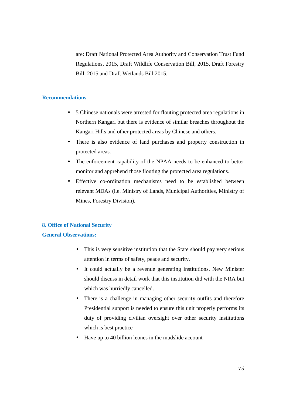are: Draft National Protected Area Authority and Conservation Trust Fund Regulations, 2015, Draft Wildlife Conservation Bill, 2015, Draft Forestry Bill, 2015 and Draft Wetlands Bill 2015.

# **Recommendations**

- 5 Chinese nationals were arrested for flouting protected area regulations in Northern Kangari but there is evidence of similar breaches throughout the Kangari Hills and other protected areas by Chinese and others.
- There is also evidence of land purchases and property construction in protected areas.
- The enforcement capability of the NPAA needs to be enhanced to better monitor and apprehend those flouting the protected area regulations.
- Effective co-ordination mechanisms need to be established between relevant MDAs (i.e. Ministry of Lands, Municipal Authorities, Ministry of Mines, Forestry Division).

#### **8. Office of National Security**

#### **General Observations:**

- This is very sensitive institution that the State should pay very serious attention in terms of safety, peace and security.
- It could actually be a revenue generating institutions. New Minister should discuss in detail work that this institution did with the NRA but which was hurriedly cancelled.
- There is a challenge in managing other security outfits and therefore Presidential support is needed to ensure this unit properly performs its duty of providing civilian oversight over other security institutions which is best practice
- Have up to 40 billion leones in the mudslide account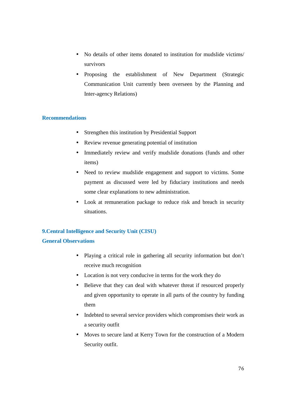- No details of other items donated to institution for mudslide victims/ survivors
- Proposing the establishment of New Department (Strategic Communication Unit currently been overseen by the Planning and Inter-agency Relations)

- Strengthen this institution by Presidential Support
- Review revenue generating potential of institution
- Immediately review and verify mudslide donations (funds and other items)
- Need to review mudslide engagement and support to victims. Some payment as discussed were led by fiduciary institutions and needs some clear explanations to new administration.
- Look at remuneration package to reduce risk and breach in security situations.

# **9.Central Intelligence and Security Unit (CISU) General Observations**

- Playing a critical role in gathering all security information but don't receive much recognition
- Location is not very conducive in terms for the work they do
- Believe that they can deal with whatever threat if resourced properly and given opportunity to operate in all parts of the country by funding them
- Indebted to several service providers which compromises their work as a security outfit
- Moves to secure land at Kerry Town for the construction of a Modern Security outfit.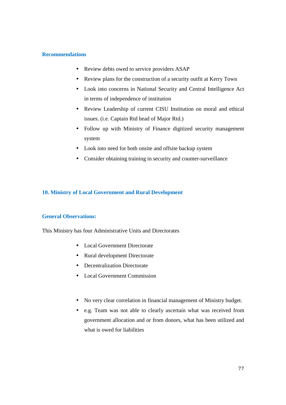- Review debts owed to service providers ASAP
- Review plans for the construction of a security outfit at Kerry Town
- Look into concerns in National Security and Central Intelligence Act in terms of independence of institution
- Review Leadership of current CISU Institution on moral and ethical issues. (i.e. Captain Rtd head of Major Rtd.)
- Follow up with Ministry of Finance digitized security management system
- Look into need for both onsite and offsite backup system
- Consider obtaining training in security and counter-surveillance

# **10. Ministry of Local Government and Rural Development**

# **General Observations:**

This Ministry has four Administrative Units and Directorates

- Local Government Directorate
- Rural development Directorate
- **Decentralization Directorate**
- Local Government Commission
- No very clear correlation in financial management of Ministry budget.
- e.g. Team was not able to clearly ascertain what was received from government allocation and or from donors, what has been utilized and what is owed for liabilities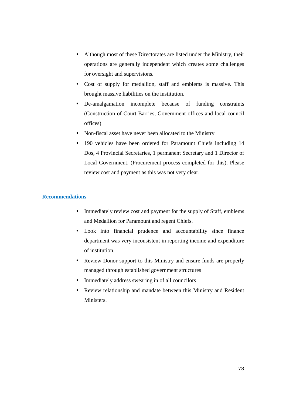- Although most of these Directorates are listed under the Ministry, their operations are generally independent which creates some challenges for oversight and supervisions.
- Cost of supply for medallion, staff and emblems is massive. This brought massive liabilities on the institution.
- De-amalgamation incomplete because of funding constraints (Construction of Court Barries, Government offices and local council offices)
- Non-fiscal asset have never been allocated to the Ministry
- 190 vehicles have been ordered for Paramount Chiefs including 14 Dos, 4 Provincial Secretaries, 1 permanent Secretary and 1 Director of Local Government. (Procurement process completed for this). Please review cost and payment as this was not very clear.

- Immediately review cost and payment for the supply of Staff, emblems and Medallion for Paramount and regent Chiefs.
- Look into financial prudence and accountability since finance department was very inconsistent in reporting income and expenditure of institution.
- Review Donor support to this Ministry and ensure funds are properly managed through established government structures
- Immediately address swearing in of all councilors
- Review relationship and mandate between this Ministry and Resident **Ministers**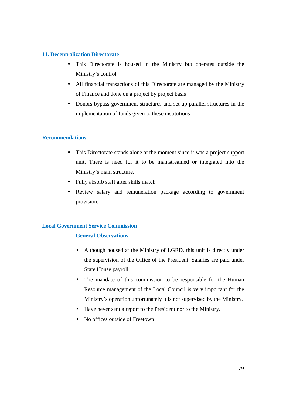### **11. Decentralization Directorate**

- This Directorate is housed in the Ministry but operates outside the Ministry's control
- All financial transactions of this Directorate are managed by the Ministry of Finance and done on a project by project basis
- Donors bypass government structures and set up parallel structures in the implementation of funds given to these institutions

### **Recommendations**

- This Directorate stands alone at the moment since it was a project support unit. There is need for it to be mainstreamed or integrated into the Ministry's main structure.
- Fully absorb staff after skills match
- Review salary and remuneration package according to government provision.

#### **Local Government Service Commission**

# **General Observations**

- Although housed at the Ministry of LGRD, this unit is directly under the supervision of the Office of the President. Salaries are paid under State House payroll.
- The mandate of this commission to be responsible for the Human Resource management of the Local Council is very important for the Ministry's operation unfortunately it is not supervised by the Ministry.
- Have never sent a report to the President nor to the Ministry.
- No offices outside of Freetown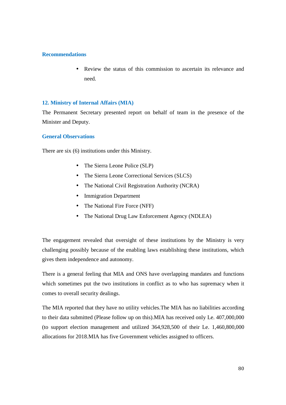• Review the status of this commission to ascertain its relevance and need.

#### **12. Ministry of Internal Affairs (MIA)**

The Permanent Secretary presented report on behalf of team in the presence of the Minister and Deputy.

#### **General Observations**

There are six (6) institutions under this Ministry.

- The Sierra Leone Police (SLP)
- The Sierra Leone Correctional Services (SLCS)
- The National Civil Registration Authority (NCRA)
- Immigration Department
- The National Fire Force (NFF)
- The National Drug Law Enforcement Agency (NDLEA)

The engagement revealed that oversight of these institutions by the Ministry is very challenging possibly because of the enabling laws establishing these institutions, which gives them independence and autonomy.

There is a general feeling that MIA and ONS have overlapping mandates and functions which sometimes put the two institutions in conflict as to who has supremacy when it comes to overall security dealings.

The MIA reported that they have no utility vehicles.The MIA has no liabilities according to their data submitted (Please follow up on this).MIA has received only Le. 407,000,000 (to support election management and utilized 364,928,500 of their Le. 1,460,800,000 allocations for 2018.MIA has five Government vehicles assigned to officers.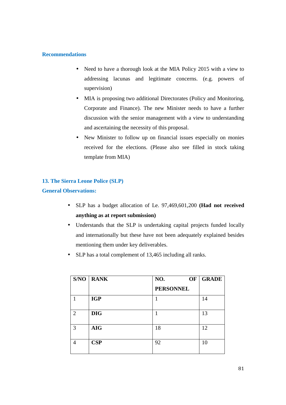- Need to have a thorough look at the MIA Policy 2015 with a view to addressing lacunas and legitimate concerns. (e.g. powers of supervision)
- MIA is proposing two additional Directorates (Policy and Monitoring, Corporate and Finance). The new Minister needs to have a further discussion with the senior management with a view to understanding and ascertaining the necessity of this proposal.
- New Minister to follow up on financial issues especially on monies received for the elections. (Please also see filled in stock taking template from MIA)

# **13. The Sierra Leone Police (SLP)**

# **General Observations:**

- SLP has a budget allocation of Le. 97,469,601,200 **(Had not received anything as at report submission)**
- Understands that the SLP is undertaking capital projects funded locally and internationally but these have not been adequately explained besides mentioning them under key deliverables.
- SLP has a total complement of 13,465 including all ranks.

|   | $S/NO$ RANK | NO.<br>OF        | <b>GRADE</b> |
|---|-------------|------------------|--------------|
|   |             | <b>PERSONNEL</b> |              |
|   | <b>IGP</b>  |                  | 14           |
| 2 | <b>DIG</b>  |                  | 13           |
| 3 | <b>AIG</b>  | 18               | 12           |
| 4 | CSP         | 92               | 10           |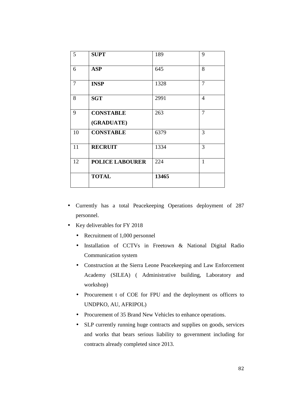| 5              | <b>SUPT</b>                    | 189   | 9              |
|----------------|--------------------------------|-------|----------------|
| 6              | <b>ASP</b>                     | 645   | 8              |
| $\overline{7}$ | <b>INSP</b>                    | 1328  | $\overline{7}$ |
| 8              | <b>SGT</b>                     | 2991  | $\overline{4}$ |
| 9              | <b>CONSTABLE</b><br>(GRADUATE) | 263   | $\overline{7}$ |
| 10             | <b>CONSTABLE</b>               | 6379  | 3              |
| 11             | <b>RECRUIT</b>                 | 1334  | 3              |
| 12             | <b>POLICE LABOURER</b>         | 224   | 1              |
|                | <b>TOTAL</b>                   | 13465 |                |

- Currently has a total Peacekeeping Operations deployment of 287 personnel.
- Key deliverables for FY 2018
	- Recruitment of 1,000 personnel
	- Installation of CCTVs in Freetown & National Digital Radio Communication system
	- Construction at the Sierra Leone Peacekeeping and Law Enforcement Academy (SILEA) ( Administrative building, Laboratory and workshop)
	- Procurement t of COE for FPU and the deployment os officers to UNDPKO, AU, AFRIPOL)
	- Procurement of 35 Brand New Vehicles to enhance operations.
	- SLP currently running huge contracts and supplies on goods, services and works that bears serious liability to government including for contracts already completed since 2013.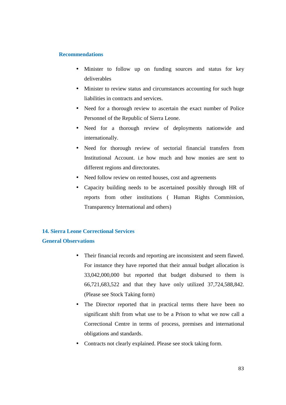- Minister to follow up on funding sources and status for key deliverables
- Minister to review status and circumstances accounting for such huge liabilities in contracts and services.
- Need for a thorough review to ascertain the exact number of Police Personnel of the Republic of Sierra Leone.
- Need for a thorough review of deployments nationwide and internationally.
- Need for thorough review of sectorial financial transfers from Institutional Account. i.e how much and how monies are sent to different regions and directorates.
- Need follow review on rented houses, cost and agreements
- Capacity building needs to be ascertained possibly through HR of reports from other institutions ( Human Rights Commission, Transparency International and others)

# **14. Sierra Leone Correctional Services General Observations**

# • Their financial records and reporting are inconsistent and seem flawed. For instance they have reported that their annual budget allocation is 33,042,000,000 but reported that budget disbursed to them is 66,721,683,522 and that they have only utilized 37,724,588,842. (Please see Stock Taking form)

- The Director reported that in practical terms there have been no significant shift from what use to be a Prison to what we now call a Correctional Centre in terms of process, premises and international obligations and standards.
- Contracts not clearly explained. Please see stock taking form.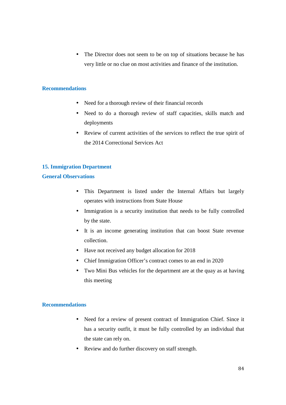• The Director does not seem to be on top of situations because he has very little or no clue on most activities and finance of the institution.

# **Recommendations**

- Need for a thorough review of their financial records
- Need to do a thorough review of staff capacities, skills match and deployments
- Review of current activities of the services to reflect the true spirit of the 2014 Correctional Services Act

### **15. Immigration Department**

### **General Observations**

- This Department is listed under the Internal Affairs but largely operates with instructions from State House
- Immigration is a security institution that needs to be fully controlled by the state.
- It is an income generating institution that can boost State revenue collection.
- Have not received any budget allocation for 2018
- Chief Immigration Officer's contract comes to an end in 2020
- Two Mini Bus vehicles for the department are at the quay as at having this meeting

#### **Recommendations**

- Need for a review of present contract of Immigration Chief. Since it has a security outfit, it must be fully controlled by an individual that the state can rely on.
- Review and do further discovery on staff strength.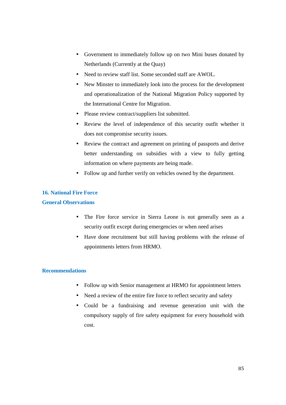- Government to immediately follow up on two Mini buses donated by Netherlands (Currently at the Quay)
- Need to review staff list. Some seconded staff are AWOL.
- New Minster to immediately look into the process for the development and operationalization of the National Migration Policy supported by the International Centre for Migration.
- Please review contract/suppliers list submitted.
- Review the level of independence of this security outfit whether it does not compromise security issues.
- Review the contract and agreement on printing of passports and derive better understanding on subsidies with a view to fully getting information on where payments are being made.
- Follow up and further verify on vehicles owned by the department.

# **16. National Fire Force**

# **General Observations**

- The Fire force service in Sierra Leone is not generally seen as a security outfit except during emergencies or when need arises
- Have done recruitment but still having problems with the release of appointments letters from HRMO.

#### **Recommendations**

- Follow up with Senior management at HRMO for appointment letters
- Need a review of the entire fire force to reflect security and safety
- Could be a fundraising and revenue generation unit with the compulsory supply of fire safety equipment for every household with cost.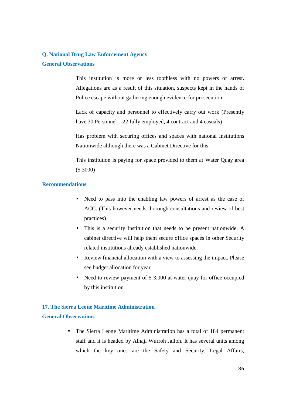# **Q. National Drug Law Enforcement Agency**

# **General Observations**

This institution is more or less toothless with no powers of arrest. Allegations are as a result of this situation, suspects kept in the hands of Police escape without gathering enough evidence for prosecution.

Lack of capacity and personnel to effectively carry out work (Presently have 30 Personnel – 22 fully employed, 4 contract and 4 casuals)

Has problem with securing offices and spaces with national Institutions Nationwide although there was a Cabinet Directive for this.

This institution is paying for space provided to them at Water Quay area (\$ 3000)

# **Recommendations**

- Need to pass into the enabling law powers of arrest as the case of ACC. (This however needs thorough consultations and review of best practices)
- This is a security Institution that needs to be present nationwide. A cabinet directive will help them secure office spaces in other Security related institutions already established nationwide.
- Review financial allocation with a view to assessing the impact. Please see budget allocation for year.
- Need to review payment of \$3,000 at water quay for office occupied by this institution.

#### **17. The Sierra Leone Maritime Administration**

# **General Observations**

• The Sierra Leone Maritime Administration has a total of 184 permanent staff and it is headed by Alhaji Wurroh Jalloh. It has several units among which the key ones are the Safety and Security, Legal Affairs,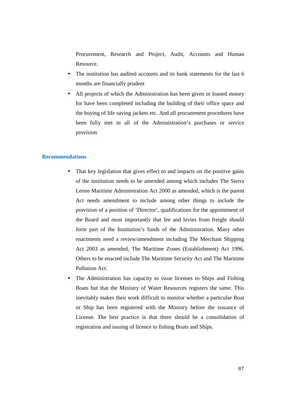Procurement, Research and Project, Audit, Accounts and Human Resource.

- The institution has audited accounts and its bank statements for the last 6 months are financially prudent
- All projects of which the Administration has been given or loaned money for have been completed including the building of their office space and the buying of life saving jackets etc. And all procurement procedures have been fully met in all of the Administration's purchases or service provision

#### **Recommendations**

- That key legislation that gives effect to and impacts on the positive gains of the institution needs to be amended among which includes The Sierra Leone Maritime Administration Act 2000 as amended, which is the parent Act needs amendment to include among other things to include the provision of a position of 'Director', qualifications for the appointment of the Board and most importantly that fee and levies from freight should form part of the Institution's funds of the Administration. Many other enactments need a review/amendment including The Merchant Shipping Act 2003 as amended, The Maritime Zones (Establishment) Act 1996. Others to be enacted include The Maritime Security Act and The Maritime Pollution Act.
- The Administration has capacity to issue licenses to Ships and Fishing Boats but that the Ministry of Water Resources registers the same. This inevitably makes their work difficult to monitor whether a particular Boat or Ship has been registered with the Ministry before the issuance of License. The best practice is that there should be a consolidation of registration and issuing of licence to fishing Boats and Ships.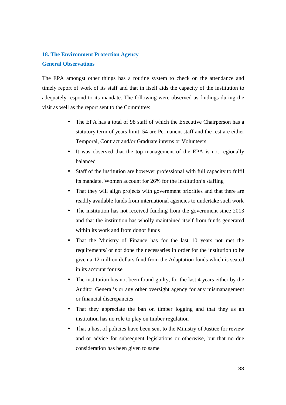# **18. The Environment Protection Agency General Observations**

The EPA amongst other things has a routine system to check on the attendance and timely report of work of its staff and that in itself aids the capacity of the institution to adequately respond to its mandate. The following were observed as findings during the visit as well as the report sent to the Committee:

- The EPA has a total of 98 staff of which the Executive Chairperson has a statutory term of years limit, 54 are Permanent staff and the rest are either Temporal, Contract and/or Graduate interns or Volunteers
- It was observed that the top management of the EPA is not regionally balanced
- Staff of the institution are however professional with full capacity to fulfil its mandate. Women account for 26% for the institution's staffing
- That they will align projects with government priorities and that there are readily available funds from international agencies to undertake such work
- The institution has not received funding from the government since 2013 and that the institution has wholly maintained itself from funds generated within its work and from donor funds
- That the Ministry of Finance has for the last 10 years not met the requirements/ or not done the necessaries in order for the institution to be given a 12 million dollars fund from the Adaptation funds which is seated in its account for use
- The institution has not been found guilty, for the last 4 years either by the Auditor General's or any other oversight agency for any mismanagement or financial discrepancies
- That they appreciate the ban on timber logging and that they as an institution has no role to play on timber regulation
- That a host of policies have been sent to the Ministry of Justice for review and or advice for subsequent legislations or otherwise, but that no due consideration has been given to same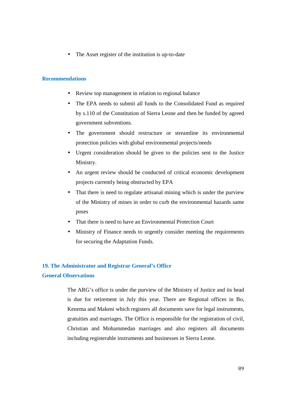• The Asset register of the institution is up-to-date

#### **Recommendations**

- Review top management in relation to regional balance
- The EPA needs to submit all funds to the Consolidated Fund as required by s.110 of the Constitution of Sierra Leone and then be funded by agreed government subventions.
- The government should restructure or streamline its environmental protection policies with global environmental projects/needs
- Urgent consideration should be given to the policies sent to the Justice Ministry.
- An urgent review should be conducted of critical economic development projects currently being obstructed by EPA
- That there is need to regulate artisanal mining which is under the purview of the Ministry of mines in order to curb the environmental hazards same poses
- That there is need to have an Environmental Protection Court
- Ministry of Finance needs to urgently consider meeting the requirements for securing the Adaptation Funds.

# **19. The Administrator and Registrar General's Office General Observations**

# The ARG's office is under the purview of the Ministry of Justice and its head is due for retirement in July this year. There are Regional offices in Bo, Kenema and Makeni which registers all documents save for legal instruments, gratuities and marriages. The Office is responsible for the registration of civil, Christian and Mohammedan marriages and also registers all documents including registerable instruments and businesses in Sierra Leone.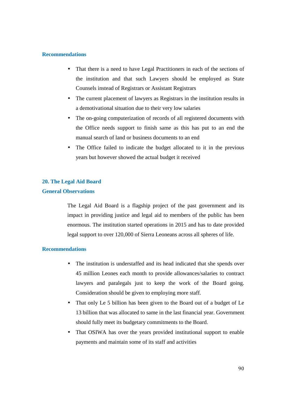- That there is a need to have Legal Practitioners in each of the sections of the institution and that such Lawyers should be employed as State Counsels instead of Registrars or Assistant Registrars
- The current placement of lawyers as Registrars in the institution results in a demotivational situation due to their very low salaries
- The on-going computerization of records of all registered documents with the Office needs support to finish same as this has put to an end the manual search of land or business documents to an end
- The Office failed to indicate the budget allocated to it in the previous years but however showed the actual budget it received

# **20. The Legal Aid Board**

#### **General Observations**

The Legal Aid Board is a flagship project of the past government and its impact in providing justice and legal aid to members of the public has been enormous. The institution started operations in 2015 and has to date provided legal support to over 120,000 of Sierra Leoneans across all spheres of life.

#### **Recommendations**

- The institution is understaffed and its head indicated that she spends over 45 million Leones each month to provide allowances/salaries to contract lawyers and paralegals just to keep the work of the Board going. Consideration should be given to employing more staff.
- That only Le 5 billion has been given to the Board out of a budget of Le 13 billion that was allocated to same in the last financial year. Government should fully meet its budgetary commitments to the Board.
- That OSIWA has over the years provided institutional support to enable payments and maintain some of its staff and activities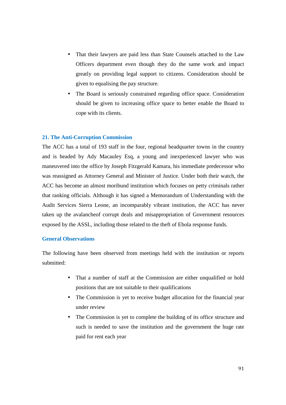- That their lawyers are paid less than State Counsels attached to the Law Officers department even though they do the same work and impact greatly on providing legal support to citizens. Consideration should be given to equalising the pay structure.
- The Board is seriously constrained regarding office space. Consideration should be given to increasing office space to better enable the Board to cope with its clients.

#### **21. The Anti-Corruption Commission**

The ACC has a total of 193 staff in the four, regional headquarter towns in the country and is headed by Ady Macauley Esq, a young and inexperienced lawyer who was maneuvered into the office by Joseph Fitzgerald Kamara, his immediate predecessor who was reassigned as Attorney General and Minister of Justice. Under both their watch, the ACC has become an almost moribund institution which focuses on petty criminals rather that ranking officials. Although it has signed a Memorandum of Understanding with the Audit Services Sierra Leone, an incomparably vibrant institution, the ACC has never taken up the avalancheof corrupt deals and misappropriation of Government resources exposed by the ASSL, including those related to the theft of Ebola response funds.

#### **General Observations**

The following have been observed from meetings held with the institution or reports submitted:

- That a number of staff at the Commission are either unqualified or hold positions that are not suitable to their qualifications
- The Commission is yet to receive budget allocation for the financial year under review
- The Commission is yet to complete the building of its office structure and such is needed to save the institution and the government the huge rate paid for rent each year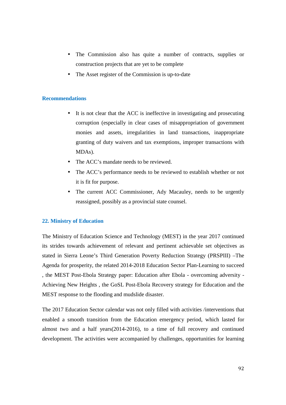- The Commission also has quite a number of contracts, supplies or construction projects that are yet to be complete
- The Asset register of the Commission is up-to-date

- It is not clear that the ACC is ineffective in investigating and prosecuting corruption (especially in clear cases of misappropriation of government monies and assets, irregularities in land transactions, inappropriate granting of duty waivers and tax exemptions, improper transactions with MDAs).
- The ACC's mandate needs to be reviewed.
- The ACC's performance needs to be reviewed to establish whether or not it is fit for purpose.
- The current ACC Commissioner, Ady Macauley, needs to be urgently reassigned, possibly as a provincial state counsel.

#### **22. Ministry of Education**

The Ministry of Education Science and Technology (MEST) in the year 2017 continued its strides towards achievement of relevant and pertinent achievable set objectives as stated in Sierra Leone's Third Generation Poverty Reduction Strategy (PRSPIII) –The Agenda for prosperity, the related 2014-2018 Education Sector Plan-Learning to succeed , the MEST Post-Ebola Strategy paper: Education after Ebola - overcoming adversity - Achieving New Heights , the GoSL Post-Ebola Recovery strategy for Education and the MEST response to the flooding and mudslide disaster.

The 2017 Education Sector calendar was not only filled with activities /interventions that enabled a smooth transition from the Education emergency period, which lasted for almost two and a half years(2014-2016), to a time of full recovery and continued development. The activities were accompanied by challenges, opportunities for learning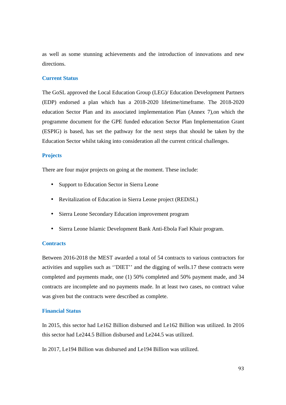as well as some stunning achievements and the introduction of innovations and new directions.

### **Current Status**

The GoSL approved the Local Education Group (LEG)/ Education Development Partners (EDP) endorsed a plan which has a 2018-2020 lifetime/timeframe. The 2018-2020 education Sector Plan and its associated implementation Plan (Annex 7),on which the programme document for the GPE funded education Sector Plan Implementation Grant (ESPIG) is based, has set the pathway for the next steps that should be taken by the Education Sector whilst taking into consideration all the current critical challenges.

### **Projects**

There are four major projects on going at the moment. These include:

- Support to Education Sector in Sierra Leone
- Revitalization of Education in Sierra Leone project (REDiSL)
- Sierra Leone Secondary Education improvement program
- Sierra Leone Islamic Development Bank Anti-Ebola Fael Khair program.

#### **Contracts**

Between 2016-2018 the MEST awarded a total of 54 contracts to various contractors for activities and supplies such as ''DIET'' and the digging of wells.17 these contracts were completed and payments made, one (1) 50% completed and 50% payment made, and 34 contracts are incomplete and no payments made. In at least two cases, no contract value was given but the contracts were described as complete.

#### **Financial Status**

In 2015, this sector had Le162 Billion disbursed and Le162 Billion was utilized. In 2016 this sector had Le244.5 Billion disbursed and Le244.5 was utilized.

In 2017, Le194 Billion was disbursed and Le194 Billion was utilized.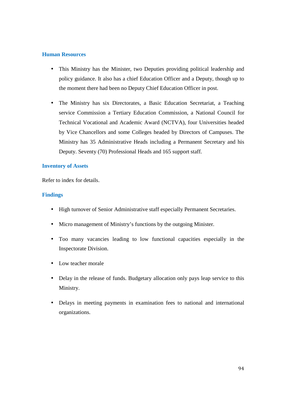# **Human Resources**

- This Ministry has the Minister, two Deputies providing political leadership and policy guidance. It also has a chief Education Officer and a Deputy, though up to the moment there had been no Deputy Chief Education Officer in post.
- The Ministry has six Directorates, a Basic Education Secretariat, a Teaching service Commission a Tertiary Education Commission, a National Council for Technical Vocational and Academic Award (NCTVA), four Universities headed by Vice Chancellors and some Colleges headed by Directors of Campuses. The Ministry has 35 Administrative Heads including a Permanent Secretary and his Deputy. Seventy (70) Professional Heads and 165 support staff.

### **Inventory of Assets**

Refer to index for details.

### **Findings**

- High turnover of Senior Administrative staff especially Permanent Secretaries.
- Micro management of Ministry's functions by the outgoing Minister.
- Too many vacancies leading to low functional capacities especially in the Inspectorate Division.
- Low teacher morale
- Delay in the release of funds. Budgetary allocation only pays leap service to this Ministry.
- Delays in meeting payments in examination fees to national and international organizations.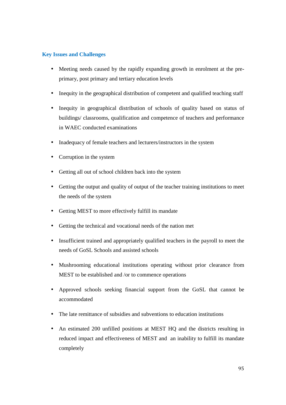# **Key Issues and Challenges**

- Meeting needs caused by the rapidly expanding growth in enrolment at the preprimary, post primary and tertiary education levels
- Inequity in the geographical distribution of competent and qualified teaching staff
- Inequity in geographical distribution of schools of quality based on status of buildings/ classrooms, qualification and competence of teachers and performance in WAEC conducted examinations
- Inadequacy of female teachers and lecturers/instructors in the system
- Corruption in the system
- Getting all out of school children back into the system
- Getting the output and quality of output of the teacher training institutions to meet the needs of the system
- Getting MEST to more effectively fulfill its mandate
- Getting the technical and vocational needs of the nation met
- Insufficient trained and appropriately qualified teachers in the payroll to meet the needs of GoSL Schools and assisted schools
- Mushrooming educational institutions operating without prior clearance from MEST to be established and /or to commence operations
- Approved schools seeking financial support from the GoSL that cannot be accommodated
- The late remittance of subsidies and subventions to education institutions
- An estimated 200 unfilled positions at MEST HQ and the districts resulting in reduced impact and effectiveness of MEST and an inability to fulfill its mandate completely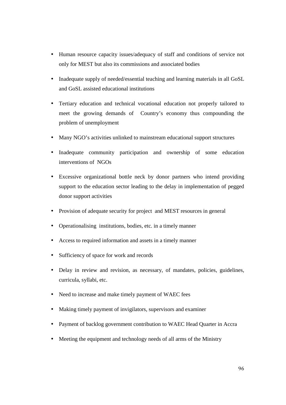- Human resource capacity issues/adequacy of staff and conditions of service not only for MEST but also its commissions and associated bodies
- Inadequate supply of needed/essential teaching and learning materials in all GoSL and GoSL assisted educational institutions
- Tertiary education and technical vocational education not properly tailored to meet the growing demands of Country's economy thus compounding the problem of unemployment
- Many NGO's activities unlinked to mainstream educational support structures
- Inadequate community participation and ownership of some education interventions of NGOs
- Excessive organizational bottle neck by donor partners who intend providing support to the education sector leading to the delay in implementation of pegged donor support activities
- Provision of adequate security for project and MEST resources in general
- Operationalising institutions, bodies, etc. in a timely manner
- Access to required information and assets in a timely manner
- Sufficiency of space for work and records
- Delay in review and revision, as necessary, of mandates, policies, guidelines, curricula, syllabi, etc.
- Need to increase and make timely payment of WAEC fees
- Making timely payment of invigilators, supervisors and examiner
- Payment of backlog government contribution to WAEC Head Quarter in Accra
- Meeting the equipment and technology needs of all arms of the Ministry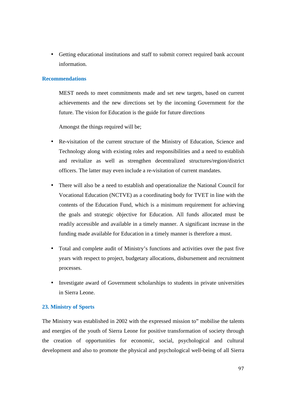• Getting educational institutions and staff to submit correct required bank account information.

### **Recommendations**

MEST needs to meet commitments made and set new targets, based on current achievements and the new directions set by the incoming Government for the future. The vision for Education is the guide for future directions

Amongst the things required will be;

- Re-visitation of the current structure of the Ministry of Education, Science and Technology along with existing roles and responsibilities and a need to establish and revitalize as well as strengthen decentralized structures/region/district officers. The latter may even include a re-visitation of current mandates.
- There will also be a need to establish and operationalize the National Council for Vocational Education (NCTVE) as a coordinating body for TVET in line with the contents of the Education Fund, which is a minimum requirement for achieving the goals and strategic objective for Education. All funds allocated must be readily accessible and available in a timely manner. A significant increase in the funding made available for Education in a timely manner is therefore a must.
- Total and complete audit of Ministry's functions and activities over the past five years with respect to project, budgetary allocations, disbursement and recruitment processes.
- Investigate award of Government scholarships to students in private universities in Sierra Leone.

#### **23. Ministry of Sports**

The Ministry was established in 2002 with the expressed mission to" mobilise the talents and energies of the youth of Sierra Leone for positive transformation of society through the creation of opportunities for economic, social, psychological and cultural development and also to promote the physical and psychological well-being of all Sierra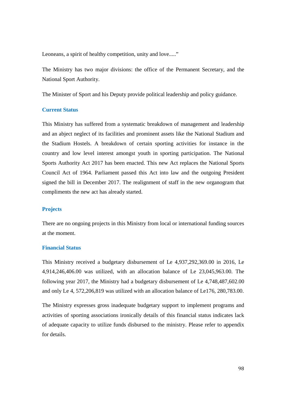Leoneans, a spirit of healthy competition, unity and love....."

The Ministry has two major divisions: the office of the Permanent Secretary, and the National Sport Authority.

The Minister of Sport and his Deputy provide political leadership and policy guidance.

## **Current Status**

This Ministry has suffered from a systematic breakdown of management and leadership and an abject neglect of its facilities and prominent assets like the National Stadium and the Stadium Hostels. A breakdown of certain sporting activities for instance in the country and low level interest amongst youth in sporting participation. The National Sports Authority Act 2017 has been enacted. This new Act replaces the National Sports Council Act of 1964. Parliament passed this Act into law and the outgoing President signed the bill in December 2017. The realignment of staff in the new organogram that compliments the new act has already started.

#### **Projects**

There are no ongoing projects in this Ministry from local or international funding sources at the moment.

#### **Financial Status**

This Ministry received a budgetary disbursement of Le 4,937,292,369.00 in 2016, Le 4,914,246,406.00 was utilized, with an allocation balance of Le 23,045,963.00. The following year 2017, the Ministry had a budgetary disbursement of Le 4,748,487,602.00 and only Le 4, 572,206,819 was utilized with an allocation balance of Le176, 280,783.00.

The Ministry expresses gross inadequate budgetary support to implement programs and activities of sporting associations ironically details of this financial status indicates lack of adequate capacity to utilize funds disbursed to the ministry. Please refer to appendix for details.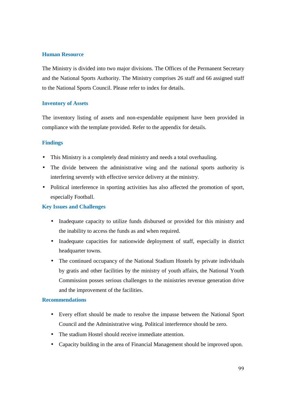# **Human Resource**

The Ministry is divided into two major divisions. The Offices of the Permanent Secretary and the National Sports Authority. The Ministry comprises 26 staff and 66 assigned staff to the National Sports Council. Please refer to index for details.

### **Inventory of Assets**

The inventory listing of assets and non-expendable equipment have been provided in compliance with the template provided. Refer to the appendix for details.

### **Findings**

- This Ministry is a completely dead ministry and needs a total overhauling.
- The divide between the administrative wing and the national sports authority is interfering severely with effective service delivery at the ministry.
- Political interference in sporting activities has also affected the promotion of sport, especially Football.

#### **Key Issues and Challenges**

- Inadequate capacity to utilize funds disbursed or provided for this ministry and the inability to access the funds as and when required.
- Inadequate capacities for nationwide deployment of staff, especially in district headquarter towns.
- The continued occupancy of the National Stadium Hostels by private individuals by gratis and other facilities by the ministry of youth affairs, the National Youth Commission posses serious challenges to the ministries revenue generation drive and the improvement of the facilities.

#### **Recommendations**

- Every effort should be made to resolve the impasse between the National Sport Council and the Administrative wing. Political interference should be zero.
- The stadium Hostel should receive immediate attention.
- Capacity building in the area of Financial Management should be improved upon.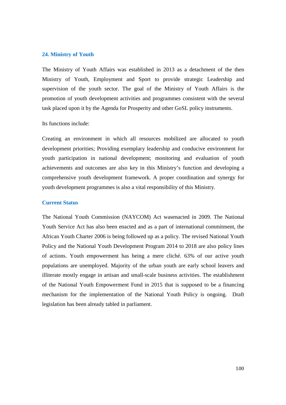#### **24. Ministry of Youth**

The Ministry of Youth Affairs was established in 2013 as a detachment of the then Ministry of Youth, Employment and Sport to provide strategic Leadership and supervision of the youth sector. The goal of the Ministry of Youth Affairs is the promotion of youth development activities and programmes consistent with the several task placed upon it by the Agenda for Prosperity and other GoSL policy instruments.

Its functions include:

Creating an environment in which all resources mobilized are allocated to youth development priorities; Providing exemplary leadership and conducive environment for youth participation in national development; monitoring and evaluation of youth achievements and outcomes are also key in this Ministry's function and developing a comprehensive youth development framework. A proper coordination and synergy for youth development programmes is also a vital responsibility of this Ministry.

#### **Current Status**

The National Youth Commission (NAYCOM) Act wasenacted in 2009. The National Youth Service Act has also been enacted and as a part of international commitment, the African Youth Charter 2006 is being followed up as a policy. The revised National Youth Policy and the National Youth Development Program 2014 to 2018 are also policy lines of actions. Youth empowerment has being a mere cliché. 63% of our active youth populations are unemployed. Majority of the urban youth are early school leavers and illiterate mostly engage in artisan and small-scale business activities. The establishment of the National Youth Empowerment Fund in 2015 that is supposed to be a financing mechanism for the implementation of the National Youth Policy is ongoing. Draft legislation has been already tabled in parliament.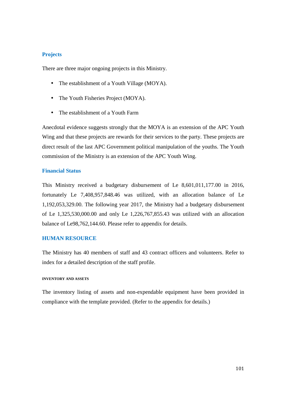# **Projects**

There are three major ongoing projects in this Ministry.

- The establishment of a Youth Village (MOYA).
- The Youth Fisheries Project (MOYA).
- The establishment of a Youth Farm

Anecdotal evidence suggests strongly that the MOYA is an extension of the APC Youth Wing and that these projects are rewards for their services to the party. These projects are direct result of the last APC Government political manipulation of the youths. The Youth commission of the Ministry is an extension of the APC Youth Wing.

# **Financial Status**

This Ministry received a budgetary disbursement of Le 8,601,011,177.00 in 2016, fortunately Le 7,408,957,848.46 was utilized, with an allocation balance of Le 1,192,053,329.00. The following year 2017, the Ministry had a budgetary disbursement of Le 1,325,530,000.00 and only Le 1,226,767,855.43 was utilized with an allocation balance of Le98,762,144.60. Please refer to appendix for details.

# **HUMAN RESOURCE**

The Ministry has 40 members of staff and 43 contract officers and volunteers. Refer to index for a detailed description of the staff profile.

#### **INVENTORY AND ASSETS**

The inventory listing of assets and non-expendable equipment have been provided in compliance with the template provided. (Refer to the appendix for details.)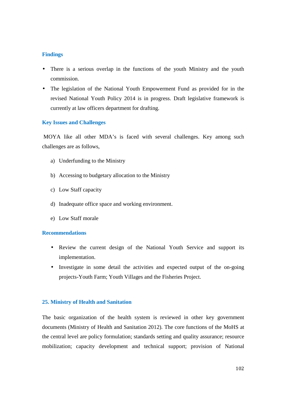# **Findings**

- There is a serious overlap in the functions of the youth Ministry and the youth commission.
- The legislation of the National Youth Empowerment Fund as provided for in the revised National Youth Policy 2014 is in progress. Draft legislative framework is currently at law officers department for drafting.

# **Key Issues and Challenges**

 MOYA like all other MDA's is faced with several challenges. Key among such challenges are as follows,

- a) Underfunding to the Ministry
- b) Accessing to budgetary allocation to the Ministry
- c) Low Staff capacity
- d) Inadequate office space and working environment.
- e) Low Staff morale

#### **Recommendations**

- Review the current design of the National Youth Service and support its implementation.
- Investigate in some detail the activities and expected output of the on-going projects-Youth Farm; Youth Villages and the Fisheries Project.

#### **25. Ministry of Health and Sanitation**

The basic organization of the health system is reviewed in other key government documents (Ministry of Health and Sanitation 2012). The core functions of the MoHS at the central level are policy formulation; standards setting and quality assurance; resource mobilization; capacity development and technical support; provision of National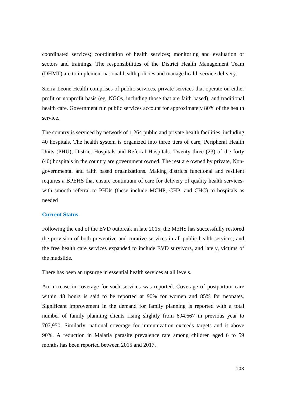coordinated services; coordination of health services; monitoring and evaluation of sectors and trainings. The responsibilities of the District Health Management Team (DHMT) are to implement national health policies and manage health service delivery.

Sierra Leone Health comprises of public services, private services that operate on either profit or nonprofit basis (eg. NGOs, including those that are faith based), and traditional health care. Government run public services account for approximately 80% of the health service.

The country is serviced by network of 1,264 public and private health facilities, including 40 hospitals. The health system is organized into three tiers of care; Peripheral Health Units (PHU); District Hospitals and Referral Hospitals. Twenty three (23) of the forty (40) hospitals in the country are government owned. The rest are owned by private, Nongovernmental and faith based organizations. Making districts functional and resilient requires a BPEHS that ensure continuum of care for delivery of quality health serviceswith smooth referral to PHUs (these include MCHP, CHP, and CHC) to hospitals as needed

#### **Current Status**

Following the end of the EVD outbreak in late 2015, the MoHS has successfully restored the provision of both preventive and curative services in all public health services; and the free health care services expanded to include EVD survivors, and lately, victims of the mudslide.

There has been an upsurge in essential health services at all levels.

An increase in coverage for such services was reported. Coverage of postpartum care within 48 hours is said to be reported at 90% for women and 85% for neonates. Significant improvement in the demand for family planning is reported with a total number of family planning clients rising slightly from 694,667 in previous year to 707,950. Similarly, national coverage for immunization exceeds targets and it above 90%. A reduction in Malaria parasite prevalence rate among children aged 6 to 59 months has been reported between 2015 and 2017.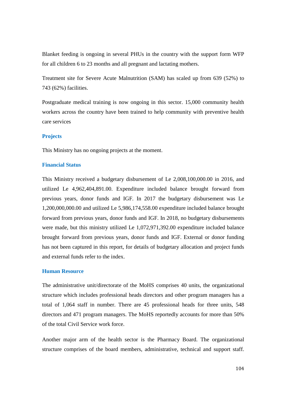Blanket feeding is ongoing in several PHUs in the country with the support form WFP for all children 6 to 23 months and all pregnant and lactating mothers.

Treatment site for Severe Acute Malnutrition (SAM) has scaled up from 639 (52%) to 743 (62%) facilities.

Postgraduate medical training is now ongoing in this sector. 15,000 community health workers across the country have been trained to help community with preventive health care services

#### **Projects**

This Ministry has no ongoing projects at the moment.

### **Financial Status**

This Ministry received a budgetary disbursement of Le 2,008,100,000.00 in 2016, and utilized Le 4,962,404,891.00. Expenditure included balance brought forward from previous years, donor funds and IGF. In 2017 the budgetary disbursement was Le 1,200,000,000.00 and utilized Le 5,986,174,558.00 expenditure included balance brought forward from previous years, donor funds and IGF. In 2018, no budgetary disbursements were made, but this ministry utilized Le 1,072,971,392.00 expenditure included balance brought forward from previous years, donor funds and IGF. External or donor funding has not been captured in this report, for details of budgetary allocation and project funds and external funds refer to the index.

#### **Human Resource**

The administrative unit/directorate of the MoHS comprises 40 units, the organizational structure which includes professional heads directors and other program managers has a total of 1,064 staff in number. There are 45 professional heads for three units, 548 directors and 471 program managers. The MoHS reportedly accounts for more than 50% of the total Civil Service work force.

Another major arm of the health sector is the Pharmacy Board. The organizational structure comprises of the board members, administrative, technical and support staff.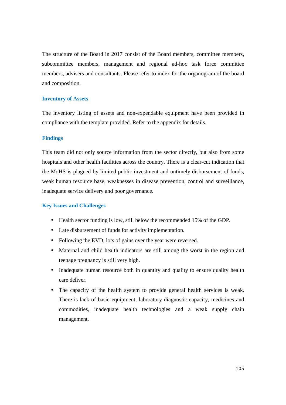The structure of the Board in 2017 consist of the Board members, committee members, subcommittee members, management and regional ad-hoc task force committee members, advisers and consultants. Please refer to index for the organogram of the board and composition.

#### **Inventory of Assets**

The inventory listing of assets and non-expendable equipment have been provided in compliance with the template provided. Refer to the appendix for details.

#### **Findings**

This team did not only source information from the sector directly, but also from some hospitals and other health facilities across the country. There is a clear-cut indication that the MoHS is plagued by limited public investment and untimely disbursement of funds, weak human resource base, weaknesses in disease prevention, control and surveillance, inadequate service delivery and poor governance.

#### **Key Issues and Challenges**

- Health sector funding is low, still below the recommended 15% of the GDP.
- Late disbursement of funds for activity implementation.
- Following the EVD, lots of gains over the year were reversed.
- Maternal and child health indicators are still among the worst in the region and teenage pregnancy is still very high.
- Inadequate human resource both in quantity and quality to ensure quality health care deliver.
- The capacity of the health system to provide general health services is weak. There is lack of basic equipment, laboratory diagnostic capacity, medicines and commodities, inadequate health technologies and a weak supply chain management.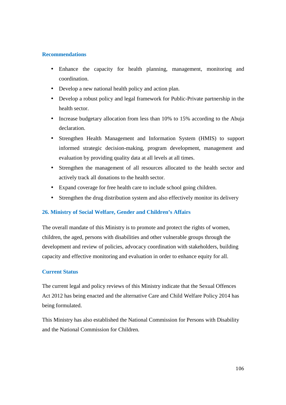- Enhance the capacity for health planning, management, monitoring and coordination.
- Develop a new national health policy and action plan.
- Develop a robust policy and legal framework for Public-Private partnership in the health sector.
- Increase budgetary allocation from less than 10% to 15% according to the Abuja declaration.
- Strengthen Health Management and Information System (HMIS) to support informed strategic decision-making, program development, management and evaluation by providing quality data at all levels at all times.
- Strengthen the management of all resources allocated to the health sector and actively track all donations to the health sector.
- Expand coverage for free health care to include school going children.
- Strengthen the drug distribution system and also effectively monitor its delivery

# **26. Ministry of Social Welfare, Gender and Children's Affairs**

The overall mandate of this Ministry is to promote and protect the rights of women, children, the aged, persons with disabilities and other vulnerable groups through the development and review of policies, advocacy coordination with stakeholders, building capacity and effective monitoring and evaluation in order to enhance equity for all.

# **Current Status**

The current legal and policy reviews of this Ministry indicate that the Sexual Offences Act 2012 has being enacted and the alternative Care and Child Welfare Policy 2014 has being formulated.

This Ministry has also established the National Commission for Persons with Disability and the National Commission for Children.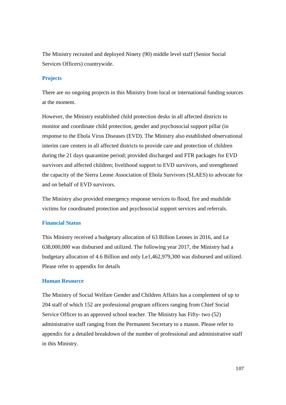The Ministry recruited and deployed Ninety (90) middle level staff (Senior Social Services Officers) countrywide.

### **Projects**

There are no ongoing projects in this Ministry from local or international funding sources at the moment.

However, the Ministry established child protection desks in all affected districts to monitor and coordinate child protection, gender and psychosocial support pillar (in response to the Ebola Virus Diseases (EVD). The Ministry also established observational interim care centers in all affected districts to provide care and protection of children during the 21 days quarantine period; provided discharged and FTR packages for EVD survivors and affected children; livelihood support to EVD survivors, and strengthened the capacity of the Sierra Leone Association of Ebola Survivors (SLAES) to advocate for and on behalf of EVD survivors.

The Ministry also provided emergency response services to flood, fire and mudslide victims for coordinated protection and psychosocial support services and referrals.

#### **Financial Status**

This Ministry received a budgetary allocation of 63 Billion Leones in 2016, and Le 638,000,000 was disbursed and utilized. The following year 2017, the Ministry had a budgetary allocation of 4.6 Billion and only Le1,462,979,300 was disbursed and utilized. Please refer to appendix for details

#### **Human Resource**

The Ministry of Social Welfare Gender and Children Affairs has a complement of up to 204 staff of which 152 are professional program officers ranging from Chief Social Service Officer to an approved school teacher. The Ministry has Fifty- two (52) administrative staff ranging from the Permanent Secretary to a mason. Please refer to appendix for a detailed breakdown of the number of professional and administrative staff in this Ministry.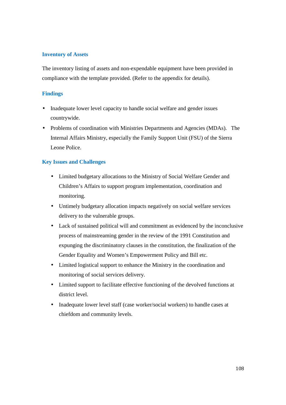# **Inventory of Assets**

The inventory listing of assets and non-expendable equipment have been provided in compliance with the template provided. (Refer to the appendix for details).

#### **Findings**

- Inadequate lower level capacity to handle social welfare and gender issues countrywide.
- Problems of coordination with Ministries Departments and Agencies (MDAs). The Internal Affairs Ministry, especially the Family Support Unit (FSU) of the Sierra Leone Police.

# **Key Issues and Challenges**

- Limited budgetary allocations to the Ministry of Social Welfare Gender and Children's Affairs to support program implementation, coordination and monitoring.
- Untimely budgetary allocation impacts negatively on social welfare services delivery to the vulnerable groups.
- Lack of sustained political will and commitment as evidenced by the inconclusive process of mainstreaming gender in the review of the 1991 Constitution and expunging the discriminatory clauses in the constitution, the finalization of the Gender Equality and Women's Empowerment Policy and Bill etc.
- Limited logistical support to enhance the Ministry in the coordination and monitoring of social services delivery.
- Limited support to facilitate effective functioning of the devolved functions at district level.
- Inadequate lower level staff (case worker/social workers) to handle cases at chiefdom and community levels.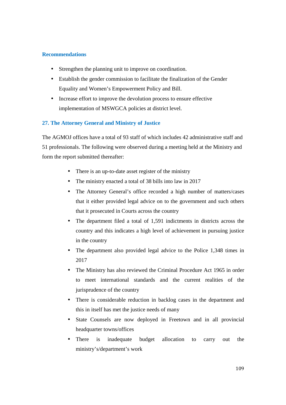### **Recommendations**

- Strengthen the planning unit to improve on coordination.
- Establish the gender commission to facilitate the finalization of the Gender Equality and Women's Empowerment Policy and Bill.
- Increase effort to improve the devolution process to ensure effective implementation of MSWGCA policies at district level.

### **27. The Attorney General and Ministry of Justice**

The AGMOJ offices have a total of 93 staff of which includes 42 administrative staff and 51 professionals. The following were observed during a meeting held at the Ministry and form the report submitted thereafter:

- There is an up-to-date asset register of the ministry
- The ministry enacted a total of 38 bills into law in 2017
- The Attorney General's office recorded a high number of matters/cases that it either provided legal advice on to the government and such others that it prosecuted in Courts across the country
- The department filed a total of 1,591 indictments in districts across the country and this indicates a high level of achievement in pursuing justice in the country
- The department also provided legal advice to the Police 1,348 times in 2017
- The Ministry has also reviewed the Criminal Procedure Act 1965 in order to meet international standards and the current realities of the jurisprudence of the country
- There is considerable reduction in backlog cases in the department and this in itself has met the justice needs of many
- State Counsels are now deployed in Freetown and in all provincial headquarter towns/offices
- There is inadequate budget allocation to carry out the ministry's/department's work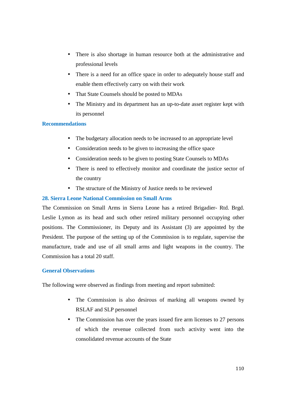- There is also shortage in human resource both at the administrative and professional levels
- There is a need for an office space in order to adequately house staff and enable them effectively carry on with their work
- That State Counsels should be posted to MDAs
- The Ministry and its department has an up-to-date asset register kept with its personnel

### **Recommendations**

- The budgetary allocation needs to be increased to an appropriate level
- Consideration needs to be given to increasing the office space
- Consideration needs to be given to posting State Counsels to MDAs
- There is need to effectively monitor and coordinate the justice sector of the country
- The structure of the Ministry of Justice needs to be reviewed

### **28. Sierra Leone National Commission on Small Arms**

The Commission on Small Arms in Sierra Leone has a retired Brigadier- Rtd. Brgd. Leslie Lymon as its head and such other retired military personnel occupying other positions. The Commissioner, its Deputy and its Assistant (3) are appointed by the President. The purpose of the setting up of the Commission is to regulate, supervise the manufacture, trade and use of all small arms and light weapons in the country. The Commission has a total 20 staff.

### **General Observations**

The following were observed as findings from meeting and report submitted:

- The Commission is also desirous of marking all weapons owned by RSLAF and SLP personnel
- The Commission has over the years issued fire arm licenses to 27 persons of which the revenue collected from such activity went into the consolidated revenue accounts of the State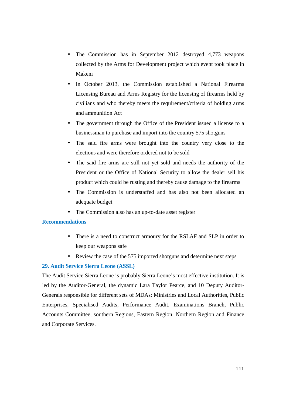- The Commission has in September 2012 destroyed 4,773 weapons collected by the Arms for Development project which event took place in Makeni
- In October 2013, the Commission established a National Firearms Licensing Bureau and Arms Registry for the licensing of firearms held by civilians and who thereby meets the requirement/criteria of holding arms and ammunition Act
- The government through the Office of the President issued a license to a businessman to purchase and import into the country 575 shotguns
- The said fire arms were brought into the country very close to the elections and were therefore ordered not to be sold
- The said fire arms are still not yet sold and needs the authority of the President or the Office of National Security to allow the dealer sell his product which could be rusting and thereby cause damage to the firearms
- The Commission is understaffed and has also not been allocated an adequate budget
- The Commission also has an up-to-date asset register

### **Recommendations**

- There is a need to construct armoury for the RSLAF and SLP in order to keep our weapons safe
- Review the case of the 575 imported shotguns and determine next steps

### **29. Audit Service Sierra Leone (ASSL)**

The Audit Service Sierra Leone is probably Sierra Leone's most effective institution. It is led by the Auditor-General, the dynamic Lara Taylor Pearce, and 10 Deputy Auditor-Generals responsible for different sets of MDAs: Ministries and Local Authorities, Public Enterprises, Specialised Audits, Performance Audit, Examinations Branch, Public Accounts Committee, southern Regions, Eastern Region, Northern Region and Finance and Corporate Services.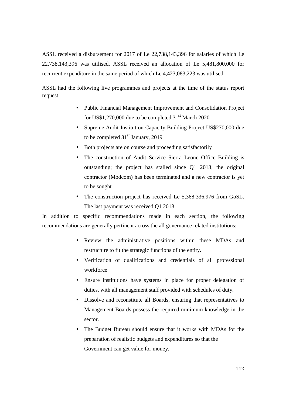ASSL received a disbursement for 2017 of Le 22,738,143,396 for salaries of which Le 22,738,143,396 was utilised. ASSL received an allocation of Le 5,481,800,000 for recurrent expenditure in the same period of which Le 4,423,083,223 was utilised.

ASSL had the following live programmes and projects at the time of the status report request:

- Public Financial Management Improvement and Consolidation Project for US\$1,270,000 due to be completed 31<sup>st</sup> March 2020
- Supreme Audit Institution Capacity Building Project US\$270,000 due to be completed  $31<sup>st</sup>$  January, 2019
- Both projects are on course and proceeding satisfactorily
- The construction of Audit Service Sierra Leone Office Building is outstanding; the project has stalled since Q1 2013; the original contractor (Modcom) has been terminated and a new contractor is yet to be sought
- The construction project has received Le 5,368,336,976 from GoSL. The last payment was received Q1 2013

In addition to specific recommendations made in each section, the following recommendations are generally pertinent across the all governance related institutions:

- Review the administrative positions within these MDAs and restructure to fit the strategic functions of the entity.
- Verification of qualifications and credentials of all professional workforce
- Ensure institutions have systems in place for proper delegation of duties, with all management staff provided with schedules of duty.
- Dissolve and reconstitute all Boards, ensuring that representatives to Management Boards possess the required minimum knowledge in the sector.
- The Budget Bureau should ensure that it works with MDAs for the preparation of realistic budgets and expenditures so that the Government can get value for money.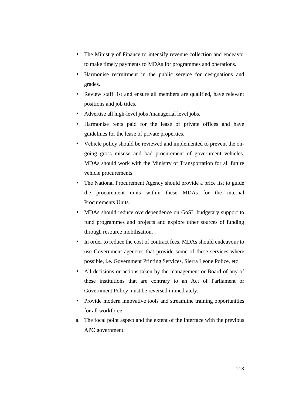- The Ministry of Finance to intensify revenue collection and endeavor to make timely payments to MDAs for programmes and operations.
- Harmonise recruitment in the public service for designations and grades.
- Review staff list and ensure all members are qualified, have relevant positions and job titles.
- Advertise all high-level jobs /managerial level jobs.
- Harmonise rents paid for the lease of private offices and have guidelines for the lease of private properties.
- Vehicle policy should be reviewed and implemented to prevent the ongoing gross misuse and bad procurement of government vehicles. MDAs should work with the Ministry of Transportation for all future vehicle procurements.
- The National Procurement Agency should provide a price list to guide the procurement units within these MDAs for the internal Procurements Units.
- MDAs should reduce overdependence on GoSL budgetary support to fund programmes and projects and explore other sources of funding through resource mobilisation. .
- In order to reduce the cost of contract fees, MDAs should endeavour to use Government agencies that provide some of these services where possible, i.e. Government Printing Services, Sierra Leone Police. etc
- All decisions or actions taken by the management or Board of any of these institutions that are contrary to an Act of Parliament or Government Policy must be reversed immediately.
- Provide modern innovative tools and streamline training opportunities for all workforce
- a. The focal point aspect and the extent of the interface with the previous APC government.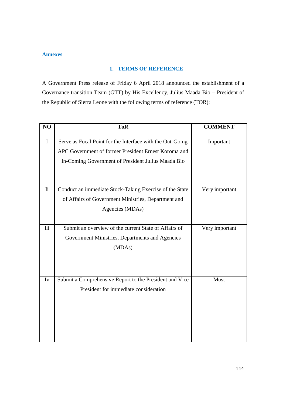### **Annexes**

### **1. TERMS OF REFERENCE**

A Government Press release of Friday 6 April 2018 announced the establishment of a Governance transition Team (GTT) by His Excellency, Julius Maada Bio – President of the Republic of Sierra Leone with the following terms of reference (TOR):

| NO          | <b>ToR</b>                                                                                                                                                              | <b>COMMENT</b> |
|-------------|-------------------------------------------------------------------------------------------------------------------------------------------------------------------------|----------------|
| $\mathbf I$ | Serve as Focal Point for the Interface with the Out-Going<br>APC Government of former President Ernest Koroma and<br>In-Coming Government of President Julius Maada Bio | Important      |
| Ii          | Conduct an immediate Stock-Taking Exercise of the State<br>of Affairs of Government Ministries, Department and<br>Agencies (MDAs)                                       | Very important |
| <b>Iii</b>  | Submit an overview of the current State of Affairs of<br>Government Ministries, Departments and Agencies<br>(MDAs)                                                      | Very important |
| Iv          | Submit a Comprehensive Report to the President and Vice<br>President for immediate consideration                                                                        | Must           |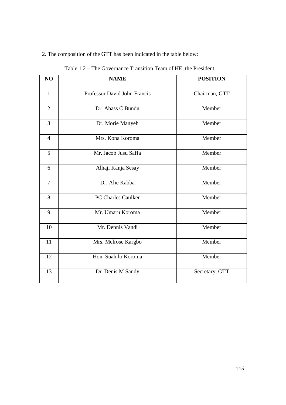## 2. The composition of the GTT has been indicated in the table below:

| NO             | <b>NAME</b>                  | <b>POSITION</b> |
|----------------|------------------------------|-----------------|
| $\mathbf{1}$   | Professor David John Francis | Chairman, GTT   |
| $\overline{2}$ | Dr. Abass C Bundu            | Member          |
| 3              | Dr. Morie Manyeh             | Member          |
| $\overline{4}$ | Mrs. Kona Koroma             | Member          |
| $\overline{5}$ | Mr. Jacob Jusu Saffa         | Member          |
| 6              | Alhaji Kanja Sesay           | Member          |
| $\overline{7}$ | Dr. Alie Kabba               | Member          |
| 8              | <b>PC Charles Caulker</b>    | Member          |
| 9              | Mr. Umaru Koroma             | Member          |
| 10             | Mr. Dennis Vandi             | Member          |
| 11             | Mrs. Melrose Kargbo          | Member          |
| 12             | Hon. Suahilo Koroma          | Member          |
| 13             | Dr. Denis M Sandy            | Secretary, GTT  |

Table 1.2 – The Governance Transition Team of HE, the President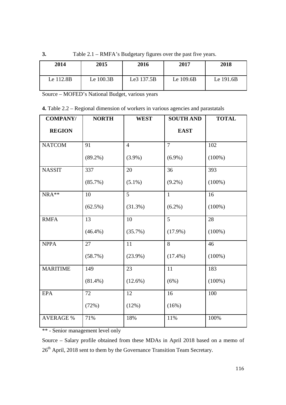**3.** Table 2.1 – RMFA's Budgetary figures over the past five years.

| 2014      | 2015      | 2016                   | 2017      | 2018      |
|-----------|-----------|------------------------|-----------|-----------|
| Le 112.8B | Le 100.3B | Le <sub>3</sub> 137.5B | Le 109.6B | Le 191.6B |

Source – MOFED's National Budget, various years

**4.** Table 2.2 – Regional dimension of workers in various agencies and parastatals

| <b>COMPANY/</b>  | <b>NORTH</b> | <b>WEST</b>    | <b>SOUTH AND</b> | <b>TOTAL</b> |
|------------------|--------------|----------------|------------------|--------------|
| <b>REGION</b>    |              |                | <b>EAST</b>      |              |
| <b>NATCOM</b>    | 91           | $\overline{4}$ | $\overline{7}$   | 102          |
|                  | $(89.2\%)$   | $(3.9\%)$      | $(6.9\%)$        | $(100\%)$    |
| <b>NASSIT</b>    | 337          | 20             | 36               | 393          |
|                  | $(85.7\%)$   | $(5.1\%)$      | $(9.2\%)$        | $(100\%)$    |
| NRA**            | 10           | 5              | $\mathbf{1}$     | 16           |
|                  | $(62.5\%)$   | $(31.3\%)$     | $(6.2\%)$        | $(100\%)$    |
| <b>RMFA</b>      | 13           | 10             | $\overline{5}$   | 28           |
|                  | $(46.4\%)$   | $(35.7\%)$     | $(17.9\%)$       | $(100\%)$    |
| <b>NPPA</b>      | 27           | 11             | 8                | 46           |
|                  | (58.7%)      | $(23.9\%)$     | $(17.4\%)$       | $(100\%)$    |
| <b>MARITIME</b>  | 149          | 23             | 11               | 183          |
|                  | $(81.4\%)$   | $(12.6\%)$     | (6%)             | $(100\%)$    |
| <b>EPA</b>       | 72           | 12             | 16               | 100          |
|                  | (72%)        | (12%)          | (16%)            |              |
| <b>AVERAGE %</b> | 71%          | 18%            | 11%              | 100%         |

\*\* - Senior management level only

Source – Salary profile obtained from these MDAs in April 2018 based on a memo of 26<sup>th</sup> April, 2018 sent to them by the Governance Transition Team Secretary.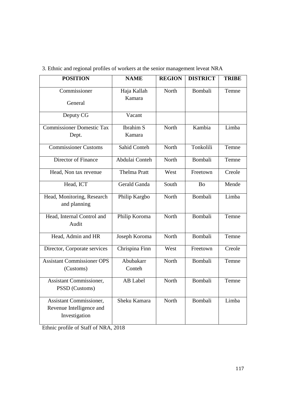| <b>POSITION</b>                                                             | <b>NAME</b>                | <b>REGION</b> | <b>DISTRICT</b> | <b>TRIBE</b> |
|-----------------------------------------------------------------------------|----------------------------|---------------|-----------------|--------------|
| Commissioner                                                                | Haja Kallah<br>Kamara      | North         | Bombali         | Temne        |
| General                                                                     |                            |               |                 |              |
| Deputy CG                                                                   | Vacant                     |               |                 |              |
| <b>Commissioner Domestic Tax</b><br>Dept.                                   | <b>Ibrahim S</b><br>Kamara | North         | Kambia          | Limba        |
| <b>Commissioner Customs</b>                                                 | Sahid Conteh               | North         | Tonkolili       | Temne        |
| Director of Finance                                                         | Abdulai Conteh             | North         | Bombali         | Temne        |
| Head, Non tax revenue                                                       | <b>Thelma Pratt</b>        | West          | Freetown        | Creole       |
| Head, ICT                                                                   | Gerald Ganda               | South         | <b>Bo</b>       | Mende        |
| Head, Monitoring, Research<br>and planning                                  | Philip Kargbo              | North         | Bombali         | Limba        |
| Head, Internal Control and<br>Audit                                         | Philip Koroma              | North         | Bombali         | Temne        |
| Head, Admin and HR                                                          | Joseph Koroma              | North         | Bombali         | Temne        |
| Director, Corporate services                                                | Chrispina Finn             | West          | Freetown        | Creole       |
| <b>Assistant Commissioner OPS</b><br>(Customs)                              | Abubakarr<br>Conteh        | North         | Bombali         | Temne        |
| <b>Assistant Commissioner,</b><br><b>PSSD</b> (Customs)                     | <b>AB</b> Label            | North         | Bombali         | Temne        |
| <b>Assistant Commissioner,</b><br>Revenue Intelligence and<br>Investigation | Sheku Kamara               | North         | Bombali         | Limba        |

|  |  |  | 3. Ethnic and regional profiles of workers at the senior management leveat NRA |  |
|--|--|--|--------------------------------------------------------------------------------|--|
|  |  |  |                                                                                |  |

Ethnic profile of Staff of NRA, 2018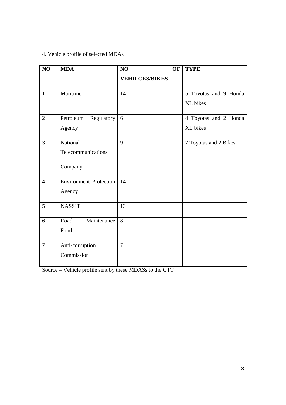# 4. Vehicle profile of selected MDAs

| NO <sub>1</sub> | <b>MDA</b>                    | NO<br>OF              | <b>TYPE</b>           |
|-----------------|-------------------------------|-----------------------|-----------------------|
|                 |                               | <b>VEHILCES/BIKES</b> |                       |
| $\mathbf{1}$    | Maritime                      | 14                    | 5 Toyotas and 9 Honda |
|                 |                               |                       | XL bikes              |
| $\overline{2}$  | Regulatory<br>Petroleum       | 6                     | 4 Toyotas and 2 Honda |
|                 | Agency                        |                       | XL bikes              |
| $\overline{3}$  | National                      | $\overline{9}$        | 7 Toyotas and 2 Bikes |
|                 | Telecommunications            |                       |                       |
|                 | Company                       |                       |                       |
| $\overline{4}$  | <b>Environment Protection</b> | 14                    |                       |
|                 | Agency                        |                       |                       |
| 5               | <b>NASSIT</b>                 | 13                    |                       |
| 6               | Maintenance<br>Road           | 8                     |                       |
|                 | Fund                          |                       |                       |
| $\overline{7}$  | Anti-corruption               | $\overline{7}$        |                       |
|                 | Commission                    |                       |                       |
|                 |                               |                       |                       |

Source – Vehicle profile sent by these MDASs to the GTT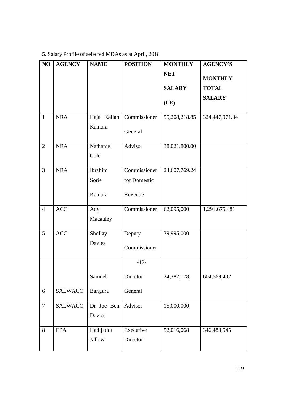# **5.** Salary Profile of selected MDAs as at April, 2018

| NO             | <b>AGENCY</b>  | <b>NAME</b> | <b>POSITION</b> | <b>MONTHLY</b> | <b>AGENCY'S</b> |
|----------------|----------------|-------------|-----------------|----------------|-----------------|
|                |                |             |                 | <b>NET</b>     | <b>MONTHLY</b>  |
|                |                |             |                 | <b>SALARY</b>  | <b>TOTAL</b>    |
|                |                |             |                 | (LE)           | <b>SALARY</b>   |
| $\mathbf{1}$   | <b>NRA</b>     | Haja Kallah | Commissioner    | 55,208,218.85  | 324,447,971.34  |
|                |                | Kamara      | General         |                |                 |
| $\overline{2}$ | <b>NRA</b>     | Nathaniel   | Advisor         | 38,021,800.00  |                 |
|                |                | Cole        |                 |                |                 |
| 3              | <b>NRA</b>     | Ibrahim     | Commissioner    | 24,607,769.24  |                 |
|                |                | Sorie       | for Domestic    |                |                 |
|                |                | Kamara      | Revenue         |                |                 |
| $\overline{4}$ | <b>ACC</b>     | Ady         | Commissioner    | 62,095,000     | 1,291,675,481   |
|                |                | Macauley    |                 |                |                 |
| 5              | <b>ACC</b>     | Shollay     | Deputy          | 39,995,000     |                 |
|                |                | Davies      | Commissioner    |                |                 |
|                |                |             | $-12-$          |                |                 |
|                |                | Samuel      | Director        | 24,387,178,    | 604,569,402     |
| 6              | <b>SALWACO</b> | Bangura     | General         |                |                 |
| $\overline{7}$ | <b>SALWACO</b> | Dr Joe Ben  | Advisor         | 15,000,000     |                 |
|                |                | Davies      |                 |                |                 |
| 8              | <b>EPA</b>     | Hadijatou   | Executive       | 52,016,068     | 346,483,545     |
|                |                | Jallow      | Director        |                |                 |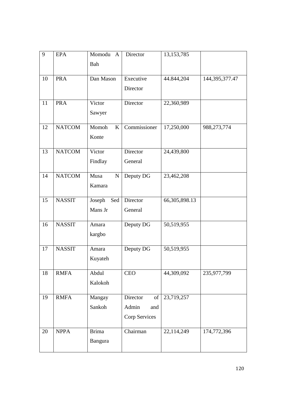| 9  | <b>EPA</b>    | Momodu A          | Director       | 13, 153, 785     |                   |
|----|---------------|-------------------|----------------|------------------|-------------------|
|    |               | Bah               |                |                  |                   |
| 10 | <b>PRA</b>    | Dan Mason         | Executive      | 44.844,204       | 144, 395, 377. 47 |
|    |               |                   | Director       |                  |                   |
|    |               |                   |                |                  |                   |
| 11 | <b>PRA</b>    | Victor            | Director       | 22,360,989       |                   |
|    |               | Sawyer            |                |                  |                   |
| 12 | <b>NATCOM</b> | Momoh<br>K        | Commissioner   | 17,250,000       | 988,273,774       |
|    |               | Konte             |                |                  |                   |
| 13 | <b>NATCOM</b> | Victor            | Director       | 24,439,800       |                   |
|    |               | Findlay           | General        |                  |                   |
|    |               |                   |                |                  |                   |
| 14 | <b>NATCOM</b> | Musa<br>${\bf N}$ | Deputy DG      | 23,462,208       |                   |
|    |               | Kamara            |                |                  |                   |
| 15 | <b>NASSIT</b> | Joseph<br>Sed     | Director       | 66, 305, 898. 13 |                   |
|    |               | Mans Jr           | General        |                  |                   |
|    |               |                   |                |                  |                   |
| 16 | <b>NASSIT</b> | Amara             | Deputy DG      | 50,519,955       |                   |
|    |               | kargbo            |                |                  |                   |
| 17 | <b>NASSIT</b> | Amara             | Deputy DG      | 50,519,955       |                   |
|    |               | Kuyateh           |                |                  |                   |
| 18 | <b>RMFA</b>   | Abdul             | <b>CEO</b>     | 44,309,092       | 235,977,799       |
|    |               | Kalokoh           |                |                  |                   |
|    |               |                   |                |                  |                   |
| 19 | <b>RMFA</b>   | Mangay            | Director<br>of | 23,719,257       |                   |
|    |               | Sankoh            | Admin<br>and   |                  |                   |
|    |               |                   | Corp Services  |                  |                   |
| 20 | <b>NPPA</b>   | <b>Brima</b>      | Chairman       | 22,114,249       | 174,772,396       |
|    |               | Bangura           |                |                  |                   |
|    |               |                   |                |                  |                   |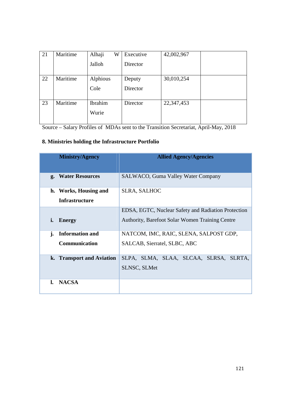| 21                            | Maritime | Alhaji<br>W | Executive | 42,002,967                                                                 |  |
|-------------------------------|----------|-------------|-----------|----------------------------------------------------------------------------|--|
|                               |          | Jalloh      | Director  |                                                                            |  |
| 22                            |          |             |           |                                                                            |  |
|                               | Maritime | Alphious    | Deputy    | 30,010,254                                                                 |  |
|                               |          | Cole        | Director  |                                                                            |  |
|                               |          |             |           |                                                                            |  |
| 23                            | Maritime | Ibrahim     | Director  | 22,347,453                                                                 |  |
|                               |          | Wurie       |           |                                                                            |  |
|                               |          |             |           |                                                                            |  |
| $\mathbf{C}$ and $\mathbf{C}$ |          |             |           | Colomic Dualter of MDA count to the Tugnaltian Conntentiat April Marc 2010 |  |

Source – Salary Profiles of MDAs sent to the Transition Secretariat, April-May, 2018

## **8. Ministries holding the Infrastructure Portfolio**

| <b>Ministry/Agency</b>                         | <b>Allied Agency/Agencies</b>                                                                                 |  |  |
|------------------------------------------------|---------------------------------------------------------------------------------------------------------------|--|--|
| g. Water Resources                             | <b>SALWACO, Guma Valley Water Company</b>                                                                     |  |  |
| h. Works, Housing and<br><b>Infrastructure</b> | <b>SLRA, SALHOC</b>                                                                                           |  |  |
| i.<br><b>Energy</b>                            | EDSA, EGTC, Nuclear Safety and Radiation Protection<br><b>Authority, Barefoot Solar Women Training Centre</b> |  |  |
| <b>Information and</b><br>j.<br>Communication  | NATCOM, IMC, RAIC, SLENA, SALPOST GDP,<br>SALCAB, Sierratel, SLBC, ABC                                        |  |  |
| k. Transport and Aviation                      | SLPA, SLMA, SLAA, SLCAA, SLRSA,<br>SLRTA,<br><b>SLNSC, SLMet</b>                                              |  |  |
| <b>NACSA</b>                                   |                                                                                                               |  |  |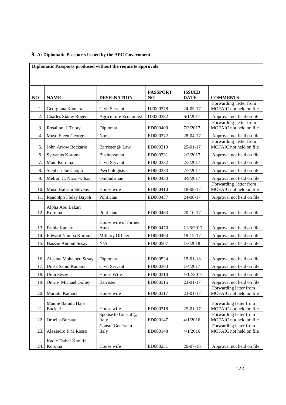## **9. A: Diplomatic Passports Issued by the APC Government**

|     | Diplomatic Passports produced without the requisite approvals |                              |                       |                              |                                                   |  |
|-----|---------------------------------------------------------------|------------------------------|-----------------------|------------------------------|---------------------------------------------------|--|
|     |                                                               |                              |                       |                              |                                                   |  |
| NO  | <b>NAME</b>                                                   | <b>DESIGNATION</b>           | <b>PASSPORT</b><br>NO | <b>ISSUED</b><br><b>DATE</b> | <b>COMMENTS</b>                                   |  |
| 1.  | Georgiana Kamara                                              | Civil Servant                | DE000378              | $24 - 05 - 17$               | Forwarding letter from<br>MOFAIC not held on file |  |
| 2.  | <b>Charles Siamy Rogers</b>                                   | <b>Agriculture Economist</b> | DE000382              | 6/1/2017                     | Approval not held on file                         |  |
| 3.  | Rosaline .I. Turay                                            | Diplomat                     | ED000400              | 7/3/2017                     | Forwarding letter from<br>MOFAIC not held on file |  |
| 4.  | Musu Eleen George                                             | Nurse                        | ED000372              | 28-04-17                     | Approval not held on file                         |  |
| 5.  | John Arrow Bockarie                                           | Barrister @ Law              | ED000319              | $25 - 01 - 17$               | Forwarding letter from<br>MOFAIC not held on file |  |
| 6.  | Sylvanus Koroma                                               | Businessman                  | ED000331              | 2/3/2017                     | Approval not held on file                         |  |
| 7.  | Mani Koroma                                                   | Civil Servant                | ED000332              | 2/3/2017                     | Approval not held on file                         |  |
| 8.  | Stephen Joe Gaojia                                            | Psychologists                | ED000333              | 2/7/2017                     | Approval not held on file                         |  |
| 9.  | Melron C. Nicol-wilson                                        | Ombudsman                    | ED000430              | 8/9/2017                     | Approval not held on file                         |  |
| 10. | Musu Hafsatu Stevens                                          | House wife                   | ED000410              | 18-08-17                     | Forwarding letter from<br>MOFAIC not held on file |  |
| 11  | Randolph Foday Bayoh                                          | Politician                   | ED000437              | 24-08-17                     | Approval not held on file                         |  |
| 12. | Alpha Abu Bakarr<br>Koroma                                    | Politician                   | ED000463              | $20 - 10 - 17$               | Approval not held on file                         |  |
| 13. | Fathia Kamara                                                 | House wife of former<br>Amb. | ED000470              | 11/6/2017                    | Approval not held on file                         |  |
| 14. | Edward Yamba Koroma                                           | Military Officer             | ED000494              | 19-12-17                     | Approval not held on file                         |  |
| 15. | Hassan Abdoul Sesay                                           | N/A                          | ED000507              | 1/3/2018                     | Approval not held on file                         |  |
| 16. | <b>Alusine Mohamed Sesay</b>                                  | Diplomat                     | ED000524              | $15 - 01 - 18$               | Approval not held on file                         |  |
| 17. | Unisa Sahid Kamara                                            | Civil Servant                | ED000303              | 1/4/2017                     | Approval not held on file                         |  |
| 18. | Umu Sesay                                                     | House Wife                   | ED000310              | 1/12/2017                    | Approval not held on file                         |  |
| 19. | Omrie Michael Golley                                          | Barrister                    | ED000315              | 23-01-17                     | Approval not held on file                         |  |
| 20. | Mariatu Kamara                                                | House wife                   | ED000317              | 23-01-17                     | Forwarding letter from<br>MOFAIC not held on file |  |
| 21  | Mamie Baindu Haja<br>Bockarie                                 | House wife                   | ED000318              | $25 - 01 - 17$               | Forwarding letter from<br>MOFAIC not held on file |  |
| 22. | Ornella Borsato                                               | Spouse to Consul @<br>Italy  | ED000147              | 4/1/2016                     | Forwarding letter from<br>MOFAIC not held on file |  |
| 23. | Alessadro F.M Rosso                                           | Consul General to<br>Italy   | ED000148              | 4/1/2016                     | Forwarding letter from<br>MOFAIC not held on file |  |
| 24. | Kadie Esther Kholifa<br>Koroma                                | House wife                   | ED000231              | $26-07-16$                   | Approval not held on file                         |  |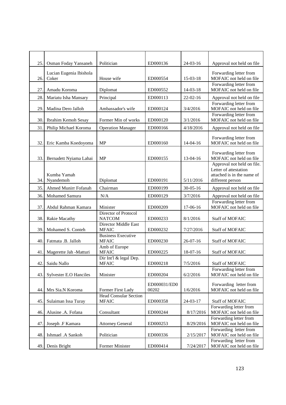| 25. | Osman Foday Yansaneh             | Politician                                   | ED000136              | $24-03-16$     | Approval not held on file                                                                             |
|-----|----------------------------------|----------------------------------------------|-----------------------|----------------|-------------------------------------------------------------------------------------------------------|
| 26. | Lucian Eugenia Ibishola<br>Coker | House wife                                   | ED000554              | 15-03-18       | Forwarding letter from<br>MOFAIC not held on file                                                     |
| 27. | Amadu Koroma                     | Diplomat                                     | ED000552              | $14 - 03 - 18$ | Forwarding letter from<br>MOFAIC not held on file                                                     |
| 28. | Mariatu Isha Mansary             | Principal                                    | ED000113              | $22 - 02 - 16$ | Approval not held on file                                                                             |
|     |                                  |                                              |                       |                | Forwarding letter from                                                                                |
| 29  | Madina Dero Jalloh               | Ambassador's wife                            | ED000124              | 3/4/2016       | MOFAIC not held on file                                                                               |
| 30. | Ibrahim Kemoh Sesay              | Former Min of works                          | ED000120              | 3/1/2016       | Forwarding letter from<br>MOFAIC not held on file                                                     |
| 31  | Philip Michael Koroma            | <b>Operation Manager</b>                     | ED000166              | 4/18/2016      | Approval not held on file                                                                             |
| 32  | Eric Kamba Koedoyoma             | <b>MP</b>                                    | ED000160              | 14-04-16       | Forwarding letter from<br>MOFAIC not held on file                                                     |
| 33. | Bernadett Nyiama Lahai           | MP                                           | ED000155              | 13-04-16       | Forwarding letter from<br>MOFAIC not held on file                                                     |
| 34. | Kumba Yamah<br>Nyandemoh         | Diplomat                                     | ED000191              | 5/11/2016      | Approval not held on file.<br>Letter of attestation<br>attached is in the name of<br>different person |
| 35. | Ahmed Munirr Fofanah             | Chairman                                     | ED000199              | $30 - 05 - 16$ | Approval not held on file                                                                             |
| 36. | Mohamed Samura                   | N/A                                          | ED000129              | 3/7/2016       | Approval not held on file                                                                             |
| 37  | Abdul Rahman Kamara              | Minister                                     | ED000209              | 17-06-16       | Forwarding letter from<br>MOFAIC not held on file                                                     |
| 38. | Rakie Macathy                    | Director of Protocol<br><b>NATCOM</b>        | ED000233              | 8/1/2016       | <b>Staff of MOFAIC</b>                                                                                |
| 39  | Mohamed S. Conteh                | Director Middle East<br><b>MFAIC</b>         | ED000232              | 7/27/2016      | <b>Staff of MOFAIC</b>                                                                                |
| 40. | Fatmata .B. Jalloh               | <b>Business Executive</b><br><b>MFAIC</b>    | ED000230              | $26-07-16$     | <b>Staff of MOFAIC</b>                                                                                |
| 41  | Magerette Jah -Matturi           | Amb of Europe<br><b>MFAIC</b>                | ED000225              | 18-07-16       | <b>Staff of MOFAIC</b>                                                                                |
| 42. | Saidu Nallo                      | Dir Int'l & legal Dep.<br><b>MFAIC</b>       | ED000218              | 7/5/2016       | <b>Staff of MOFAIC</b>                                                                                |
| 43. | Sylvester E.O Hanciles           | Minister                                     | ED000204              | 6/2/2016       | Forwarding letter from<br>MOFAIC not held on file                                                     |
| 44. | Mrs Sia.N Koroma                 | Former First Lady                            | ED000031/ED0<br>00202 | 1/6/2016       | Forwarding letter from<br>MOFAIC not held on file                                                     |
| 45. | Sulaiman Issa Turay              | <b>Head Consular Section</b><br><b>MFAIC</b> | ED000358              | $24 - 03 - 17$ | <b>Staff of MOFAIC</b>                                                                                |
| 46. | Alusine .A. Fofana               | Consultant                                   | ED000244              | 8/17/2016      | Forwarding letter from<br>MOFAIC not held on file                                                     |
| 47. | Joseph .F Kamara                 | <b>Attorney General</b>                      | ED000253              | 8/29/2016      | Forwarding letter from<br>MOFAIC not held on file                                                     |
| 48. | Ishmael .A Sankoh                | Politician                                   | ED000336              | 2/15/2017      | Forwarding letter from<br>MOFAIC not held on file                                                     |
| 49. | Denis Bright                     | Former Minister                              | ED000414              | 7/24/2017      | Forwarding letter from<br>MOFAIC not held on file                                                     |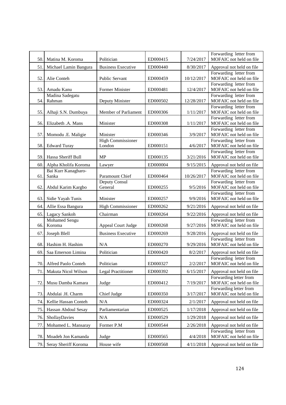|     |                       |                           |          |            | Forwarding letter from                            |
|-----|-----------------------|---------------------------|----------|------------|---------------------------------------------------|
| 50. | Matina M. Koroma      | Politician                | ED000415 | 7/24/2017  | MOFAIC not held on file                           |
| 51  | Michael Lamin Bangura | <b>Business Executive</b> | ED000440 | 8/30/2017  | Approval not held on file                         |
|     |                       |                           |          |            | Forwarding letter from                            |
| 52  | Alie Conteh           | Public Servant            | ED000459 | 10/12/2017 | MOFAIC not held on file                           |
| 53. | Amadu Kanu            | Former Minister           | ED000481 | 12/4/2017  | Forwarding letter from<br>MOFAIC not held on file |
|     | Madina Sadegatu       |                           |          |            | Forwarding letter from                            |
| 54. | Rahman                | Deputy Minister           | ED000502 | 12/28/2017 | MOFAIC not held on file                           |
|     |                       |                           |          |            | Forwarding letter from                            |
| 55. | Alhaji S.N. Dumbuya   | Member of Parliament      | ED000306 | 1/11/2017  | MOFAIC not held on file                           |
|     |                       |                           |          |            | Forwarding letter from                            |
| 56. | Elizabeth .A. Mans    | Minister                  | ED000308 | 1/11/2017  | MOFAIC not held on file<br>Forwarding letter from |
| 57. | Momodu .E. Maligie    | Minister                  | ED000346 | 3/9/2017   | MOFAIC not held on file                           |
|     |                       | <b>High Commissioner</b>  |          |            | Forwarding letter from                            |
| 58. | <b>Edward Turay</b>   | London                    | ED000151 | 4/6/2017   | MOFAIC not held on file                           |
|     |                       |                           |          |            | Forwarding letter from                            |
| 59  | Hassa Sheriff Bull    | <b>MP</b>                 | ED000135 | 3/21/2016  | MOFAIC not held on file                           |
| 60. | Alpha Kholifa Koroma  | Lawyer                    | ED000004 | 9/15/2015  | Approval not held on file                         |
|     | Bai Kurr Kanagbaro-   |                           |          |            | Forwarding letter from                            |
| 61  | Sanka                 | Paramount Chief           | ED000464 | 10/26/2017 | MOFAIC not held on file                           |
| 62  | Abdul Karim Kargbo    | Deputy Consul<br>General  | ED000255 | 9/5/2016   | Forwarding letter from<br>MOFAIC not held on file |
|     |                       |                           |          |            | Forwarding letter from                            |
| 63  | Sidie Yayah Tunis     | Minister                  | ED000257 | 9/9/2016   | MOFAIC not held on file                           |
| 64. | Allie Essa Bangura    | <b>High Commissioner</b>  | ED000262 | 9/21/2016  | Approval not held on file                         |
| 65. | Lagacy Sankoh         | Chairman                  | ED000264 | 9/22/2016  | Approval not held on file                         |
|     | <b>Mohamed Sengu</b>  |                           |          |            | Forwarding letter from                            |
| 66. | Koroma                | Appeal Court Judge        | ED000268 | 9/27/2016  | MOFAIC not held on file                           |
| 67  | Joseph Blell          | <b>Business Executive</b> | ED000269 | 9/28/2016  | Approval not held on file                         |
|     |                       |                           |          |            | Forwarding letter from                            |
| 68  | Hashim H. Hashim      | N/A                       | ED000270 | 9/29/2016  | MOFAIC not held on file                           |
| 69  | Saa Emerson Limina    | Politician                | ED000420 | 8/2/2017   | Approval not held on file                         |
|     |                       |                           |          |            | Forwarding letter from<br>MOFAIC not held on file |
| 70. | Alfred Paolo Conteh   | Politician                | ED000327 | 2/2/2017   |                                                   |
| 71  | Makuta Nicol Wilson   | <b>Legal Practitioner</b> | ED000392 | 6/15/2017  | Approval not held on file                         |
| 72. | Musu Damba Kamara     | Judge                     | ED000412 | 7/19/2017  | Forwarding letter from<br>MOFAIC not held on file |
|     |                       |                           |          |            | Forwarding letter from                            |
| 73  | Abdulai .H. Charm     | Chief Judge               | ED000350 | 3/17/2017  | MOFAIC not held on file                           |
| 74. | Kellie Hassan Conteh  | N/A                       | ED000324 | 2/1/2017   | Approval not held on file                         |
| 75. | Hassan Abdoul Sesay   | Parliamentarian           | ED000525 | 1/17/2018  | Approval not held on file                         |
| 76. | ShollayDavies         | N/A                       | ED000529 | 1/29/2018  | Approval not held on file                         |
| 77. | Mohamed L. Mansaray   | Former P.M                | ED000544 | 2/26/2018  | Approval not held on file                         |
|     |                       |                           |          |            | Forwarding letter from                            |
| 78. | Moadeh Jon Kamanda    | Judge                     | ED000565 | 4/4/2018   | MOFAIC not held on file                           |
| 79. | Seray Sheriff Koroma  | House wife                | ED000568 | 4/11/2018  | Approval not held on file                         |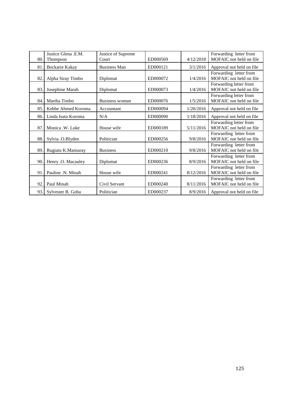|      | Justice Glena, E.M. | Justice of Supreme  |          |           | Forwarding letter from                            |
|------|---------------------|---------------------|----------|-----------|---------------------------------------------------|
| 80.  | Thompson            | Court               | ED000569 | 4/12/2018 | MOFAIC not held on file                           |
| 81   | Bockarie Kakay      | <b>Business Man</b> | ED000121 | 3/1/2016  | Approval not held on file                         |
| 82.  | Alpha Siray Timbo   | Diplomat            | ED000072 | 1/4/2016  | Forwarding letter from<br>MOFAIC not held on file |
| 83.  | Josephine Marah     | Diplomat            | ED000073 | 1/4/2016  | Forwarding letter from<br>MOFAIC not held on file |
| 84.  | Martha Timbo        | Business woman      | ED000076 | 1/5/2016  | Forwarding letter from<br>MOFAIC not held on file |
| 85.  | Kebbe Ahmed Koroma  | Accountant          | ED000094 | 1/20/2016 | Approval not held on file                         |
| 86.I | Linda Isatu Koroma  | N/A                 | ED000090 | 1/18/2016 | Approval not held on file                         |
| 87   | Monica .W. Luke     | House wife          | ED000189 | 5/11/2016 | Forwarding letter from<br>MOFAIC not held on file |
| 88.  | Sylvia .O.Blyden    | Politician          | ED000256 | 9/8/2016  | Forwarding letter from<br>MOFAIC not held on file |
| 89.  | Rugiatu K.Mansaray  | <b>Business</b>     | ED000210 | 9/8/2016  | Forwarding letter from<br>MOFAIC not held on file |
| 90.  | Henry .O. Macauley  | Diplomat            | ED000236 | 8/9/2016  | Forwarding letter from<br>MOFAIC not held on file |
| 91   | Pauline .N. Minah   | House wife          | ED000241 | 8/12/2016 | Forwarding letter from<br>MOFAIC not held on file |
| 92.  | Paul Minah          | Civil Servant       | ED000240 | 8/11/2016 | Forwarding letter from<br>MOFAIC not held on file |
| 93.  | Sylvester B. Goba   | Politician          | ED000237 | 8/9/2016  | Approval not held on file                         |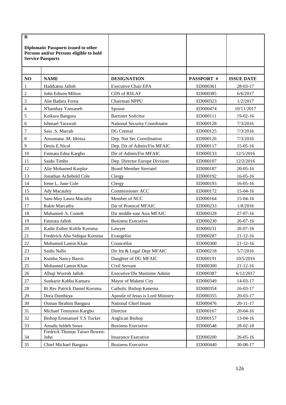| $\bf{B}$       |                                                                                        |                                   |            |                   |
|----------------|----------------------------------------------------------------------------------------|-----------------------------------|------------|-------------------|
|                | <b>Diplomatic Passports issued to other</b><br>Persons and/or Persons eligible to hold |                                   |            |                   |
|                | <b>Service Passports</b>                                                               |                                   |            |                   |
|                |                                                                                        |                                   |            |                   |
|                |                                                                                        |                                   |            |                   |
| NO             | <b>NAME</b>                                                                            | <b>DESIGNATION</b>                | PASSPORT # | <b>ISSUE DATE</b> |
| $\mathbf{1}$   | Haddiatou Jalloh                                                                       | <b>Executive Chair EPA</b>        | ED000361   | 28-03-17          |
| $\overline{c}$ | John Edison Milton                                                                     | CDS of RSLAF                      | ED000385   | 6/6/2017          |
| 3              | Alie Badara Forna                                                                      | Chairman NPPU                     | ED000323   | 1/2/2017          |
| 4              | N'bambay Yansaneh                                                                      | Spouse                            | ED000474   | 10/11/2017        |
| 5              | Keikura Bangura                                                                        | <b>Barrister Solicitor</b>        | ED000111   | $19-02-16$        |
| 6              | Ishmael Tarawali                                                                       | National Security Coordinator     | ED000128   | 7/3/2016          |
| $\overline{7}$ | Saio .S. Marrah                                                                        | DG Central                        | ED000125   | 7/3/2016          |
| $\,$ 8 $\,$    | Ansumana .M. Idrissa                                                                   | Dep. Nat Sec Coordination         | ED000126   | 7/3/2016          |
| 9              | Denis E.Nicol                                                                          | Dep. Dir of Admin/Fin MFAIC       | ED000117   | $15-05-16$        |
| 10             | Fatmata Edna Kargbo                                                                    | Dir of Admin/Fin MFAIC            | ED000133   | 12/5/2016         |
| 11             | Saidu Timbo                                                                            | Dep. Director Europe Division     | ED000107   | 12/2/2016         |
| 12             | Alie Mohamed Karplor                                                                   | <b>Board Member Sierratel</b>     | ED000187   | $20 - 05 - 16$    |
| 13             | Jonathan Achebold Cole                                                                 | Clergy                            | ED000192   | $16 - 05 - 16$    |
| 14             | Irene L. June Cole                                                                     | Clergy                            | ED000193   | $16-05-16$        |
| 15             | <b>Ady Macauley</b>                                                                    | Commissioner ACC                  | ED000172   | $15-04-16$        |
| 16             | Sam-May Laura Macathy                                                                  | Member of NCC                     | ED000164   | $15-04-16$        |
| 17             | Rakie Marcathy                                                                         | Dir of Protocol MFAIC             | ED000233   | 1/8/2016          |
| 18             | Mohamed .S. Conteh                                                                     | Dir middle east Asia MFAIC        | ED000328   | $27-07-16$        |
| 19             | Fatmata Jalloh                                                                         | <b>Business Executive</b>         | ED000230   | $26 - 07 - 16$    |
| 20             | Kadie Esther Kolife Koroma                                                             | Lawyer                            | ED000231   | $26 - 07 - 16$    |
| 21             | Frederick Abu Sidique Koroma                                                           | Evangelist                        | ED000287   | $21 - 12 - 16$    |
| 22             | Mohamed Lamin Khan                                                                     | Councellor                        | ED000300   | $21 - 12 - 16$    |
| 23             | Saidu Nallo                                                                            | Dir Int & Legal Dept MFAIC        | ED000218   | 5/7/2016          |
| 24             | Kumba Nancy Bassir                                                                     | Daughter of DG MFAIC              | ED000191   | 10/5/2016         |
| 25             | Mohamed Lamin Khan                                                                     | Civil Servant                     | ED000300   | $21 - 12 - 16$    |
| $26\,$         | Alhaji Wurroh Jalloh                                                                   | Executive Dir Maritime Admin      | ED000387   | 6/12/2017         |
| $27\,$         | Sunkarie Kabba Kamara                                                                  | Mayor of Makeni City              | ED000349   | $14-03-17$        |
| $28\,$         | Rt Rev Patrick Daniel Koroma                                                           | Catholic Bishop Kenema            | ED000354   | $16 - 03 - 17$    |
| 29             | Dora Dumbuya                                                                           | Apostle of Jesus is Lord Ministry | ED000355   | $20 - 03 - 17$    |
| 30             | Osman Ibrahim Bangura                                                                  | National Chief Imam               | ED000476   | $20 - 11 - 17$    |
| 31             | Michael Tennyson Kargbo                                                                | Director                          | ED000167   | $20 - 04 - 16$    |
| 32             | Bishop Emmanuel T.S Tucker                                                             | Anglican Bishop                   | ED000157   | 13-04-16          |
| 33             | Amadu Juldeh Sowe                                                                      | <b>Business Executive</b>         | ED000548   | 28-02-18          |
|                | Fredrick Thomas Taiwo Bowen-                                                           |                                   |            |                   |
| 34             | John                                                                                   | <b>Insurance Executive</b>        | ED000200   | $26 - 05 - 16$    |
| 35             | Chief Michael Bangura                                                                  | <b>Business Executive</b>         | ED000440   | 30-08-17          |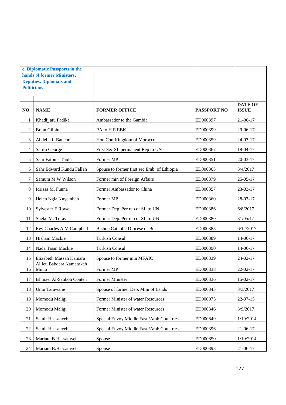| <b>Politicians</b> | c. Diplomatic Passports in the<br>hands of former Ministers,<br><b>Deputies, Diplomats and</b> |                                             |             |                                |
|--------------------|------------------------------------------------------------------------------------------------|---------------------------------------------|-------------|--------------------------------|
| NO                 | <b>NAME</b>                                                                                    | <b>FORMER OFFICE</b>                        | PASSPORT NO | <b>DATE OF</b><br><b>ISSUE</b> |
| 1                  | Khadijjatu Fadika                                                                              | Ambassador to the Gambia                    | ED000397    | 21-06-17                       |
| $\overline{c}$     | <b>Brian Gilpin</b>                                                                            | PA to H.E EBK                               | ED000399    | 29-06-17                       |
| 3                  | Abdellatif Bauchra                                                                             | Hon Con Kingdom of Morocco                  | ED000359    | 24-03-17                       |
| $\overline{4}$     | Salifu George                                                                                  | First Sec SL permanent Rep to UN            | ED000367    | 19-04-17                       |
| 5                  | Sahr Fatoma Taidu                                                                              | Former MP                                   | ED000351    | 20-03-17                       |
| 6                  | Sahr Edward Kundu Fallah                                                                       | Spouse to former first sec Emb. of Ethiopia | ED000363    | 3/4/2017                       |
| 7                  | Samura M.W Wilson                                                                              | Former min of Foreign Affairs               | ED000379    | 25-05-17                       |
| 8                  | Idrissa M. Funna                                                                               | Former Ambassador to China                  | ED000357    | 23-03-17                       |
| 9                  | Helen Ngla Kuyembeh                                                                            | Former MP                                   | ED000360    | 28-03-17                       |
| 10                 | <b>Sylvester E.Rowe</b>                                                                        | Former Dep. Per rep of SL to UN             | ED000386    | 6/8/2017                       |
| 11                 | Sheku M. Turay                                                                                 | Former Dep. Per rep of SL to UN             | ED000380    | 31/05/17                       |
| 12                 | Rev Charles A.M Campbell                                                                       | Bishop Catholic Diocese of Bo               | ED000388    | 6/12/2017                      |
| 13                 | Hisham Mackie                                                                                  | <b>Turkish Consul</b>                       | ED000389    | 14-06-17                       |
| 14                 | Nada Taam Mackie                                                                               | <b>Turkish Consul</b>                       | ED000390    | 14-06-17                       |
| 15                 | Elizabeth Massah Kamara                                                                        | Spouse to former min MFAIC                  | ED000339    | 24-02-17                       |
| 16                 | Allieu Babdara Kamarakeh<br>Munu                                                               | Former MP                                   | ED000338    | 22-02-17                       |
|                    | 17 Ishmael Al-Sankoh Conteh                                                                    | Former Minister                             | ED000336    | 15-02-17                       |
| 18                 | Umu Tarawalie                                                                                  | Spouse of former Dep. Mini of Lands         | ED000345    | 3/3/2017                       |
| 19                 | Momodu Maligi                                                                                  | Former Minister of water Resources          | ED000975    | $22 - 07 - 15$                 |
| 20                 | Momodu Maligi                                                                                  | Former Minister of water Resources          | ED000346    | 3/9/2017                       |
| 21                 | Samir Hassanyeh                                                                                | Special Envoy Middle East / Arab Countries  | ED000849    | 1/10/2014                      |
| 22                 | Samir Hassanyeh                                                                                | Special Envoy Middle East / Arab Countries  | ED000396    | $21 - 06 - 17$                 |
| 23                 | Mariam B.Hassamyeh                                                                             | Spouse                                      | ED000850    | 1/10/2014                      |
| 24                 | Mariam B.Hassamyeh                                                                             | Spouse                                      | ED000398    | 21-06-17                       |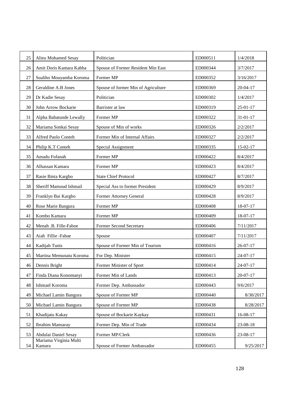| 25 | Alieu Mohamed Sesay              | Politician                          | ED000511 | 1/4/2018       |
|----|----------------------------------|-------------------------------------|----------|----------------|
| 26 | Amit Doris Kamara Kabba          | Spouse of Former Resident Min East  | ED000344 | 3/7/2017       |
| 27 | Sualiho Mouyamba Koroma          | Former MP                           | ED000352 | 3/16/2017      |
| 28 | Geraldine A.B Jones              | Spouse of former Min of Agriculture | ED000369 | 20-04-17       |
| 29 | Dr Kadie Sesay                   | Politician                          | ED000302 | 1/4/2017       |
| 30 | John Arrow Bockarie              | Barrister at law                    | ED000319 | $25 - 01 - 17$ |
| 31 | Alpha Babatunde Lewally          | Former MP                           | ED000322 | $31 - 01 - 17$ |
| 32 | Mariama Sonkai Sesay             | Spouse of Min of works              | ED000326 | 2/2/2017       |
| 33 | Alfred Paolo Conteh              | Former Min of Internal Affairs      | ED000327 | 2/2/2017       |
| 34 | Philip K.T Conteh                | Special Assignment                  | ED000335 | 15-02-17       |
| 35 | Amadu Fofanah                    | Former MP                           | ED000422 | 8/4/2017       |
| 36 | Alhassan Kamara                  | Former MP                           | ED000423 | 8/4/2017       |
| 37 | Rasie Binta Kargbo               | <b>State Chief Protocol</b>         | ED000427 | 8/7/2017       |
| 38 | Sheriff Mamoud Ishmail           | Special Ass to former President     | ED000429 | 8/9/2017       |
| 39 | Franklyn Bai Kargbo              | Former Attorney General             | ED000428 | 8/9/2017       |
| 40 | Rose Marie Bangura               | Former MP                           | ED000408 | 18-07-17       |
| 41 | Kombo Kamara                     | Former MP                           | ED000409 | 18-07-17       |
| 42 | Menah .B. Fille-Faboe            | Former Second Secretary             | ED000406 | 7/11/2017      |
| 43 | Aiah Fillie -Fabae               | Spouse                              | ED000407 | 7/11/2017      |
| 44 | Kadijah Tunis                    | Spouse of Former Min of Tourism     | ED000416 | $26 - 07 - 17$ |
| 45 | Martina Memunatu Koroma          | For Dep. Minister                   | ED000415 | 24-07-17       |
|    | 46 Dennis Bright                 | Former Minister of Sport            | ED000414 | $24-07-17$     |
| 47 | Finda Diana Konomanyi            | Former Min of Lands                 | ED000413 | $20 - 07 - 17$ |
| 48 | Ishmael Koroma                   | Former Dep. Ambassador              | ED000443 | 9/6/2017       |
| 49 | Michael Lamin Bangura            | Spouse of Former MP                 | ED000440 | 8/30/2017      |
| 50 | Michael Lamin Bangura            | Spouse of Former MP                 | ED000438 | 8/28/2017      |
| 51 | Khadijatu Kakay                  | Spouse of Bockarie Kaykay           | ED000431 | 16-08-17       |
| 52 | <b>Ibrahim Mansaray</b>          | Former Dep. Min of Trade            | ED000434 | 23-08-18       |
| 53 | Abdulai Daniel Sesay             | Former MP/Clerk                     | ED000436 | 23-08-17       |
| 54 | Mariama Virginia Multi<br>Kamara | Spouse of Former Ambassador         | ED000455 | 9/25/2017      |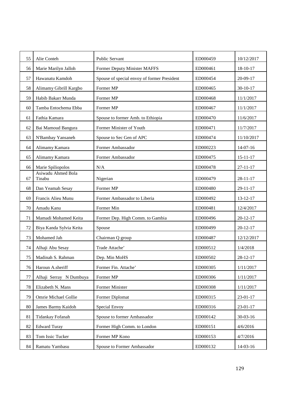| 55 | Alie Conteh                  | <b>Public Servant</b>                       | ED000459 | 10/12/2017     |
|----|------------------------------|---------------------------------------------|----------|----------------|
| 56 | Marie Marilyn Jalloh         | Former Deputy Minister MAFFS                | ED000461 | 18-10-17       |
| 57 | Hawanatu Kamdoh              | Spouse of special envoy of former President | ED000454 | 20-09-17       |
| 58 | Alimamy Gibrill Kargbo       | Former MP                                   | ED000465 | $30-10-17$     |
| 59 | Habib Bakarr Munda           | Former MP                                   | ED000468 | 11/1/2017      |
| 60 | Tamba Entochema Ebba         | Former MP                                   | ED000467 | 11/1/2017      |
| 61 | Fathia Kamara                | Spouse to former Amb. to Ethiopia           | ED000470 | 11/6/2017      |
| 62 | Bai Mamoud Bangura           | Former Minister of Youth                    | ED000471 | 11/7/2017      |
| 63 | N'Bambay Yansaneh            | Spouse to Sec Gen of APC                    | ED000474 | 11/10/2017     |
| 64 | Alimamy Kamara               | Former Ambassador                           | ED000223 | $14-07-16$     |
| 65 | Alimamy Kamara               | Former Ambassador                           | ED000475 | $15 - 11 - 17$ |
| 66 | Marie Spiliopolos            | N/A                                         | ED000478 | $27 - 11 - 17$ |
| 67 | Asiwadu Ahmed Bola<br>Tinabu | Nigerian                                    | ED000479 | $28 - 11 - 17$ |
| 68 | Dan Yeamah Sesay             | Former MP                                   | ED000480 | $29 - 11 - 17$ |
| 69 | Francis Alieu Munu           | Former Ambassador to Liberia                | ED000492 | $13 - 12 - 17$ |
| 70 | Amadu Kanu                   | Former Min                                  | ED000481 | 12/4/2017      |
| 71 | Mamadi Mohamed Keita         | Former Dep. High Comm. to Gambia            | ED000496 | $20 - 12 - 17$ |
| 72 | Biya Kanda Sylvia Keita      | Spouse                                      | ED000499 | $20 - 12 - 17$ |
| 73 | Mohamed Jah                  | Chairman Q group                            | ED000487 | 12/12/2017     |
| 74 | Alhaji Abu Sesay             | Trade Attache'                              | ED000512 | 1/4/2018       |
| 75 | Madinah S. Rahman            | Dep. Min MoHS                               | ED000502 | 28-12-17       |
| 76 | Haroun A.sheriff             | Former Fin. Attache'                        | ED000305 | 1/11/2017      |
| 77 | Alhaji Serray N Dumbuya      | Former MP                                   | ED000306 | 1/11/2017      |
| 78 | Elizabeth N. Mans            | Former Minister                             | ED000308 | 1/11/2017      |
| 79 | Omrie Michael Gollie         | Former Diplomat                             | ED000315 | 23-01-17       |
| 80 | James Barmy Kaidoh           | Special Envoy                               | ED000316 | 23-01-17       |
| 81 | Tidankay Fofanah             | Spouse to former Ambassador                 | ED000142 | $30-03-16$     |
| 82 | <b>Edward Turay</b>          | Former High Comm. to London                 | ED000151 | 4/6/2016       |
| 83 | Tom Issic Tucker             | Former MP Kono                              | ED000153 | 4/7/2016       |
| 84 | Ramatu Yambasu               | Spouse to Former Ambassador                 | ED000132 | 14-03-16       |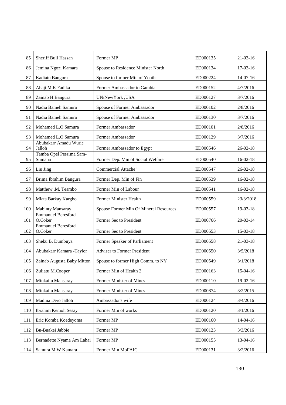| 85  | Sheriff Bull Hassan                  | Former MP                              | ED000135 | $21-03-16$     |
|-----|--------------------------------------|----------------------------------------|----------|----------------|
| 86  | Jemina Ngozi Kamara                  | Spouse to Residence Minister North     | ED000134 | 17-03-16       |
| 87  | Kadiatu Bangura                      | Spouse to former Min of Youth          | ED000224 | $14-07-16$     |
| 88  | Ahaji M.K Fadika                     | Former Ambassador to Gambia            | ED000152 | 4/7/2016       |
| 89  | Zainab H.Bangura                     | UN/NewYork, USA                        | ED000127 | 3/7/2016       |
| 90  | Nadia Bameh Samura                   | Spouse of Former Ambassador            | ED000102 | 2/8/2016       |
| 91  | Nadia Bameh Samura                   | Spouse of Former Ambassador            | ED000130 | 3/7/2016       |
| 92  | Mohamed L.O Samura                   | Former Ambassador                      | ED000101 | 2/8/2016       |
| 93  | Mohamed L.O Samura                   | Former Ambassador                      | ED000129 | 3/7/2016       |
| 94  | Abubakarr Amadu Wurie<br>Jalloh      | Former Ambassador to Egypt             | ED000546 | $26 - 02 - 18$ |
| 95  | Tamba Opel Pessima Sam-<br>Sumana    | Former Dep. Min of Social Welfare      | ED000540 | $16-02-18$     |
| 96  | Liu Jing                             | Commercial Attache'                    | ED000547 | $26 - 02 - 18$ |
| 97  | Brima Ibrahim Bangura                | Former Dep. Min of Fin                 | ED000539 | $16-02-18$     |
| 98  | Matthew .M. Teambo                   | Former Min of Labour                   | ED000541 | $16-02-18$     |
| 99  | Miata Barkay Kargbo                  | Former Minister Health                 | ED000559 | 23/3/2018      |
| 100 | Mabinty Mansaray                     | Spouse Former Min Of Mineral Resources | ED000557 | 19-03-18       |
| 101 | <b>Emmanuel Beresford</b><br>O.Coker | Former Sec to President                | ED000766 | $20 - 03 - 14$ |
| 102 | <b>Emmanuel Beresford</b><br>O.Coker | Former Sec to President                | ED000553 | $15-03-18$     |
| 103 | Sheku B. Dumbuya                     | Former Speaker of Parliament           | ED000558 | 21-03-18       |
| 104 | Abubakarr Kamara - Taylor            | <b>Adviser to Former President</b>     | ED000550 | 3/5/2018       |
| 105 | Zainab Augusta Baby Mitton           | Spouse to former High Comm. to NY      | ED000549 | 3/1/2018       |
| 106 | Zuliatu M.Cooper                     | Former Min of Health 2                 | ED000163 | 15-04-16       |
| 107 | Minkailu Mansaray                    | Former Minister of Mines               | ED000110 | 19-02-16       |
| 108 | Minkailu Mansaray                    | Former Minister of Mines               | ED000874 | 3/2/2015       |
| 109 | Madina Dero Jalloh                   | Ambassador's wife                      | ED000124 | 3/4/2016       |
| 110 | Ibrahim Kemoh Sesay                  | Former Min of works                    | ED000120 | 3/1/2016       |
| 111 | Eric Komba Koedeyoma                 | Former MP                              | ED000160 | 14-04-16       |
| 112 | Bu-Buakei Jabbie                     | Former MP                              | ED000123 | 3/3/2016       |
| 113 | Bernadette Nyama Am Lahai            | Former MP                              | ED000155 | 13-04-16       |
| 114 | Samura M.W Kamara                    | Former Min MoFAIC                      | ED000131 | 3/2/2016       |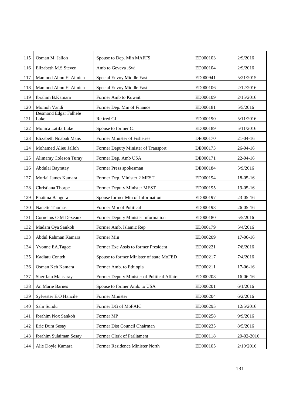| 115 | Osman M. Jalloh               | Spouse to Dep. Min MAFFS                    | ED000103 | 2/9/2016       |
|-----|-------------------------------|---------------------------------------------|----------|----------------|
| 116 | Elizabeth M.S Steven          | Amb to Geveva ,Swi                          | ED000104 | 2/9/2016       |
| 117 | Mamoud Abou El Aimien         | Special Envoy Middle East                   | ED000941 | 5/21/2015      |
| 118 | Mamoud Abou El Aimien         | Special Envoy Middle East                   | ED000106 | 2/12/2016      |
| 119 | Ibrahim B.Kamara              | Former Amb to Kuwait                        | ED000109 | 2/15/2016      |
| 120 | Momoh Vandi                   | Former Dep. Min of Finance                  | ED000181 | 5/5/2016       |
| 121 | Desmond Edgar Falhele<br>Luke | Retired CJ                                  | ED000190 | 5/11/2016      |
| 122 | Monica Latifa Luke            | Spouse to former CJ                         | ED000189 | 5/11/2016      |
| 123 | Elizabeth Nnabah Mans         | Former Minister of Fisheries                | DE000170 | $21 - 04 - 16$ |
| 124 | Mohamed Alieu Jalloh          | Former Deputy Minister of Transport         | DE000173 | $26 - 04 - 16$ |
| 125 | <b>Alimamy Coleson Turay</b>  | Former Dep. Amb USA                         | DE000171 | 22-04-16       |
| 126 | Abdulai Bayratay              | Former Press spokesman                      | DE000184 | 5/9/2016       |
| 127 | Morlai James Kamara           | Former Dep. Minister 2 MEST                 | ED000194 | 18-05-16       |
| 128 | Christiana Thorpe             | Former Deputy Minister MEST                 | ED000195 | $19-05-16$     |
| 129 | Phatima Bangura               | Spouse former Min of Information            | ED000197 | 23-05-16       |
| 130 | Nanette Thomas                | Former Min of Political                     | ED000198 | $26 - 05 - 16$ |
| 131 | Cornelius O.M Dexeaux         | Former Deputy Minister Information          | ED000180 | 5/5/2016       |
| 132 | Madam Oya Sankoh              | Former Amb. Islamic Rep                     | ED000179 | 5/4/2016       |
| 133 | Abdul Rahman Kamara           | Former Min                                  | ED000209 | 17-06-16       |
| 134 | Yvonne EA.Tagoe               | Former Exe Assis to former President        | ED000221 | 7/8/2016       |
| 135 | Kadiatu Conteh                | Spouse to former Minister of state MoFED    | ED000217 | 7/4/2016       |
| 136 | Osman Keh Kamara              | Former Amb. to Ethiopia                     | ED000211 | 17-06-16       |
| 137 | Sherifatu Mansaray            | Former Deputy Minister of Political Affairs | ED000208 | 16-06-16       |
| 138 | An Marie Barnes               | Spouse to former Amb. to USA                | ED000201 | 6/1/2016       |
| 139 | Sylvester E.O Hancile         | Former Minister                             | ED000204 | 6/2/2016       |
| 140 | Sahr Sundu                    | Former DG of MoFAIC                         | ED000295 | 12/6/2016      |
| 141 | Ibrahim Nox Sankoh            | Former MP                                   | ED000258 | 9/9/2016       |
| 142 | Eric Dura Sesay               | Former Dist Council Chairman                | ED000235 | 8/5/2016       |
| 143 | Ibrahim Sulaiman Sesay        | Former Clerk of Parliament                  | ED000118 | 29-02-2016     |
| 144 | Alie Doyle Kamara             | Former Residence Minister North             | ED000105 | 2/10/2016      |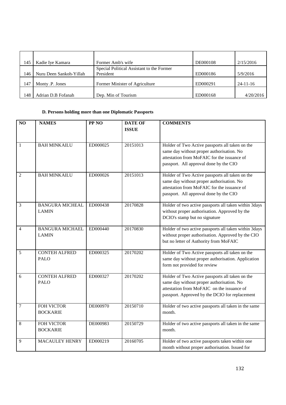| 145 | Kadie Iye Kamara        | Former Amb's wife                                      | DE000108 | 2/15/2016      |
|-----|-------------------------|--------------------------------------------------------|----------|----------------|
| 146 | Nuru Deen Sankoh-Yillah | Special Political Assistant to the Former<br>President | ED000186 | 5/9/2016       |
| 147 | Monty .P. Jones         | Former Minister of Agriculture                         | ED000291 | $24 - 11 - 16$ |
| 148 | Adrian D.B Fofanah      | Dep. Min of Tourism                                    | ED000168 | 4/20/2016      |

## **D. Persons holding more than one Diplomatic Passports**

| NO             | <b>NAMES</b>                           | PP <sub>NO</sub> | <b>DATE OF</b><br><b>ISSUE</b> | <b>COMMENTS</b>                                                                                                                                                                              |
|----------------|----------------------------------------|------------------|--------------------------------|----------------------------------------------------------------------------------------------------------------------------------------------------------------------------------------------|
| $\mathbf{1}$   | <b>BAH MINKAILU</b>                    | ED000025         | 20151013                       | Holder of Two Active passports all taken on the<br>same day without proper authorisation. No<br>attestation from MoFAIC for the issuance of<br>passport. All approval done by the CIO        |
| $\overline{c}$ | <b>BAH MINKAILU</b>                    | ED000026         | 20151013                       | Holder of Two Active passports all taken on the<br>same day without proper authorisation. No<br>attestation from MoFAIC for the issuance of<br>passport. All approval done by the CIO        |
| 3              | <b>BANGURA MICHEAL</b><br><b>LAMIN</b> | ED000438         | 20170828                       | Holder of two active passports all taken within 3days<br>without proper authorisation. Approved by the<br>DCIO's stamp but no signature                                                      |
| $\overline{4}$ | <b>BANGURA MICHAEL</b><br><b>LAMIN</b> | ED000440         | 20170830                       | Holder of two active passports all taken within 3days<br>without proper authorisation. Approved by the CIO<br>but no letter of Authority from MoFAIC                                         |
| 5              | <b>CONTEH ALFRED</b><br><b>PALO</b>    | ED000325         | 20170202                       | Holder of Two Active passports all taken on the<br>same day without proper authorisation. Application<br>form not provided for review                                                        |
| 6              | <b>CONTEH ALFRED</b><br><b>PALO</b>    | ED000327         | 20170202                       | Holder of Two Active passports all taken on the<br>same day without proper authorisation. No<br>attestation from MoFAIC on the issuance of<br>passport. Approved by the DCIO for replacement |
| $\tau$         | <b>FOH VICTOR</b><br><b>BOCKARIE</b>   | DE000970         | 20150710                       | Holder of two active passports all taken in the same<br>month.                                                                                                                               |
| 8              | FOH VICTOR<br><b>BOCKARIE</b>          | DE000983         | 20150729                       | Holder of two active passports all taken in the same<br>month.                                                                                                                               |
| 9              | <b>MACAULEY HENRY</b>                  | ED000219         | 20160705                       | Holder of two active passports taken within one<br>month without proper authorisation. Issued for                                                                                            |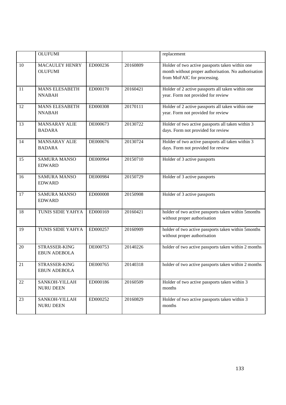|    | <b>OLUFUMI</b>                         |          |          | replacement                                                                                                                            |
|----|----------------------------------------|----------|----------|----------------------------------------------------------------------------------------------------------------------------------------|
| 10 | MACAULEY HENRY<br><b>OLUFUMI</b>       | ED000236 | 20160809 | Holder of two active passports taken within one<br>month without proper authorisation. No authorisation<br>from MoFAIC for processing. |
| 11 | <b>MANS ELESABETH</b><br><b>NNABAH</b> | ED000170 | 20160421 | Holder of 2 active passports all taken within one<br>year. Form not provided for review                                                |
| 12 | <b>MANS ELESABETH</b><br><b>NNABAH</b> | ED000308 | 20170111 | Holder of 2 active passports all taken within one<br>year. Form not provided for review                                                |
| 13 | <b>MANSARAY ALIE</b><br><b>BADARA</b>  | DE000673 | 20130722 | Holder of two active passports all taken within 3<br>days. Form not provided for review                                                |
| 14 | <b>MANSARAY ALIE</b><br><b>BADARA</b>  | DE000676 | 20130724 | Holder of two active passports all taken within 3<br>days. Form not provided for review                                                |
| 15 | <b>SAMURA MANSO</b><br><b>EDWARD</b>   | DE000964 | 20150710 | Holder of 3 active passports                                                                                                           |
| 16 | <b>SAMURA MANSO</b><br><b>EDWARD</b>   | DE000984 | 20150729 | Holder of 3 active passports                                                                                                           |
| 17 | <b>SAMURA MANSO</b><br><b>EDWARD</b>   | ED000008 | 20150908 | Holder of 3 active passports                                                                                                           |
| 18 | TUNIS SIDIE YAHYA                      | ED000169 | 20160421 | holder of two active passports taken within 5months<br>without proper authorisation                                                    |
| 19 | TUNIS SIDIE YAHYA                      | ED000257 | 20160909 | holder of two active passports taken within 5months<br>without proper authorisation                                                    |
| 20 | STRASSER-KING<br><b>EBUN ADEBOLA</b>   | DE000753 | 20140226 | holder of two active passports taken within 2 months                                                                                   |
| 21 | STRASSER-KING<br><b>EBUN ADEBOLA</b>   | DE000765 | 20140318 | holder of two active passports taken within 2 months                                                                                   |
| 22 | SANKOH-YILLAH<br>NURU DEEN             | ED000186 | 20160509 | Holder of two active passports taken within 3<br>months                                                                                |
| 23 | SANKOH-YILLAH<br>NURU DEEN             | ED000252 | 20160829 | Holder of two active passports taken within 3<br>months                                                                                |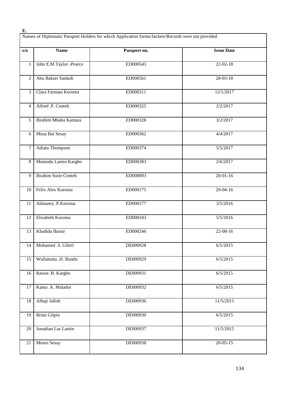| Names of Diplomatic Passport Holders for which Application forms/Jackets/Records were not provided |                             |              |                   |  |  |
|----------------------------------------------------------------------------------------------------|-----------------------------|--------------|-------------------|--|--|
| s/o                                                                                                | <b>Name</b>                 | Passport no. | <b>Issue Date</b> |  |  |
| 1                                                                                                  | John E.M Taylor -Pearce     | ED000543     | $22 - 02 - 18$    |  |  |
| $\overline{2}$                                                                                     | Abu Bakarr Sankoh           | ED000561     | 28-03-18          |  |  |
| 3                                                                                                  | Clara Fatmata Koroma        | ED000311     | 12/1/2017         |  |  |
| $\overline{4}$                                                                                     | Alfred .P. Conteh           | ED000325     | 2/2/2017          |  |  |
| 5                                                                                                  | Ibrahim Mbaba Kamara        | ED000328     | 3/2/2017          |  |  |
| $\epsilon$                                                                                         | Musa Bai Sesay              | ED000362     | 4/4/2017          |  |  |
| 7                                                                                                  | <b>Adiatu Thompson</b>      | ED000374     | 5/5/2017          |  |  |
| $\,8\,$                                                                                            | Momodu Lamin Kargbo         | ED000383     | 2/6/2017          |  |  |
| 9                                                                                                  | <b>Ibrahim Sorie Conteh</b> | ED000093     | $20 - 01 - 16$    |  |  |
| 10                                                                                                 | Felix Alex Koroma           | ED000175     | 29-04-16          |  |  |
| 11                                                                                                 | Alimamy .P.Koroma           | ED000177     | 3/5/2016          |  |  |
| 12                                                                                                 | Elizabeth Koroma            | ED000183     | 5/5/2016          |  |  |
| 13                                                                                                 | Khadida Bassir              | ED000246     | 22-08-16          |  |  |
| 14                                                                                                 | Mohamed .S. Gibril          | DE000928     | 6/5/2015          |  |  |
| 15                                                                                                 | Wullamatu .H. Bundu         | DE000929     | 6/5/2015          |  |  |
| 16                                                                                                 | Rassie. B. Kargbo           | DE000931     | 6/5/2015          |  |  |
| 17                                                                                                 | Kama .A. Malador            | DE000932     | 6/5/2015          |  |  |
| 18                                                                                                 | Alhaji Jalloh               | DE000936     | 11/5/2015         |  |  |
| 19                                                                                                 | <b>Brian Gilpin</b>         | DE000930     | 6/5/2015          |  |  |
| 20                                                                                                 | Jonathan Las Lamin          | DE000937     | 11/5/2015         |  |  |
| 21                                                                                                 | <b>Moses Sesay</b>          | DE000938     | $20 - 05 - 15$    |  |  |

**E.**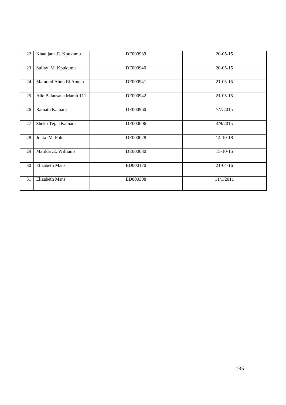| 22     | Khadijatu .E. Kpukumu    | DE000939 | $20 - 05 - 15$ |
|--------|--------------------------|----------|----------------|
| 23     | Sullay .M. Kpukumu       | DE000940 | $20 - 05 - 15$ |
| 24     | Mamoud Abou El Amein     | DE000941 | $21 - 05 - 15$ |
| 25     | Alie Balansana Marah 111 | DE000942 | $21 - 05 - 15$ |
| 26     | Ramatu Kamara            | DE000960 | 7/7/2015       |
| $27\,$ | Sheku Tejan Kamara       | DE000006 | 4/9/2015       |
| 28     | Jonta .M. Foh            | DE000028 | $14 - 10 - 18$ |
| 29     | Matilda .E. Williams     | DE000030 | $15 - 10 - 15$ |
| 30     | Elizabeth Mans           | ED000170 | $21 - 04 - 16$ |
| 31     | Elizabeth Mans           | ED000308 | 11/1/2011      |